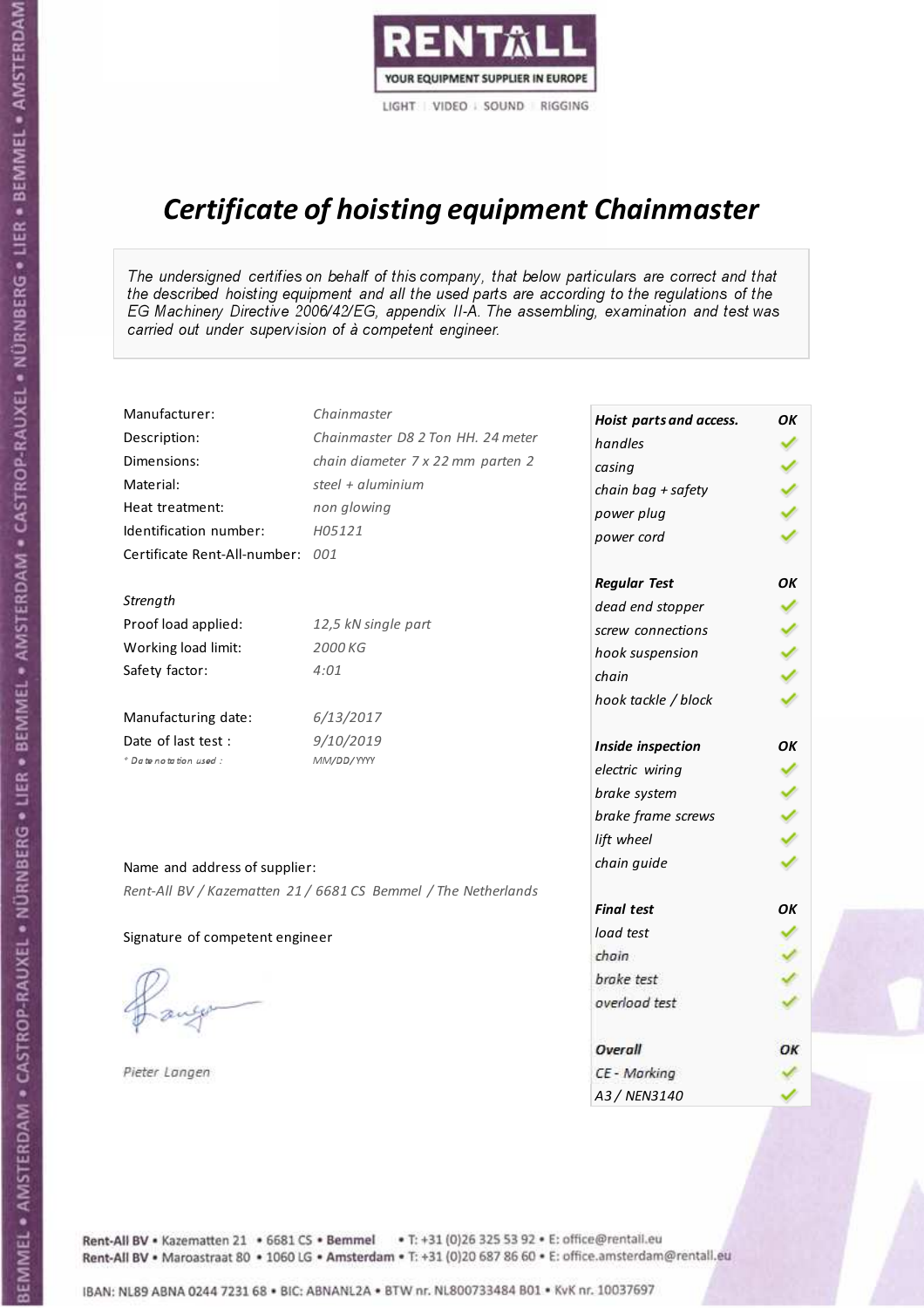

# Certificate of hoisting equipment Chainmaster

The undersigned certifies on behalf of this company, that below particulars are correct and that the described hoisting equipment and all the used parts are according to the regulations of the EG Machinery Directive 2006/42/EG, appendix II-A. The assembling, examination and test was carried out under supervision of à competent engineer.

| Manufacturer:                    | Chainmaster                                                    | Hoist parts and access. | OK |
|----------------------------------|----------------------------------------------------------------|-------------------------|----|
| Description:                     | Chainmaster D8 2 Ton HH. 24 meter                              | handles                 |    |
| Dimensions:                      | chain diameter 7 x 22 mm parten 2                              | casing                  |    |
| Material:                        | steel + $aluminim$                                             | chain bag + safety      |    |
| Heat treatment:                  | non glowing                                                    | power plug              |    |
| Identification number:           | H05121                                                         | power cord              |    |
| Certificate Rent-All-number: 001 |                                                                |                         |    |
|                                  |                                                                | <b>Regular Test</b>     | OK |
| Strength                         |                                                                | dead end stopper        |    |
| Proof load applied:              | 12,5 kN single part                                            | screw connections       |    |
| Working load limit:              | 2000 KG                                                        | hook suspension         |    |
| Safety factor:                   | 4:01                                                           | chain                   |    |
|                                  |                                                                | hook tackle / block     |    |
| Manufacturing date:              | 6/13/2017                                                      |                         |    |
| Date of last test :              | 9/10/2019                                                      | Inside inspection       | OK |
| + Date notation used :           | MM/DD/YYYY                                                     | electric wiring         |    |
|                                  |                                                                | brake system            |    |
|                                  |                                                                | brake frame screws      |    |
|                                  |                                                                | lift wheel              |    |
| Name and address of supplier:    |                                                                | chain guide             |    |
|                                  | Rent-All BV / Kazematten 21 / 6681 CS Bemmel / The Netherlands |                         |    |
|                                  |                                                                | <b>Final test</b>       | OK |
| Signature of competent engineer  |                                                                | load test               |    |
|                                  |                                                                | chain                   |    |
|                                  |                                                                | brake test              |    |
|                                  |                                                                | overload test           |    |
|                                  |                                                                | Overall                 | OK |
| Pieter Langen                    |                                                                | CE - Marking            |    |
|                                  |                                                                | A3 / NEN3140            |    |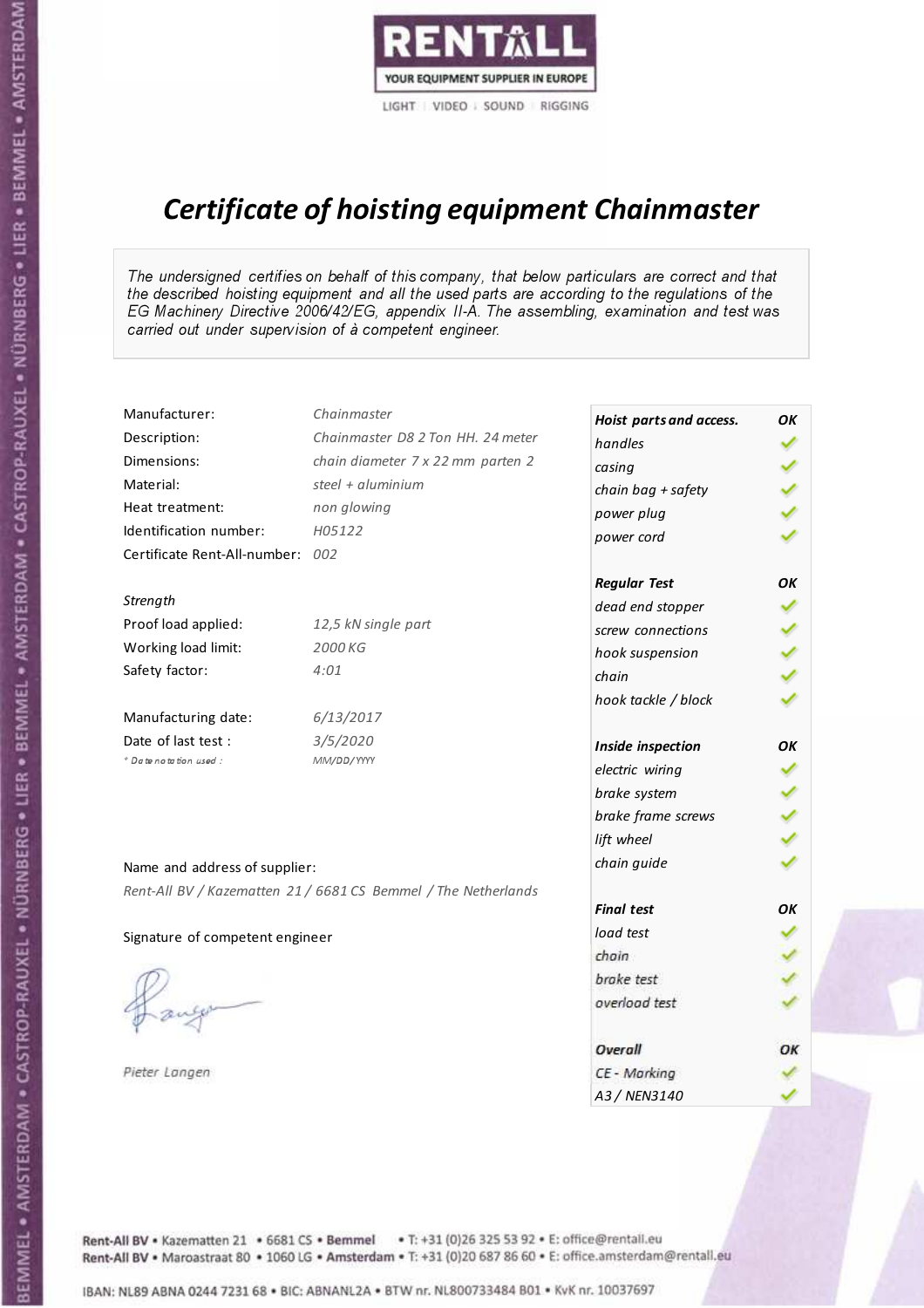

# Certificate of hoisting equipment Chainmaster

The undersigned certifies on behalf of this company, that below particulars are correct and that the described hoisting equipment and all the used parts are according to the regulations of the EG Machinery Directive 2006/42/EG, appendix II-A. The assembling, examination and test was carried out under supervision of à competent engineer.

| Manufacturer:                    | Chainmaster                                                    | Hoist parts and access. | OK |
|----------------------------------|----------------------------------------------------------------|-------------------------|----|
| Description:                     | Chainmaster D8 2 Ton HH. 24 meter                              | handles                 |    |
| Dimensions:                      | chain diameter 7 x 22 mm parten 2                              | casing                  |    |
| Material:                        | steel + $aluminim$                                             | chain bag + safety      |    |
| Heat treatment:                  | non glowing                                                    | power plug              |    |
| Identification number:           | H05122                                                         | power cord              |    |
| Certificate Rent-All-number: 002 |                                                                |                         |    |
|                                  |                                                                | <b>Regular Test</b>     | OK |
| Strength                         |                                                                | dead end stopper        |    |
| Proof load applied:              | 12,5 kN single part                                            | screw connections       |    |
| Working load limit:              | 2000 KG                                                        | hook suspension         |    |
| Safety factor:                   | 4:01                                                           | chain                   |    |
|                                  |                                                                | hook tackle / block     |    |
| Manufacturing date:              | 6/13/2017                                                      |                         |    |
| Date of last test :              | 3/5/2020                                                       | Inside inspection       | OK |
| * Date notation used :           | MM/DD/YYYY                                                     | electric wiring         |    |
|                                  |                                                                | brake system            |    |
|                                  |                                                                | brake frame screws      |    |
|                                  |                                                                | lift wheel              |    |
| Name and address of supplier:    |                                                                | chain guide             |    |
|                                  | Rent-All BV / Kazematten 21 / 6681 CS Bemmel / The Netherlands |                         |    |
|                                  |                                                                | <b>Final test</b>       | OK |
| Signature of competent engineer  |                                                                | load test               |    |
|                                  |                                                                | chain                   |    |
|                                  |                                                                | brake test              |    |
|                                  |                                                                | overload test           |    |
|                                  |                                                                | Overall                 | OK |
| Pieter Langen                    |                                                                | CE - Marking            |    |
|                                  |                                                                | A3 / NEN3140            |    |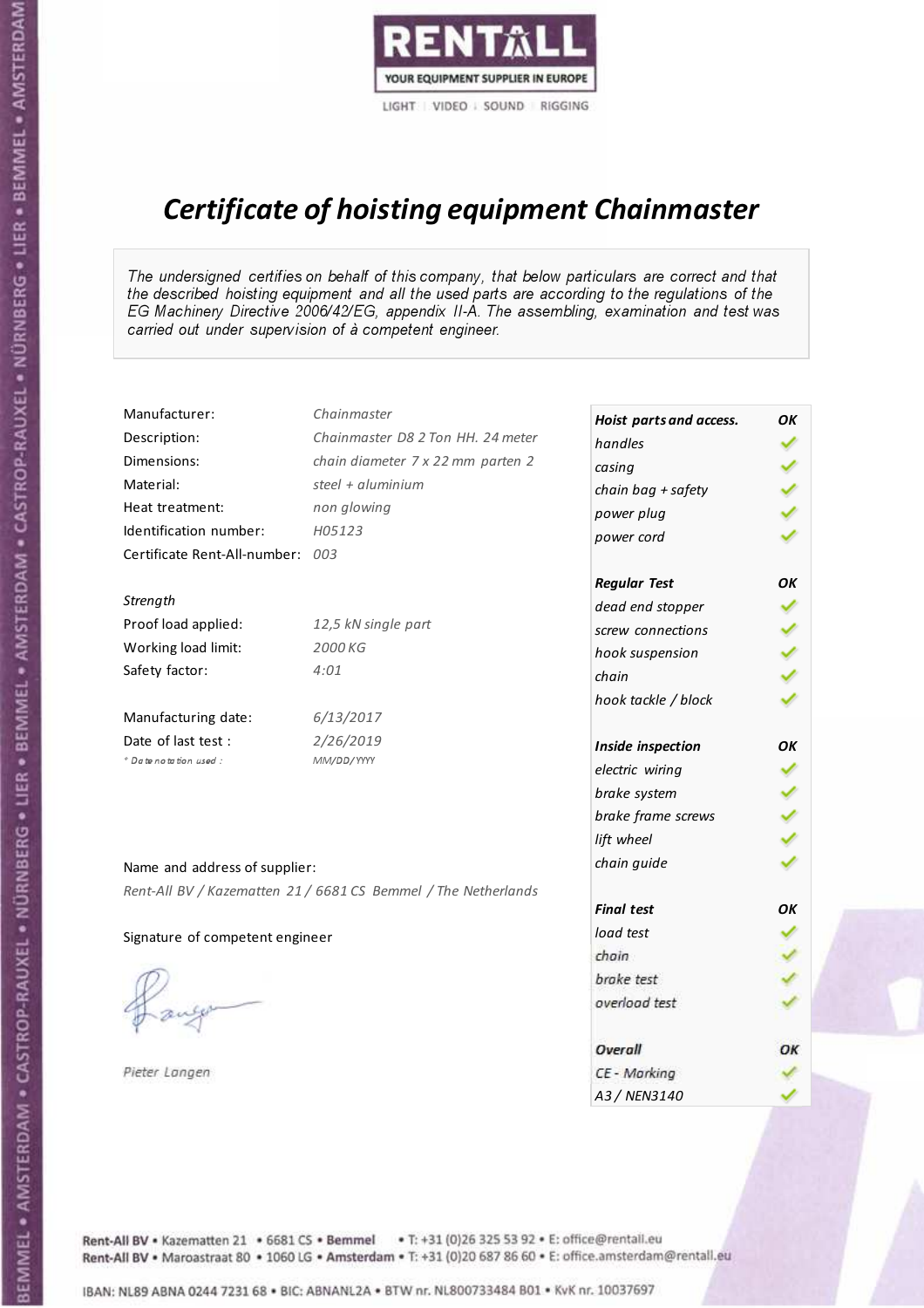

# Certificate of hoisting equipment Chainmaster

The undersigned certifies on behalf of this company, that below particulars are correct and that the described hoisting equipment and all the used parts are according to the regulations of the EG Machinery Directive 2006/42/EG, appendix II-A. The assembling, examination and test was carried out under supervision of à competent engineer.

| Manufacturer:                    | Chainmaster                                                    | Hoist parts and access. | OK |
|----------------------------------|----------------------------------------------------------------|-------------------------|----|
| Description:                     | Chainmaster D8 2 Ton HH. 24 meter                              | handles                 |    |
| Dimensions:                      | chain diameter 7 x 22 mm parten 2                              | casing                  |    |
| Material:                        | steel $+$ aluminium                                            | chain bag + safety      |    |
| Heat treatment:                  | non glowing                                                    | power plug              |    |
| Identification number:           | H05123                                                         | power cord              |    |
| Certificate Rent-All-number: 003 |                                                                |                         |    |
|                                  |                                                                | <b>Regular Test</b>     | OK |
| Strength                         |                                                                | dead end stopper        |    |
| Proof load applied:              | 12,5 kN single part                                            | screw connections       |    |
| Working load limit:              | 2000 KG                                                        | hook suspension         |    |
| Safety factor:                   | 4:01                                                           | chain                   |    |
|                                  |                                                                | hook tackle / block     |    |
| Manufacturing date:              | 6/13/2017                                                      |                         |    |
| Date of last test:               | 2/26/2019                                                      | Inside inspection       | OK |
| * Date notation used :           | MM/DD/YYYY                                                     | electric wiring         |    |
|                                  |                                                                | brake system            |    |
|                                  |                                                                | brake frame screws      |    |
|                                  |                                                                | lift wheel              |    |
| Name and address of supplier:    |                                                                | chain guide             |    |
|                                  | Rent-All BV / Kazematten 21 / 6681 CS Bemmel / The Netherlands |                         |    |
|                                  |                                                                | <b>Final test</b>       | OK |
| Signature of competent engineer  |                                                                | load test               |    |
|                                  |                                                                | chain                   |    |
|                                  |                                                                | brake test              |    |
|                                  |                                                                | overload test           |    |
|                                  |                                                                | Overall                 | OK |
| Pieter Langen                    |                                                                | CE - Marking            |    |
|                                  |                                                                | A3 / NEN3140            |    |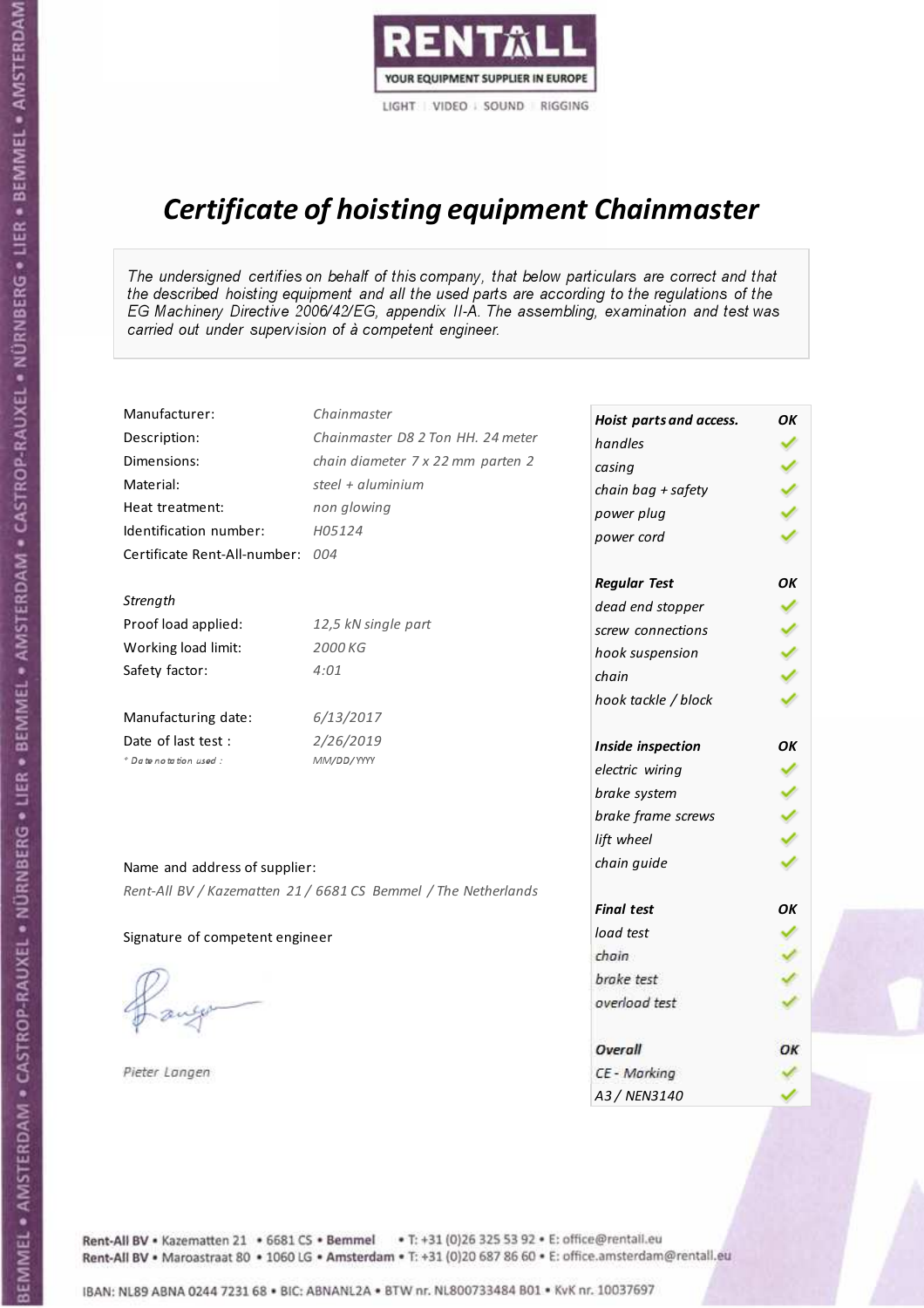

# Certificate of hoisting equipment Chainmaster

The undersigned certifies on behalf of this company, that below particulars are correct and that the described hoisting equipment and all the used parts are according to the regulations of the EG Machinery Directive 2006/42/EG, appendix II-A. The assembling, examination and test was carried out under supervision of à competent engineer.

| Manufacturer:                   | Chainmaster                                                    | Hoist parts and access. | OK |
|---------------------------------|----------------------------------------------------------------|-------------------------|----|
| Description:                    | Chainmaster D8 2 Ton HH. 24 meter                              | handles                 |    |
| Dimensions:                     | chain diameter 7 x 22 mm parten 2                              | casing                  |    |
| Material:                       | steel $+$ aluminium                                            | chain bag + safety      |    |
| Heat treatment:                 | non glowing                                                    | power plug              |    |
| Identification number:          | H05124                                                         | power cord              |    |
| Certificate Rent-All-number:    | 004                                                            |                         |    |
|                                 |                                                                | <b>Regular Test</b>     | OK |
| Strength                        |                                                                | dead end stopper        |    |
| Proof load applied:             | 12,5 kN single part                                            | screw connections       |    |
| Working load limit:             | 2000 KG                                                        | hook suspension         |    |
| Safety factor:                  | 4:01                                                           | chain                   |    |
|                                 |                                                                | hook tackle / block     |    |
| Manufacturing date:             | 6/13/2017                                                      |                         |    |
| Date of last test :             | 2/26/2019                                                      | Inside inspection       | OK |
| * Date notation used :          | MM/DD/YYYY                                                     | electric wiring         |    |
|                                 |                                                                | brake system            |    |
|                                 |                                                                | brake frame screws      |    |
|                                 |                                                                | lift wheel              |    |
| Name and address of supplier:   |                                                                | chain guide             |    |
|                                 | Rent-All BV / Kazematten 21 / 6681 CS Bemmel / The Netherlands |                         |    |
|                                 |                                                                | <b>Final test</b>       | OK |
| Signature of competent engineer |                                                                | load test               |    |
|                                 |                                                                | chain                   |    |
|                                 |                                                                | brake test              |    |
|                                 |                                                                | overload test           |    |
|                                 |                                                                | Overall                 | OK |
| Pieter Langen                   |                                                                | CE - Marking            |    |
|                                 |                                                                | A3 / NEN3140            |    |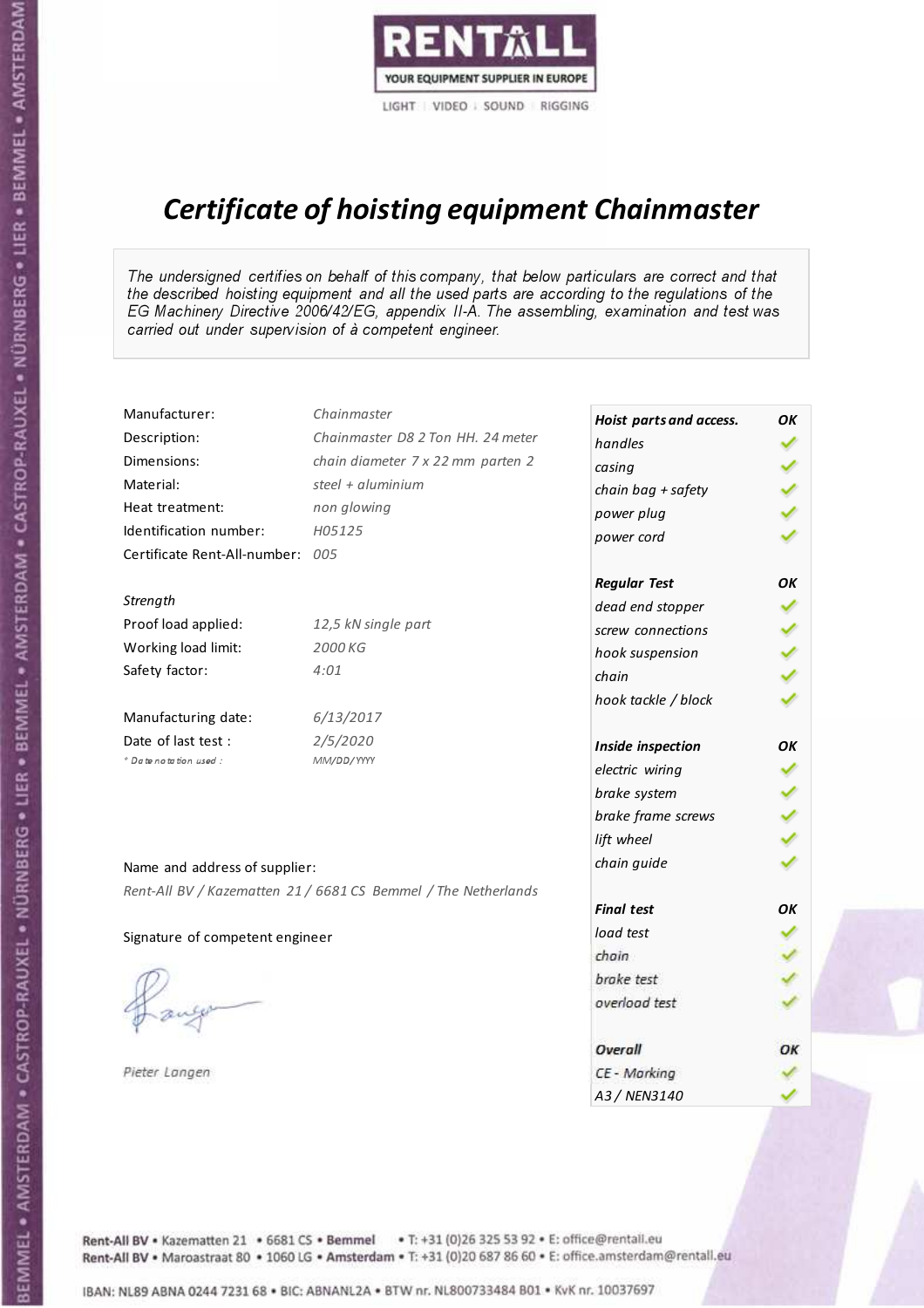

# Certificate of hoisting equipment Chainmaster

The undersigned certifies on behalf of this company, that below particulars are correct and that the described hoisting equipment and all the used parts are according to the regulations of the EG Machinery Directive 2006/42/EG, appendix II-A. The assembling, examination and test was carried out under supervision of à competent engineer.

| Manufacturer:                    | Chainmaster                                                    | Hoist parts and access. | OK |
|----------------------------------|----------------------------------------------------------------|-------------------------|----|
| Description:                     | Chainmaster D8 2 Ton HH. 24 meter                              | handles                 |    |
| Dimensions:                      | chain diameter 7 x 22 mm parten 2                              | casing                  |    |
| Material:                        | steel $+$ aluminium                                            | chain bag + safety      |    |
| Heat treatment:                  | non glowing                                                    | power plug              |    |
| Identification number:           | H05125                                                         | power cord              |    |
| Certificate Rent-All-number: 005 |                                                                |                         |    |
|                                  |                                                                | <b>Regular Test</b>     | OK |
| Strength                         |                                                                | dead end stopper        |    |
| Proof load applied:              | 12,5 kN single part                                            | screw connections       |    |
| Working load limit:              | 2000 KG                                                        | hook suspension         |    |
| Safety factor:                   | 4:01                                                           | chain                   |    |
|                                  |                                                                | hook tackle / block     |    |
| Manufacturing date:              | 6/13/2017                                                      |                         |    |
| Date of last test:               | 2/5/2020                                                       | Inside inspection       | OK |
| * Date notation used :           | MM/DD/YYYY                                                     | electric wiring         |    |
|                                  |                                                                | brake system            |    |
|                                  |                                                                | brake frame screws      |    |
|                                  |                                                                | lift wheel              |    |
| Name and address of supplier:    |                                                                | chain guide             |    |
|                                  | Rent-All BV / Kazematten 21 / 6681 CS Bemmel / The Netherlands |                         |    |
|                                  |                                                                | <b>Final test</b>       | OK |
| Signature of competent engineer  |                                                                | load test               |    |
|                                  |                                                                | chain                   |    |
|                                  |                                                                | brake test              |    |
|                                  |                                                                | overload test           |    |
|                                  |                                                                | Overall                 | OK |
| Pieter Langen                    |                                                                | CE - Marking            |    |
|                                  |                                                                | A3 / NEN3140            |    |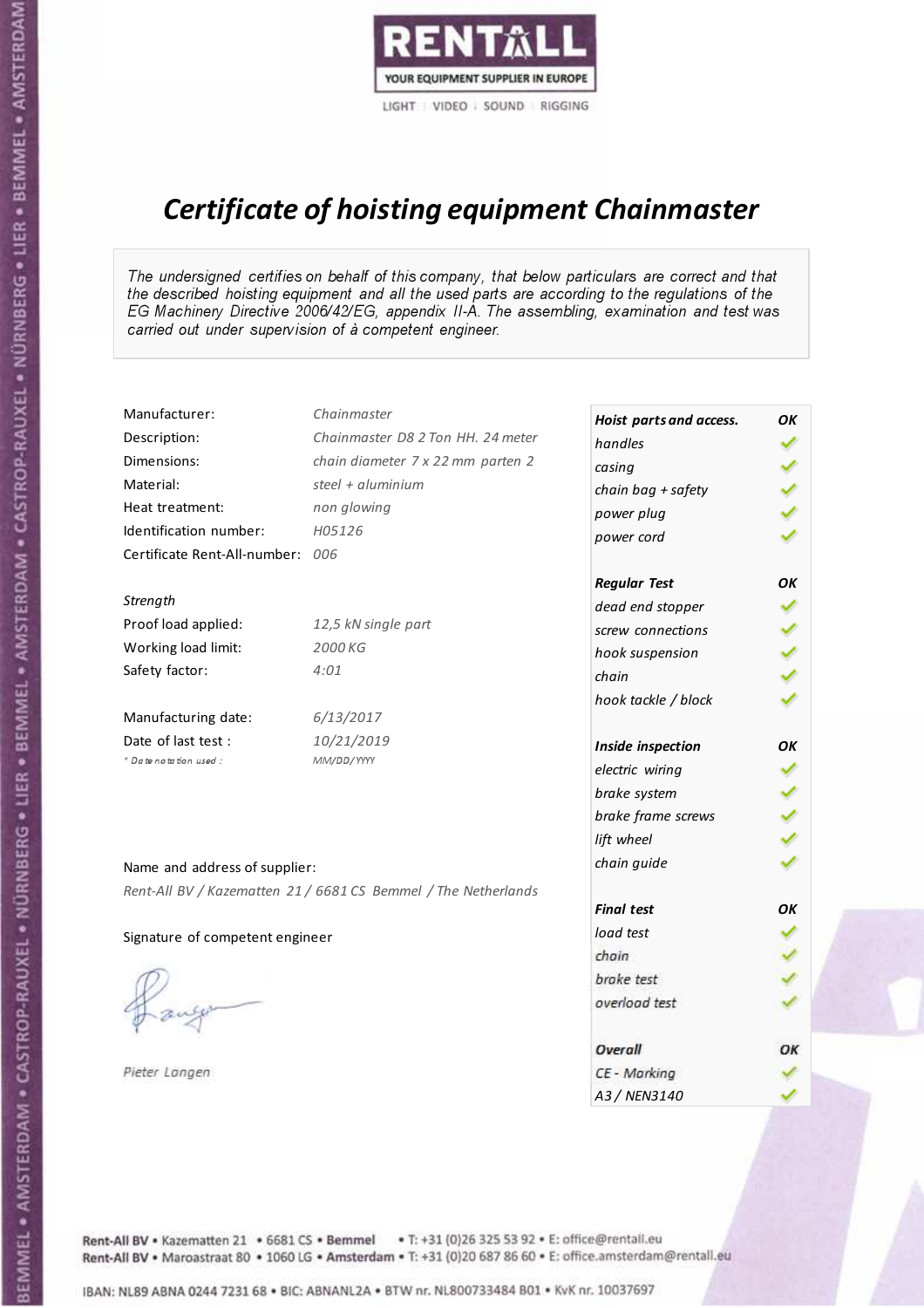

# Certificate of hoisting equipment Chainmaster

The undersigned certifies on behalf of this company, that below particulars are correct and that the described hoisting equipment and all the used parts are according to the regulations of the EG Machinery Directive 2006/42/EG, appendix II-A. The assembling, examination and test was carried out under supervision of à competent engineer.

| Manufacturer:                    | Chainmaster                                                    | Hoist parts and access. | OK |
|----------------------------------|----------------------------------------------------------------|-------------------------|----|
| Description:                     | Chainmaster D8 2 Ton HH. 24 meter                              | handles                 |    |
| Dimensions:                      | chain diameter 7 x 22 mm parten 2                              | casing                  |    |
| Material:                        | steel + aluminium                                              | chain bag + safety      |    |
| Heat treatment:                  | non glowing                                                    | power plug              |    |
| Identification number:           | H05126                                                         | power cord              |    |
| Certificate Rent-All-number: 006 |                                                                |                         |    |
|                                  |                                                                | <b>Regular Test</b>     | OK |
| Strength                         |                                                                | dead end stopper        |    |
| Proof load applied:              | 12,5 kN single part                                            | screw connections       |    |
| Working load limit:              | 2000 KG                                                        | hook suspension         |    |
| Safety factor:                   | 4:01                                                           | chain                   |    |
|                                  |                                                                | hook tackle / block     |    |
| Manufacturing date:              | 6/13/2017                                                      |                         |    |
| Date of last test :              | 10/21/2019                                                     | Inside inspection       | OK |
| * Date notation used :           | MM/DD/YYYY                                                     | electric wiring         | ✔  |
|                                  |                                                                | brake system            |    |
|                                  |                                                                | brake frame screws      |    |
|                                  |                                                                | lift wheel              |    |
| Name and address of supplier:    |                                                                | chain guide             |    |
|                                  | Rent-All BV / Kazematten 21 / 6681 CS Bemmel / The Netherlands |                         |    |
|                                  |                                                                | <b>Final test</b>       | OK |
| Signature of competent engineer  |                                                                | load test               |    |
|                                  |                                                                | chain                   |    |
|                                  |                                                                | brake test              |    |
|                                  |                                                                | overload test           |    |
|                                  |                                                                | Overall                 | ОК |
| Pieter Langen                    |                                                                | CE - Marking            |    |
|                                  |                                                                | A3 / NEN3140            |    |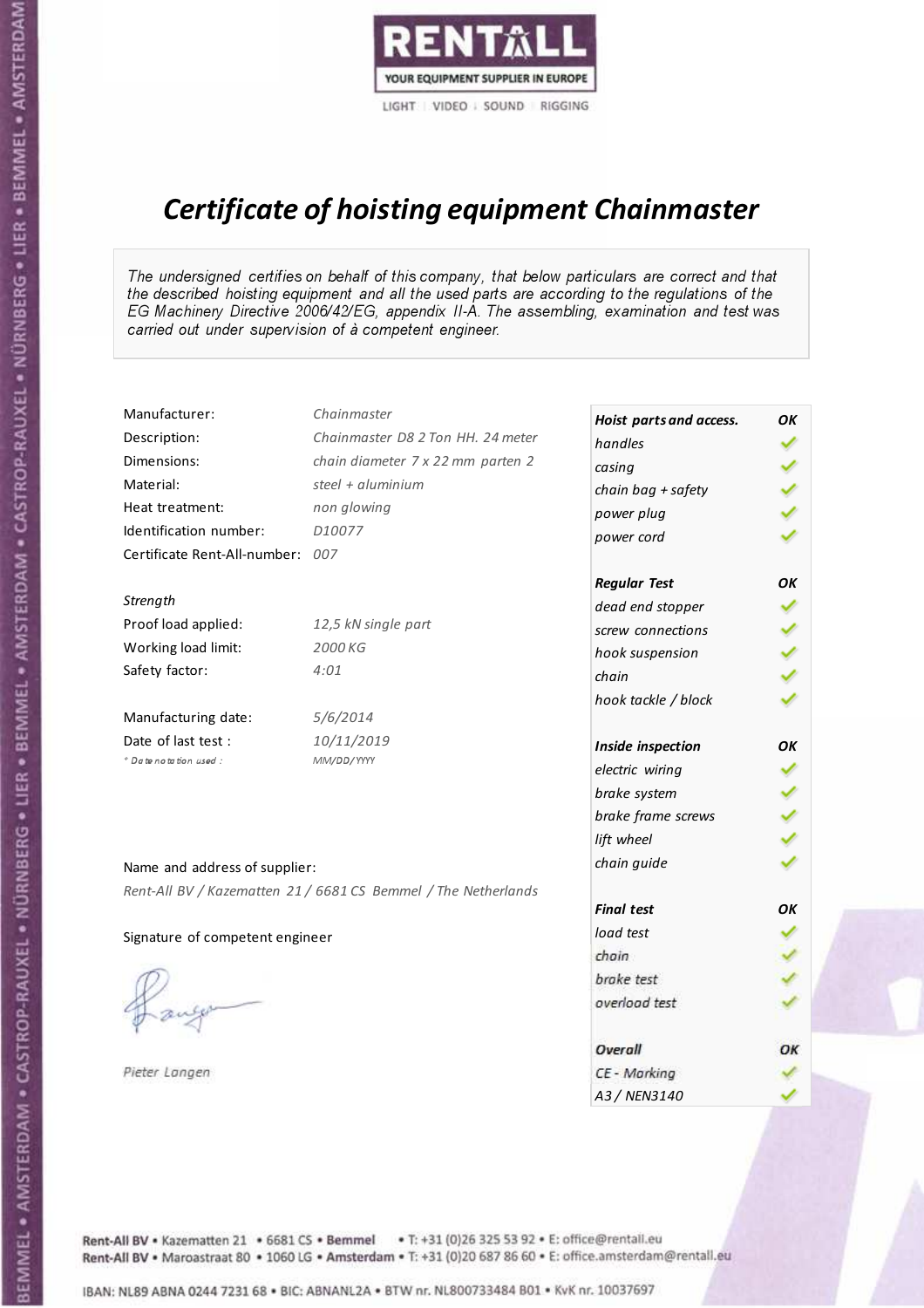

# Certificate of hoisting equipment Chainmaster

The undersigned certifies on behalf of this company, that below particulars are correct and that the described hoisting equipment and all the used parts are according to the regulations of the EG Machinery Directive 2006/42/EG, appendix II-A. The assembling, examination and test was carried out under supervision of à competent engineer.

| Manufacturer:                   | Chainmaster                                                    | Hoist parts and access. | OK |
|---------------------------------|----------------------------------------------------------------|-------------------------|----|
| Description:                    | Chainmaster D8 2 Ton HH. 24 meter                              | handles                 |    |
| Dimensions:                     | chain diameter 7 x 22 mm parten 2                              | casing                  |    |
| Material:                       | steel + aluminium                                              | chain bag + safety      |    |
| Heat treatment:                 | non glowing                                                    | power plug              |    |
| Identification number:          | D10077                                                         | power cord              |    |
| Certificate Rent-All-number:    | 007                                                            |                         |    |
|                                 |                                                                | <b>Regular Test</b>     | OΚ |
| Strength                        |                                                                | dead end stopper        |    |
| Proof load applied:             | 12,5 kN single part                                            | screw connections       |    |
| Working load limit:             | 2000 KG                                                        | hook suspension         |    |
| Safety factor:                  | 4:01                                                           | chain                   |    |
|                                 |                                                                | hook tackle / block     |    |
| Manufacturing date:             | 5/6/2014                                                       |                         |    |
| Date of last test :             | 10/11/2019                                                     | Inside inspection       | OΚ |
| + Date notation used :          | MM/DD/YYYY                                                     | electric wiring         |    |
|                                 |                                                                | brake system            |    |
|                                 |                                                                | brake frame screws      |    |
|                                 |                                                                | lift wheel              |    |
| Name and address of supplier:   |                                                                | chain guide             |    |
|                                 | Rent-All BV / Kazematten 21 / 6681 CS Bemmel / The Netherlands |                         |    |
|                                 |                                                                | <b>Final test</b>       | OK |
| Signature of competent engineer |                                                                | load test               |    |
|                                 |                                                                | chain                   |    |
|                                 |                                                                | brake test              |    |
|                                 |                                                                | overload test           |    |
|                                 |                                                                | Overall                 | ОК |
|                                 |                                                                |                         |    |
| Pieter Langen                   |                                                                | CE - Marking            |    |
|                                 |                                                                | A3 / NEN3140            |    |

Rent-All BV . Kazematten 21 . 6681 CS . Bemmel . T: +31 (0)26 325 53 92 . E: office@rentall.eu Rent-All BV · Maroastraat 80 · 1060 LG · Amsterdam · T: +31 (0)20 687 86 60 · E: office.amsterdam@rentall.eu

IBAN: NL89 ABNA 0244 7231 68 . BIC: ABNANL2A . BTW nr. NL800733484 B01 . KyK nr. 10037697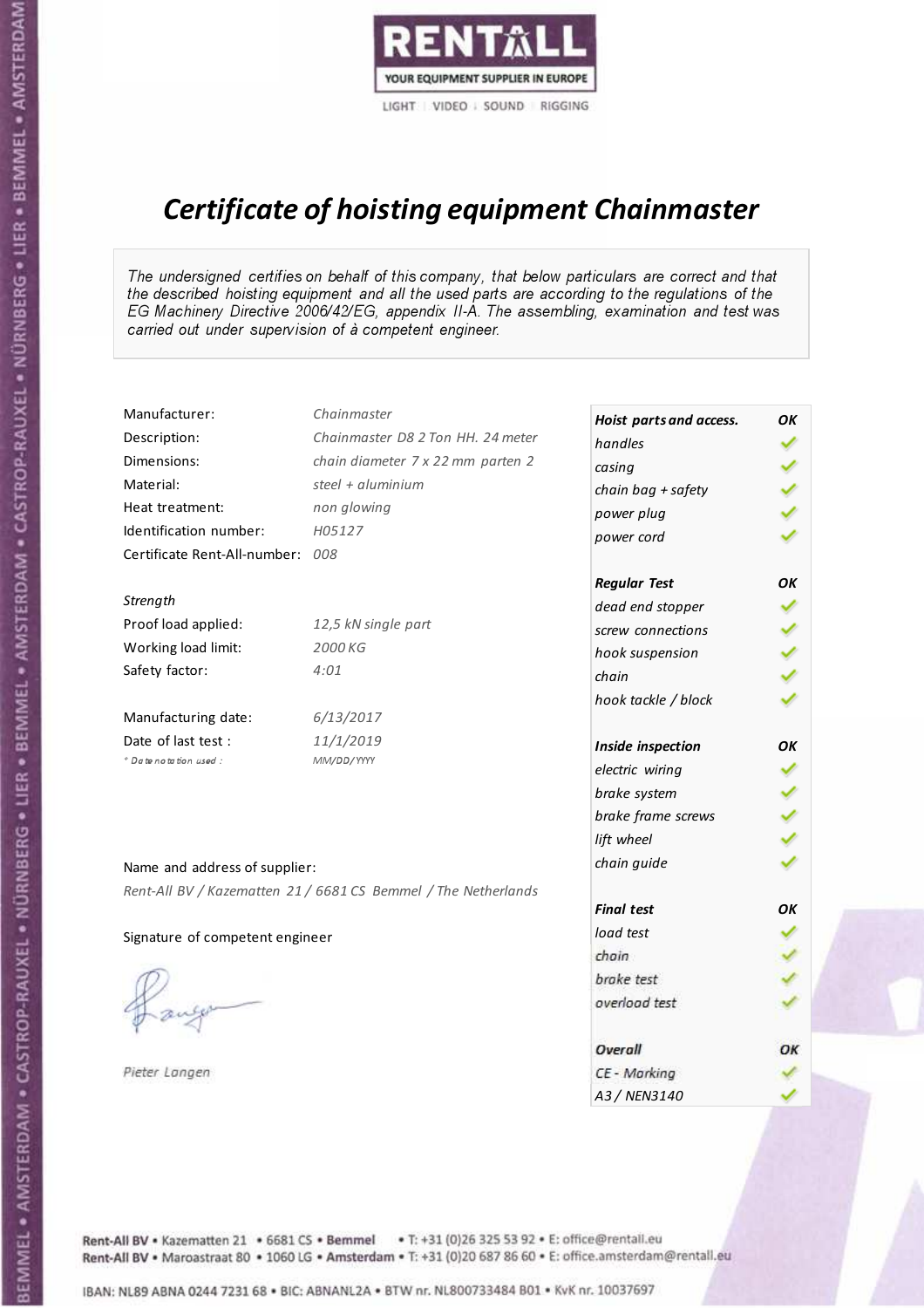

# Certificate of hoisting equipment Chainmaster

The undersigned certifies on behalf of this company, that below particulars are correct and that the described hoisting equipment and all the used parts are according to the regulations of the EG Machinery Directive 2006/42/EG, appendix II-A. The assembling, examination and test was carried out under supervision of à competent engineer.

| Manufacturer:                    | Chainmaster                                                    | Hoist parts and access. | OK |
|----------------------------------|----------------------------------------------------------------|-------------------------|----|
| Description:                     | Chainmaster D8 2 Ton HH. 24 meter                              | handles                 |    |
| Dimensions:                      | chain diameter 7 x 22 mm parten 2                              | casing                  |    |
| Material:                        | steel $+$ aluminium                                            | chain bag + safety      |    |
| Heat treatment:                  | non glowing                                                    | power plug              |    |
| Identification number:           | H05127                                                         | power cord              |    |
| Certificate Rent-All-number: 008 |                                                                |                         |    |
|                                  |                                                                | <b>Regular Test</b>     | OK |
| Strength                         |                                                                | dead end stopper        | ✓  |
| Proof load applied:              | 12,5 kN single part                                            | screw connections       |    |
| Working load limit:              | 2000 KG                                                        | hook suspension         |    |
| Safety factor:                   | 4:01                                                           | chain                   |    |
|                                  |                                                                | hook tackle / block     |    |
| Manufacturing date:              | 6/13/2017                                                      |                         |    |
| Date of last test :              | 11/1/2019                                                      | Inside inspection       | OK |
| + Date notation used :           | MM/DD/YYYY                                                     | electric wiring         |    |
|                                  |                                                                | brake system            |    |
|                                  |                                                                | brake frame screws      |    |
|                                  |                                                                | lift wheel              |    |
| Name and address of supplier:    |                                                                | chain guide             |    |
|                                  | Rent-All BV / Kazematten 21 / 6681 CS Bemmel / The Netherlands |                         |    |
|                                  |                                                                | <b>Final test</b>       | OK |
| Signature of competent engineer  |                                                                | load test               |    |
|                                  |                                                                | chain                   |    |
|                                  |                                                                | brake test              |    |
|                                  |                                                                | overload test           |    |
|                                  |                                                                | Overall                 | OK |
| Pieter Langen                    |                                                                | CE - Marking            |    |
|                                  |                                                                | A3 / NEN3140            |    |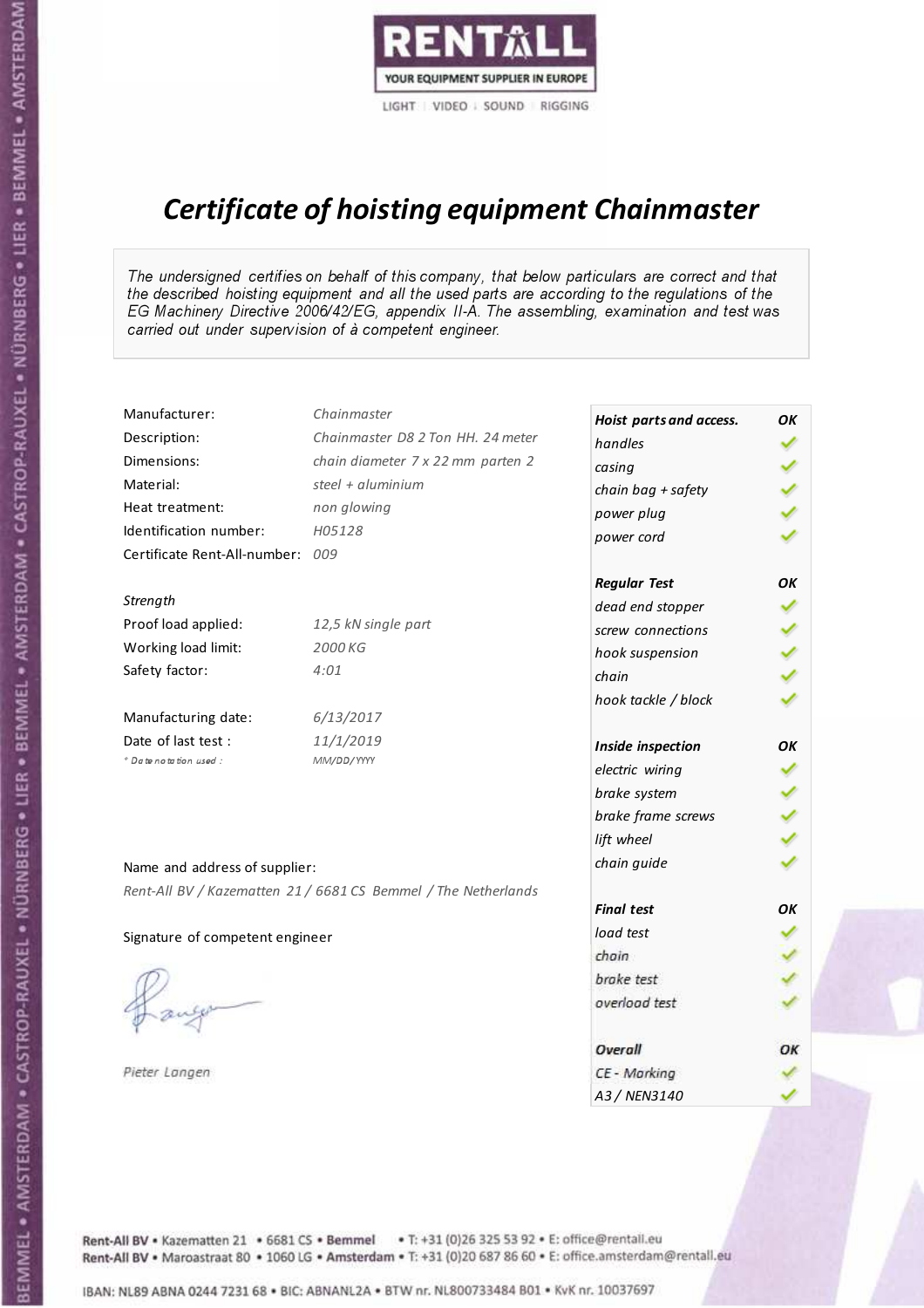

# Certificate of hoisting equipment Chainmaster

The undersigned certifies on behalf of this company, that below particulars are correct and that the described hoisting equipment and all the used parts are according to the regulations of the EG Machinery Directive 2006/42/EG, appendix II-A. The assembling, examination and test was carried out under supervision of à competent engineer.

| Manufacturer:                    | Chainmaster                                                    | Hoist parts and access. | OK |
|----------------------------------|----------------------------------------------------------------|-------------------------|----|
| Description:                     | Chainmaster D8 2 Ton HH. 24 meter                              | handles                 |    |
| Dimensions:                      | chain diameter 7 x 22 mm parten 2                              | casing                  |    |
| Material:                        | steel $+$ aluminium                                            | chain bag + safety      |    |
| Heat treatment:                  | non glowing                                                    | power plug              |    |
| Identification number:           | H05128                                                         | power cord              |    |
| Certificate Rent-All-number: 009 |                                                                |                         |    |
|                                  |                                                                | <b>Regular Test</b>     | OK |
| Strength                         |                                                                | dead end stopper        |    |
| Proof load applied:              | 12,5 kN single part                                            | screw connections       |    |
| Working load limit:              | 2000 KG                                                        | hook suspension         |    |
| Safety factor:                   | 4:01                                                           | chain                   |    |
|                                  |                                                                | hook tackle / block     |    |
| Manufacturing date:              | 6/13/2017                                                      |                         |    |
| Date of last test:               | 11/1/2019                                                      | Inside inspection       | OK |
| * Date notation used :           | MM/DD/YYYY                                                     | electric wiring         |    |
|                                  |                                                                | brake system            |    |
|                                  |                                                                | brake frame screws      |    |
|                                  |                                                                | lift wheel              |    |
| Name and address of supplier:    |                                                                | chain guide             |    |
|                                  | Rent-All BV / Kazematten 21 / 6681 CS Bemmel / The Netherlands |                         |    |
|                                  |                                                                | <b>Final test</b>       | OK |
| Signature of competent engineer  |                                                                | load test               |    |
|                                  |                                                                | chain                   |    |
|                                  |                                                                | brake test              |    |
|                                  |                                                                | overload test           |    |
|                                  |                                                                | Overall                 | OK |
| Pieter Langen                    |                                                                | CE - Marking            |    |
|                                  |                                                                | A3 / NEN3140            |    |

BEMMEL • AMSTERDAM • CASTROP-RAUXEL • NÜRNBERG • LIER • BEMMEL • AMSTERDAM • CASTROP-RAUXEL • NÜRNBERG • LIER • BEMMEL • AMSTERDAM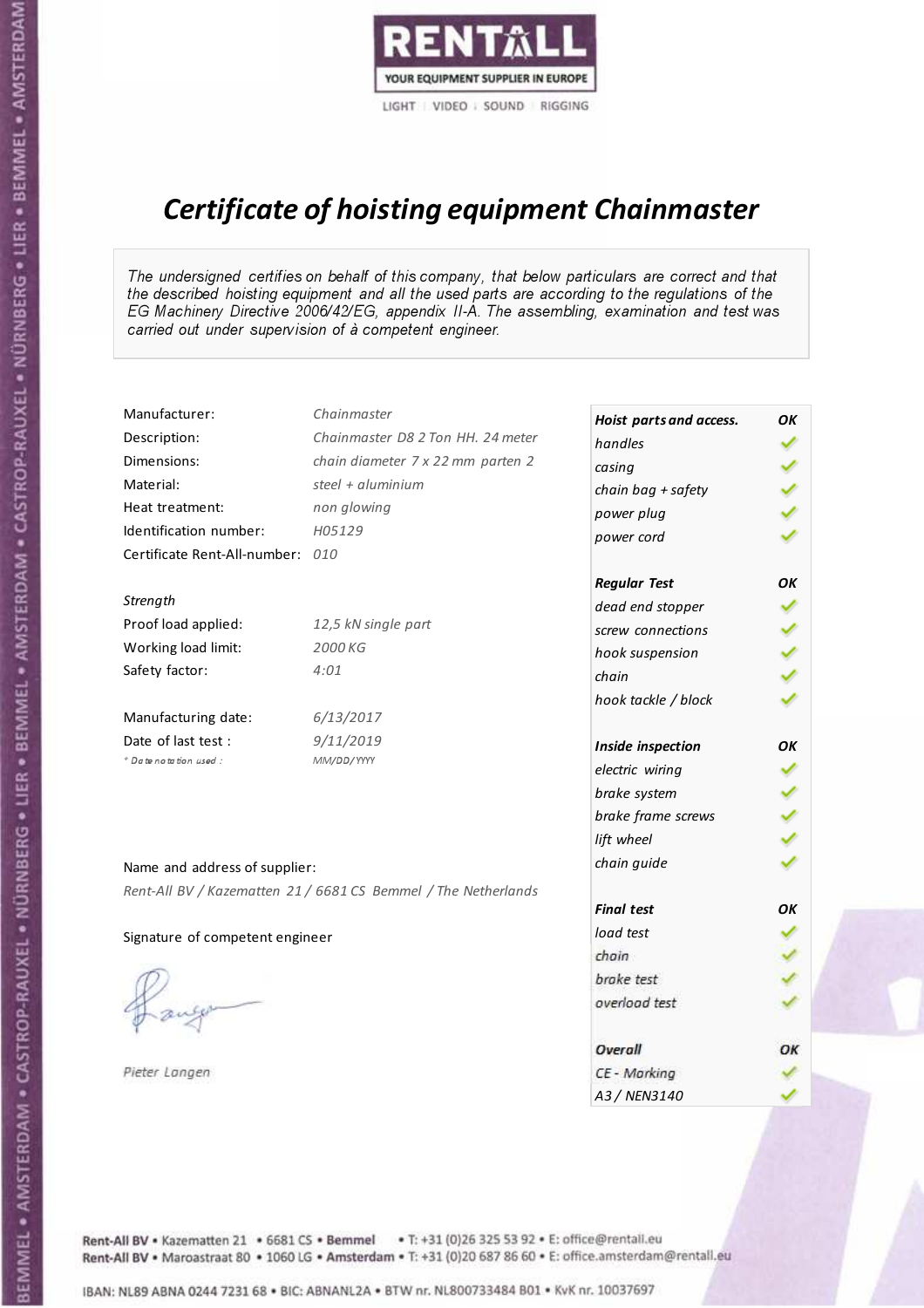

# Certificate of hoisting equipment Chainmaster

The undersigned certifies on behalf of this company, that below particulars are correct and that the described hoisting equipment and all the used parts are according to the regulations of the EG Machinery Directive 2006/42/EG, appendix II-A. The assembling, examination and test was carried out under supervision of à competent engineer.

| Manufacturer:                    | Chainmaster                                                    | Hoist parts and access. | OK |
|----------------------------------|----------------------------------------------------------------|-------------------------|----|
| Description:                     | Chainmaster D8 2 Ton HH. 24 meter                              | handles                 |    |
| Dimensions:                      | chain diameter 7 x 22 mm parten 2                              | casing                  |    |
| Material:                        | steel + $aluminim$                                             | chain bag + safety      |    |
| Heat treatment:                  | non glowing                                                    | power plug              |    |
| Identification number:           | H05129                                                         | power cord              |    |
| Certificate Rent-All-number: 010 |                                                                |                         |    |
|                                  |                                                                | <b>Regular Test</b>     | OK |
| Strength                         |                                                                | dead end stopper        |    |
| Proof load applied:              | 12,5 kN single part                                            | screw connections       |    |
| Working load limit:              | 2000 KG                                                        | hook suspension         |    |
| Safety factor:                   | 4:01                                                           | chain                   |    |
|                                  |                                                                | hook tackle / block     |    |
| Manufacturing date:              | 6/13/2017                                                      |                         |    |
| Date of last test :              | 9/11/2019                                                      | Inside inspection       | OK |
| * Date notation used :           | MM/DD/YYYY                                                     | electric wiring         |    |
|                                  |                                                                | brake system            |    |
|                                  |                                                                | brake frame screws      |    |
|                                  |                                                                | lift wheel              |    |
| Name and address of supplier:    |                                                                | chain guide             |    |
|                                  | Rent-All BV / Kazematten 21 / 6681 CS Bemmel / The Netherlands |                         |    |
|                                  |                                                                | <b>Final test</b>       | OK |
| Signature of competent engineer  |                                                                | load test               |    |
|                                  |                                                                | chain                   |    |
|                                  |                                                                | brake test              |    |
|                                  |                                                                | overload test           |    |
|                                  |                                                                | Overall                 | OK |
| Pieter Langen                    |                                                                | CE - Marking            |    |
|                                  |                                                                | A3 / NEN3140            |    |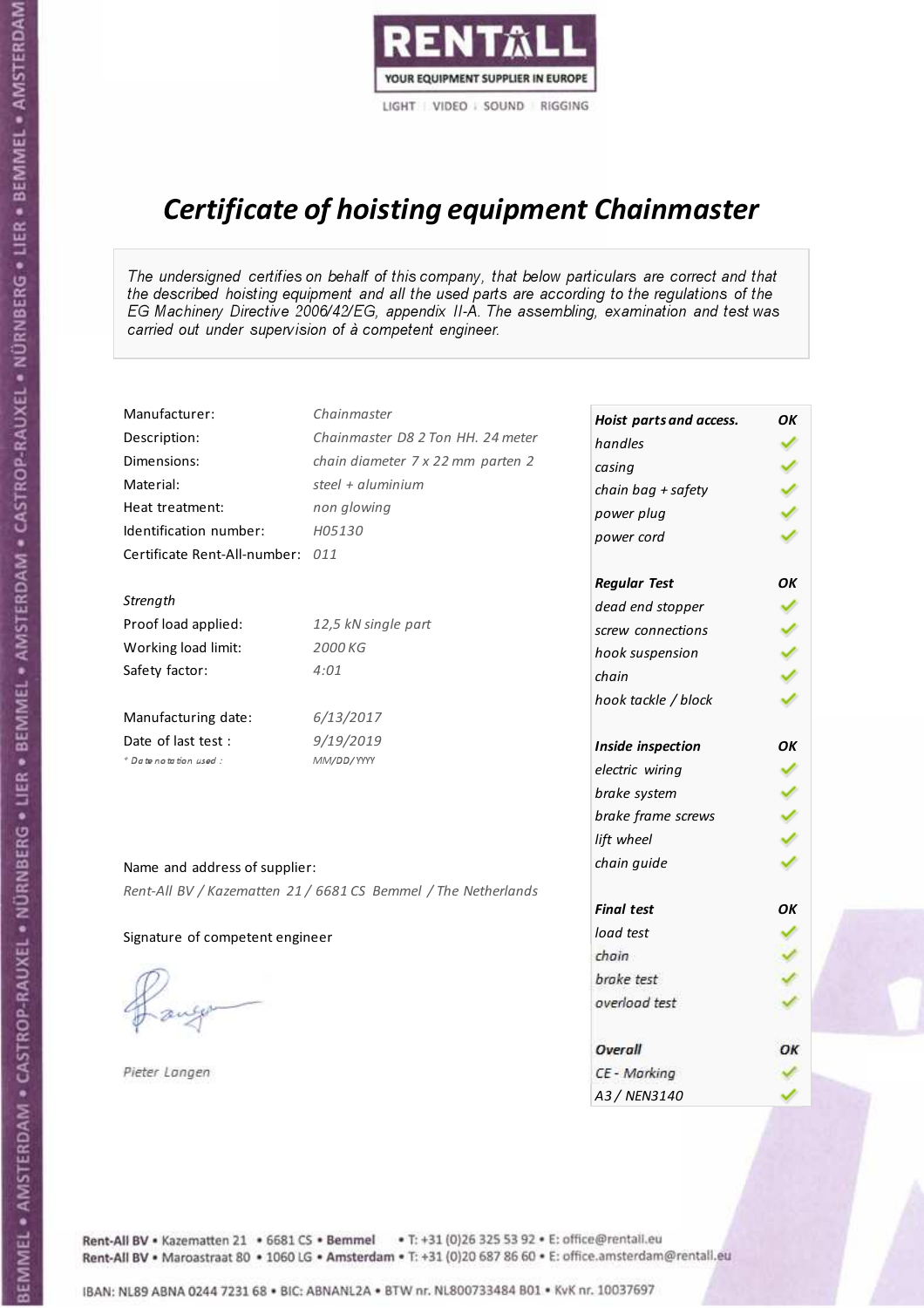

# Certificate of hoisting equipment Chainmaster

The undersigned certifies on behalf of this company, that below particulars are correct and that the described hoisting equipment and all the used parts are according to the regulations of the EG Machinery Directive 2006/42/EG, appendix II-A. The assembling, examination and test was carried out under supervision of à competent engineer.

| Manufacturer:                    | Chainmaster                                                    | Hoist parts and access. | OK |
|----------------------------------|----------------------------------------------------------------|-------------------------|----|
| Description:                     | Chainmaster D8 2 Ton HH. 24 meter                              | handles                 |    |
| Dimensions:                      | chain diameter 7 x 22 mm parten 2                              | casing                  |    |
| Material:                        | steel + aluminium                                              | chain bag + safety      |    |
| Heat treatment:                  | non glowing                                                    | power plug              |    |
| Identification number:           | H05130                                                         | power cord              |    |
| Certificate Rent-All-number: 011 |                                                                |                         |    |
|                                  |                                                                | <b>Regular Test</b>     | OK |
| Strength                         |                                                                | dead end stopper        |    |
| Proof load applied:              | 12,5 kN single part                                            | screw connections       |    |
| Working load limit:              | 2000 KG                                                        | hook suspension         |    |
| Safety factor:                   | 4:01                                                           | chain                   |    |
|                                  |                                                                | hook tackle / block     |    |
| Manufacturing date:              | 6/13/2017                                                      |                         |    |
| Date of last test :              | 9/19/2019                                                      | Inside inspection       | OK |
| * Date notation used :           | MM/DD/YYYY                                                     | electric wiring         |    |
|                                  |                                                                | brake system            |    |
|                                  |                                                                | brake frame screws      |    |
|                                  |                                                                | lift wheel              |    |
| Name and address of supplier:    |                                                                | chain guide             |    |
|                                  | Rent-All BV / Kazematten 21 / 6681 CS Bemmel / The Netherlands |                         |    |
|                                  |                                                                | <b>Final test</b>       | OK |
| Signature of competent engineer  |                                                                | load test               |    |
|                                  |                                                                | chain                   |    |
|                                  |                                                                | brake test              |    |
|                                  |                                                                | overload test           |    |
|                                  |                                                                | Overall                 | OK |
| Pieter Langen                    |                                                                | CE - Marking            |    |
|                                  |                                                                | A3 / NEN3140            |    |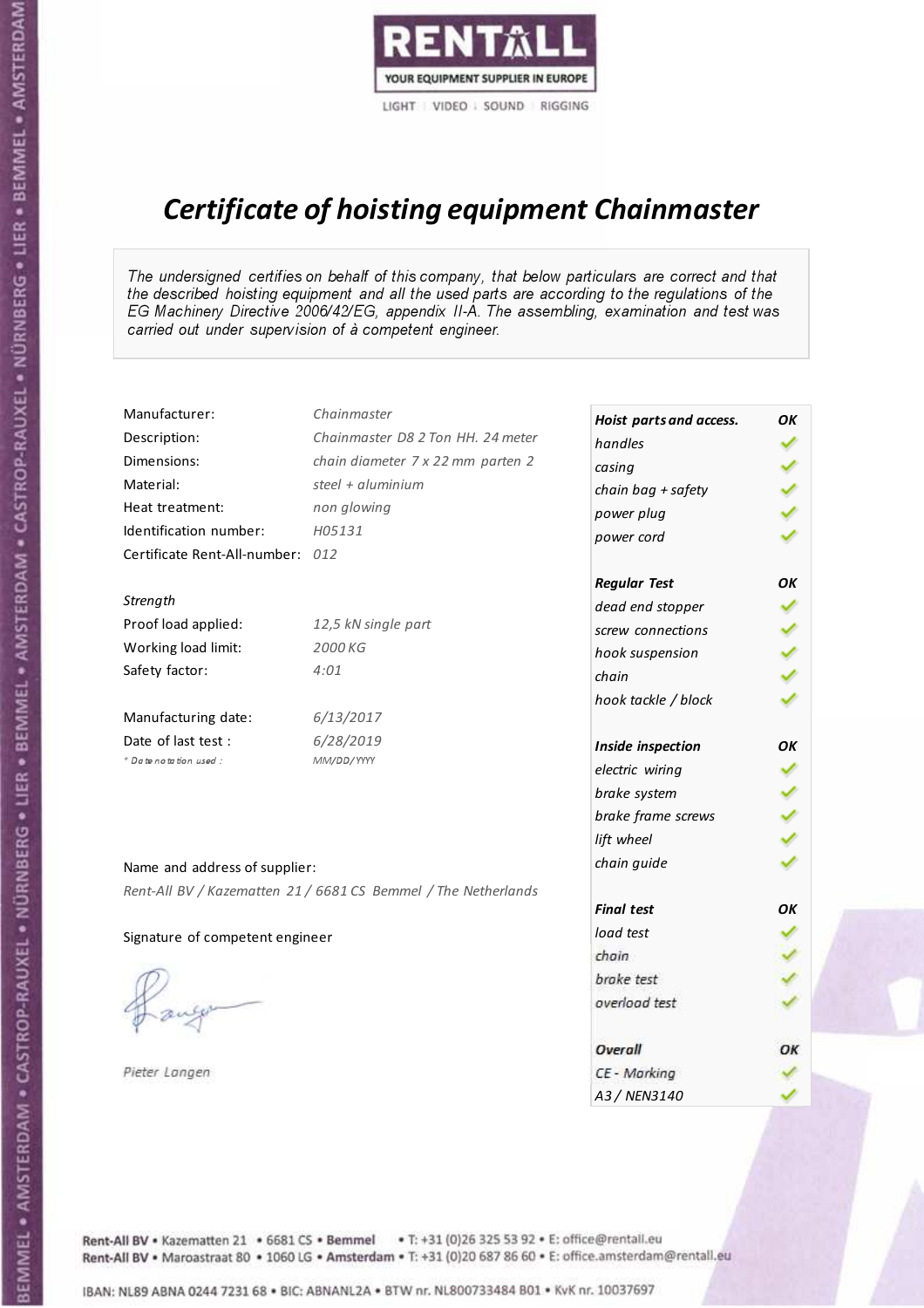

# Certificate of hoisting equipment Chainmaster

The undersigned certifies on behalf of this company, that below particulars are correct and that the described hoisting equipment and all the used parts are according to the regulations of the EG Machinery Directive 2006/42/EG, appendix II-A. The assembling, examination and test was carried out under supervision of à competent engineer.

| Manufacturer:                    | Chainmaster                                                    | Hoist parts and access. | ΟK |
|----------------------------------|----------------------------------------------------------------|-------------------------|----|
| Description:                     | Chainmaster D8 2 Ton HH. 24 meter                              | handles                 |    |
| Dimensions:                      | chain diameter 7 x 22 mm parten 2                              | casing                  |    |
| Material:                        | steel + aluminium                                              | chain bag + safety      |    |
| Heat treatment:                  | non glowing                                                    | power plug              |    |
| Identification number:           | H05131                                                         | power cord              |    |
| Certificate Rent-All-number: 012 |                                                                |                         |    |
|                                  |                                                                | <b>Regular Test</b>     | OΚ |
| Strength                         |                                                                | dead end stopper        |    |
| Proof load applied:              | 12,5 kN single part                                            | screw connections       |    |
| Working load limit:              | 2000 KG                                                        | hook suspension         |    |
| Safety factor:                   | 4:01                                                           | chain                   |    |
|                                  |                                                                | hook tackle / block     |    |
| Manufacturing date:              | 6/13/2017                                                      |                         |    |
| Date of last test :              | 6/28/2019                                                      | Inside inspection       | ΟK |
| + Date notation used :           | MM/DD/YYYY                                                     | electric wiring         |    |
|                                  |                                                                | brake system            |    |
|                                  |                                                                | brake frame screws      |    |
|                                  |                                                                | lift wheel              |    |
| Name and address of supplier:    |                                                                | chain guide             |    |
|                                  | Rent-All BV / Kazematten 21 / 6681 CS Bemmel / The Netherlands |                         |    |
|                                  |                                                                | <b>Final test</b>       | OK |
| Signature of competent engineer  |                                                                | load test               |    |
|                                  |                                                                | chain                   |    |
|                                  |                                                                | brake test              |    |
|                                  |                                                                | overload test           |    |
|                                  |                                                                | Overall                 | ОК |
| Pieter Langen                    |                                                                | CE - Marking            |    |
|                                  |                                                                | A3 / NEN3140            |    |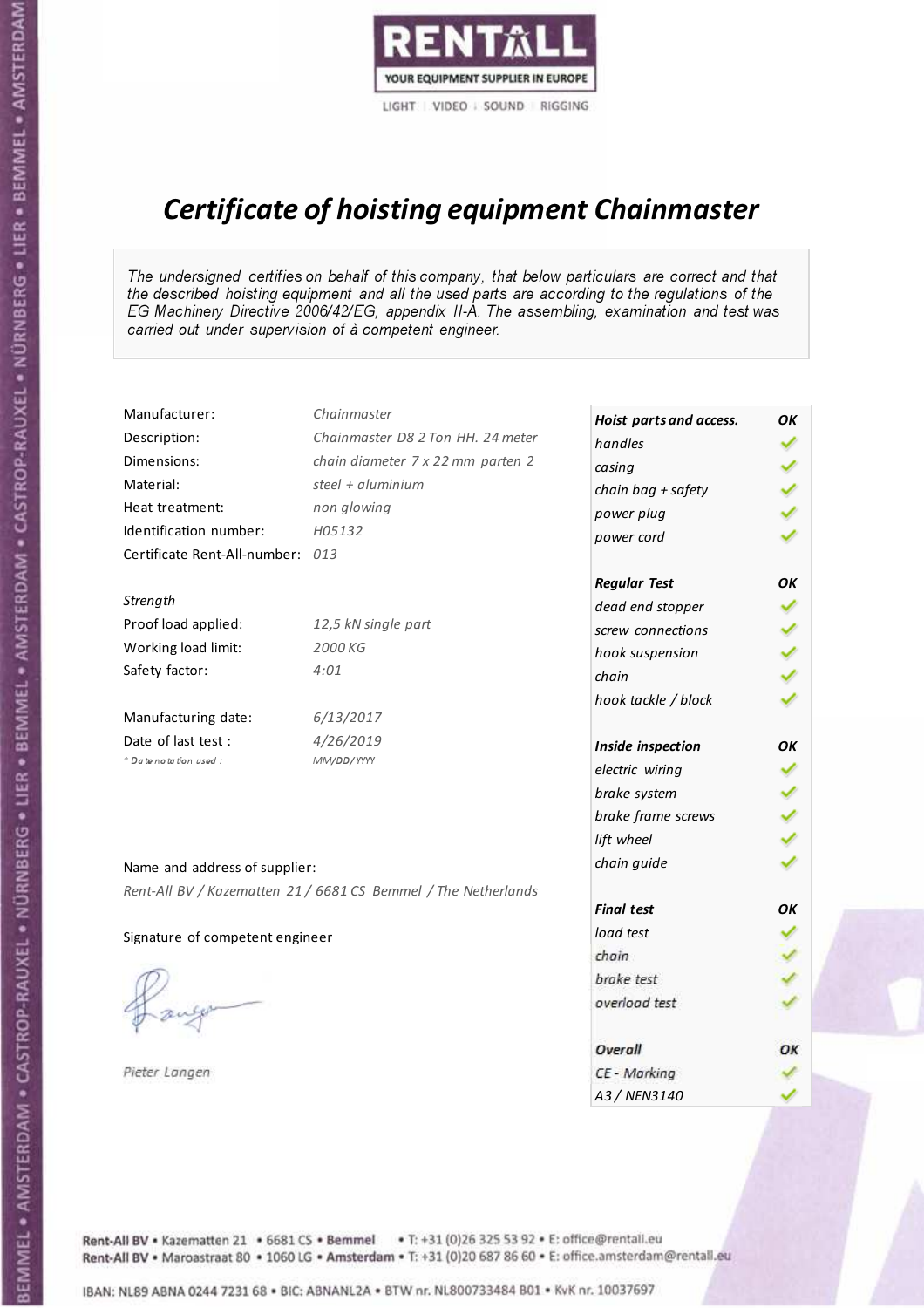

# Certificate of hoisting equipment Chainmaster

The undersigned certifies on behalf of this company, that below particulars are correct and that the described hoisting equipment and all the used parts are according to the regulations of the EG Machinery Directive 2006/42/EG, appendix II-A. The assembling, examination and test was carried out under supervision of à competent engineer.

| Manufacturer:                    | Chainmaster                                                    | Hoist parts and access. | OK |
|----------------------------------|----------------------------------------------------------------|-------------------------|----|
| Description:                     | Chainmaster D8 2 Ton HH. 24 meter                              | handles                 |    |
| Dimensions:                      | chain diameter 7 x 22 mm parten 2                              | casing                  |    |
| Material:                        | steel + aluminium                                              | chain bag + safety      |    |
| Heat treatment:                  | non glowing                                                    | power plug              |    |
| Identification number:           | H05132                                                         | power cord              |    |
| Certificate Rent-All-number: 013 |                                                                |                         |    |
|                                  |                                                                | <b>Regular Test</b>     | OK |
| Strength                         |                                                                | dead end stopper        |    |
| Proof load applied:              | 12,5 kN single part                                            | screw connections       |    |
| Working load limit:              | 2000 KG                                                        | hook suspension         |    |
| Safety factor:                   | 4:01                                                           | chain                   |    |
|                                  |                                                                | hook tackle / block     |    |
| Manufacturing date:              | 6/13/2017                                                      |                         |    |
| Date of last test :              | 4/26/2019                                                      | Inside inspection       | OK |
| * Date notation used :           | MM/DD/YYYY                                                     | electric wiring         |    |
|                                  |                                                                | brake system            |    |
|                                  |                                                                | brake frame screws      |    |
|                                  |                                                                | lift wheel              |    |
| Name and address of supplier:    |                                                                | chain guide             |    |
|                                  | Rent-All BV / Kazematten 21 / 6681 CS Bemmel / The Netherlands |                         |    |
|                                  |                                                                | <b>Final test</b>       | OK |
| Signature of competent engineer  |                                                                | load test               |    |
|                                  |                                                                | chain                   |    |
|                                  |                                                                | brake test              |    |
|                                  |                                                                | overload test           |    |
|                                  |                                                                | Overall                 | OK |
| Pieter Langen                    |                                                                | CE - Marking            |    |
|                                  |                                                                | A3 / NEN3140            |    |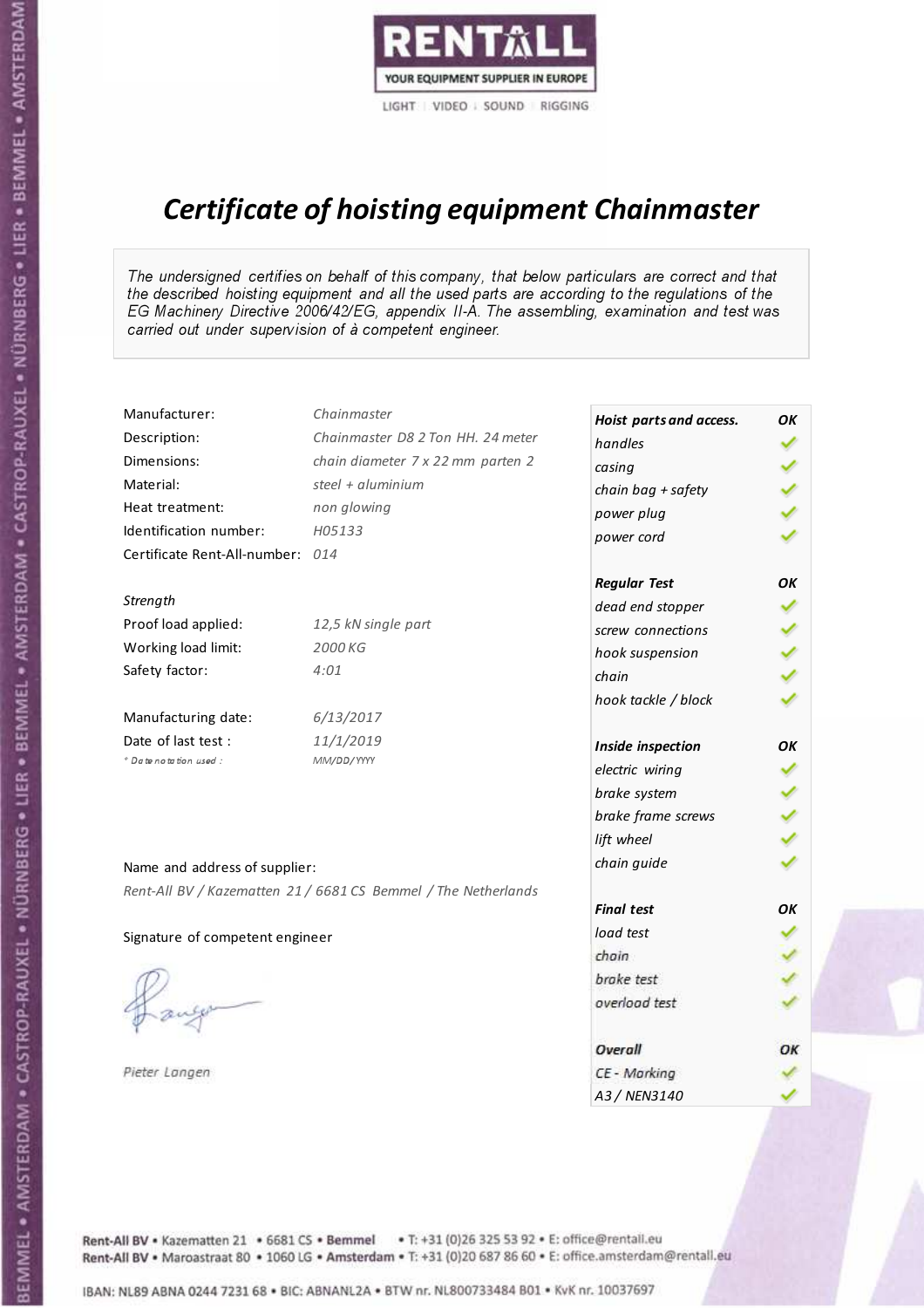

# Certificate of hoisting equipment Chainmaster

The undersigned certifies on behalf of this company, that below particulars are correct and that the described hoisting equipment and all the used parts are according to the regulations of the EG Machinery Directive 2006/42/EG, appendix II-A. The assembling, examination and test was carried out under supervision of à competent engineer.

| Manufacturer:                    | Chainmaster                                                    | Hoist parts and access. | OK |
|----------------------------------|----------------------------------------------------------------|-------------------------|----|
| Description:                     | Chainmaster D8 2 Ton HH. 24 meter                              | handles                 |    |
| Dimensions:                      | chain diameter 7 x 22 mm parten 2                              | casing                  |    |
| Material:                        | steel + aluminium                                              | chain bag + safety      |    |
| Heat treatment:                  | non glowing                                                    | power plug              |    |
| Identification number:           | H05133                                                         | power cord              |    |
| Certificate Rent-All-number: 014 |                                                                |                         |    |
|                                  |                                                                | <b>Regular Test</b>     | OK |
| Strength                         |                                                                | dead end stopper        |    |
| Proof load applied:              | 12,5 kN single part                                            | screw connections       |    |
| Working load limit:              | 2000 KG                                                        | hook suspension         |    |
| Safety factor:                   | 4:01                                                           | chain                   |    |
|                                  |                                                                | hook tackle / block     |    |
| Manufacturing date:              | 6/13/2017                                                      |                         |    |
| Date of last test :              | 11/1/2019                                                      | Inside inspection       | OK |
| + Date notation used :           | MM/DD/YYYY                                                     | electric wiring         |    |
|                                  |                                                                | brake system            |    |
|                                  |                                                                | brake frame screws      |    |
|                                  |                                                                | lift wheel              |    |
|                                  |                                                                | chain guide             |    |
| Name and address of supplier:    |                                                                |                         |    |
|                                  | Rent-All BV / Kazematten 21 / 6681 CS Bemmel / The Netherlands | <b>Final test</b>       | OK |
|                                  |                                                                | load test               |    |
| Signature of competent engineer  |                                                                | chain                   |    |
|                                  |                                                                | brake test              |    |
|                                  |                                                                | overload test           |    |
|                                  |                                                                |                         |    |
|                                  |                                                                | Overall                 | OK |
| Pieter Langen                    |                                                                | CE - Marking            |    |
|                                  |                                                                | A3 / NEN3140            |    |

Rent-All BV . Kazematten 21 . 6681 CS . Bemmel . T: +31 (0)26 325 53 92 . E: office@rentall.eu Rent-All BV · Maroastraat 80 · 1060 LG · Amsterdam · T: +31 (0)20 687 86 60 · E: office.amsterdam@rentall.eu

IBAN: NL89 ABNA 0244 7231 68 . BIC: ABNANL2A . BTW nr. NL800733484 B01 . KvK nr. 10037697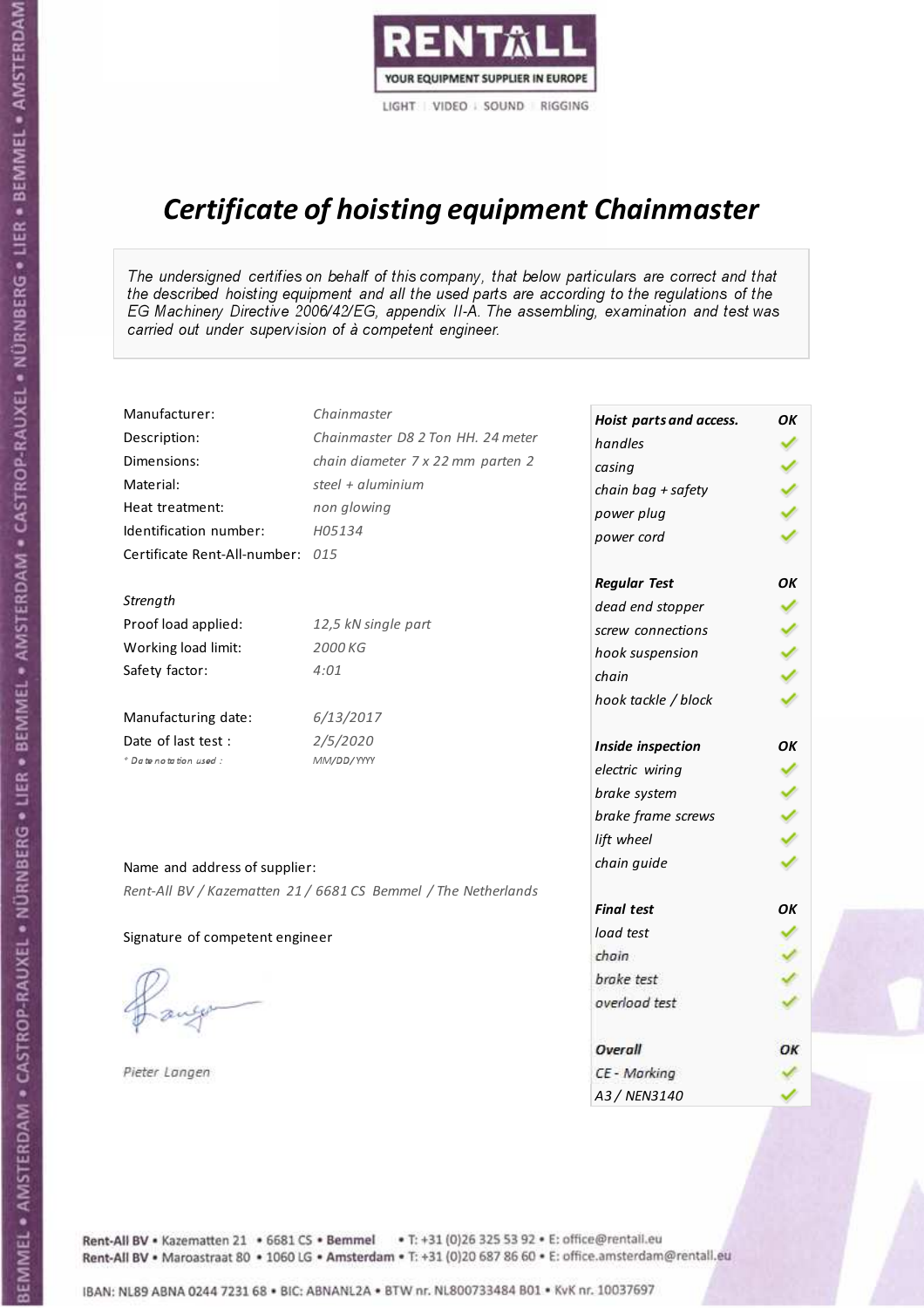

# Certificate of hoisting equipment Chainmaster

The undersigned certifies on behalf of this company, that below particulars are correct and that the described hoisting equipment and all the used parts are according to the regulations of the EG Machinery Directive 2006/42/EG, appendix II-A. The assembling, examination and test was carried out under supervision of à competent engineer.

| Chainmaster                       |                                                                                                                                                                        | OK                                                                                                                                                                                                                                                                                                                                                                       |
|-----------------------------------|------------------------------------------------------------------------------------------------------------------------------------------------------------------------|--------------------------------------------------------------------------------------------------------------------------------------------------------------------------------------------------------------------------------------------------------------------------------------------------------------------------------------------------------------------------|
| Chainmaster D8 2 Ton HH. 24 meter | handles                                                                                                                                                                |                                                                                                                                                                                                                                                                                                                                                                          |
| chain diameter 7 x 22 mm parten 2 | casing                                                                                                                                                                 |                                                                                                                                                                                                                                                                                                                                                                          |
| steel + aluminium                 |                                                                                                                                                                        |                                                                                                                                                                                                                                                                                                                                                                          |
| non glowing                       |                                                                                                                                                                        |                                                                                                                                                                                                                                                                                                                                                                          |
| H05134                            |                                                                                                                                                                        |                                                                                                                                                                                                                                                                                                                                                                          |
|                                   |                                                                                                                                                                        |                                                                                                                                                                                                                                                                                                                                                                          |
|                                   |                                                                                                                                                                        | OK                                                                                                                                                                                                                                                                                                                                                                       |
|                                   |                                                                                                                                                                        |                                                                                                                                                                                                                                                                                                                                                                          |
| 12,5 kN single part               |                                                                                                                                                                        |                                                                                                                                                                                                                                                                                                                                                                          |
| 2000 KG                           |                                                                                                                                                                        |                                                                                                                                                                                                                                                                                                                                                                          |
| 4:01                              | chain                                                                                                                                                                  |                                                                                                                                                                                                                                                                                                                                                                          |
|                                   |                                                                                                                                                                        |                                                                                                                                                                                                                                                                                                                                                                          |
| 6/13/2017                         |                                                                                                                                                                        |                                                                                                                                                                                                                                                                                                                                                                          |
| 2/5/2020                          |                                                                                                                                                                        | OK                                                                                                                                                                                                                                                                                                                                                                       |
| MM/DD/YYYY                        |                                                                                                                                                                        |                                                                                                                                                                                                                                                                                                                                                                          |
|                                   |                                                                                                                                                                        |                                                                                                                                                                                                                                                                                                                                                                          |
|                                   |                                                                                                                                                                        |                                                                                                                                                                                                                                                                                                                                                                          |
|                                   |                                                                                                                                                                        |                                                                                                                                                                                                                                                                                                                                                                          |
|                                   |                                                                                                                                                                        |                                                                                                                                                                                                                                                                                                                                                                          |
|                                   |                                                                                                                                                                        |                                                                                                                                                                                                                                                                                                                                                                          |
|                                   |                                                                                                                                                                        | OK                                                                                                                                                                                                                                                                                                                                                                       |
|                                   |                                                                                                                                                                        |                                                                                                                                                                                                                                                                                                                                                                          |
|                                   |                                                                                                                                                                        |                                                                                                                                                                                                                                                                                                                                                                          |
|                                   |                                                                                                                                                                        |                                                                                                                                                                                                                                                                                                                                                                          |
|                                   |                                                                                                                                                                        |                                                                                                                                                                                                                                                                                                                                                                          |
|                                   |                                                                                                                                                                        |                                                                                                                                                                                                                                                                                                                                                                          |
|                                   | Overall                                                                                                                                                                | OK                                                                                                                                                                                                                                                                                                                                                                       |
|                                   | CE - Marking                                                                                                                                                           |                                                                                                                                                                                                                                                                                                                                                                          |
|                                   | A3 / NEN3140                                                                                                                                                           |                                                                                                                                                                                                                                                                                                                                                                          |
|                                   | Certificate Rent-All-number: 015<br>Name and address of supplier:<br>Rent-All BV / Kazematten 21 / 6681 CS Bemmel / The Netherlands<br>Signature of competent engineer | Hoist parts and access.<br>chain bag + safety<br>power plug<br>power cord<br><b>Regular Test</b><br>dead end stopper<br>screw connections<br>hook suspension<br>hook tackle / block<br>Inside inspection<br>electric wiring<br>brake system<br>brake frame screws<br>lift wheel<br>chain guide<br><b>Final test</b><br>load test<br>chain<br>brake test<br>overload test |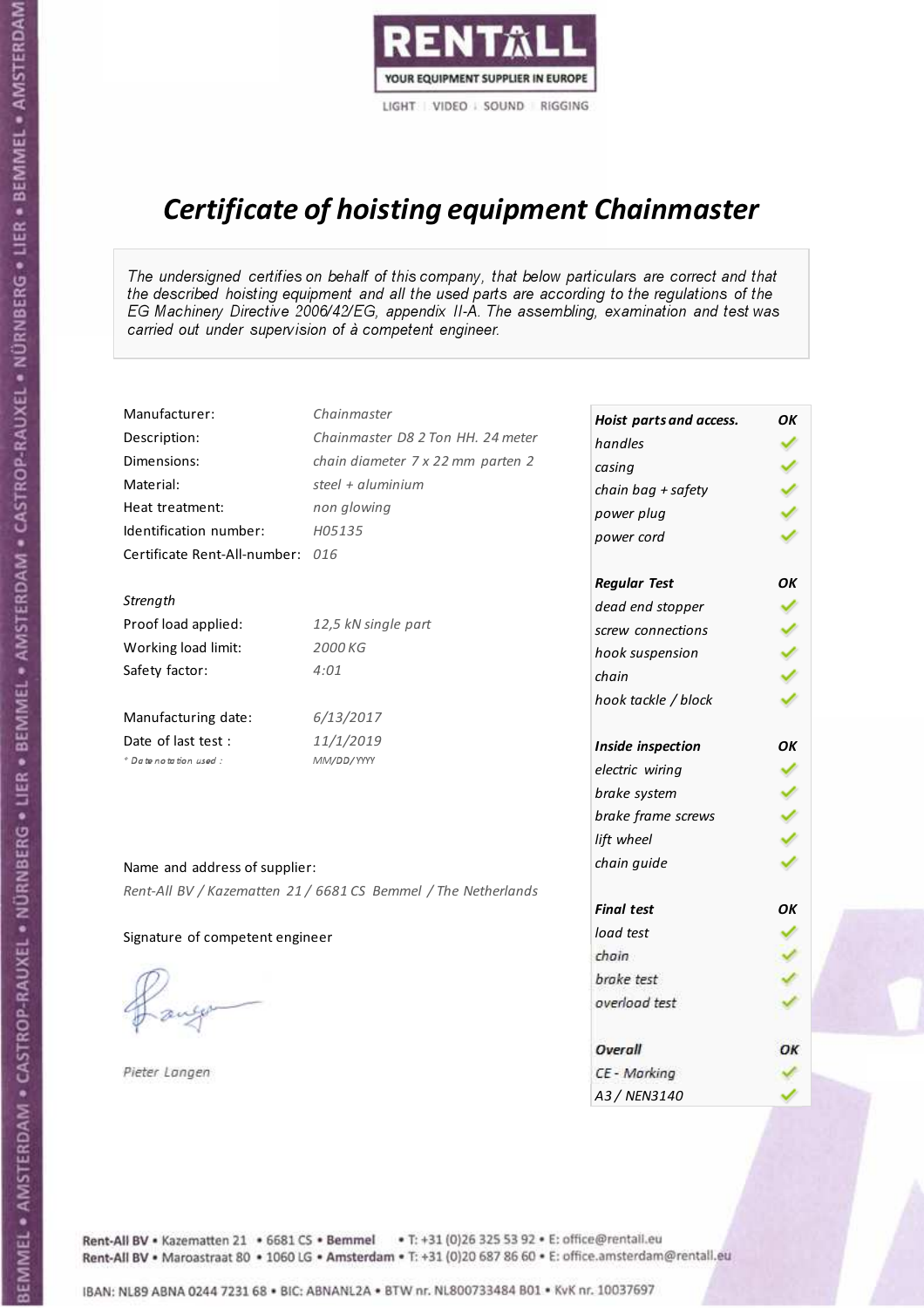

# Certificate of hoisting equipment Chainmaster

The undersigned certifies on behalf of this company, that below particulars are correct and that the described hoisting equipment and all the used parts are according to the regulations of the EG Machinery Directive 2006/42/EG, appendix II-A. The assembling, examination and test was carried out under supervision of à competent engineer.

| Manufacturer:                    | Chainmaster                                                    | Hoist parts and access. | OK |
|----------------------------------|----------------------------------------------------------------|-------------------------|----|
| Description:                     | Chainmaster D8 2 Ton HH. 24 meter                              | handles                 |    |
| Dimensions:                      | chain diameter 7 x 22 mm parten 2                              | casing                  |    |
| Material:                        | steel + $aluminim$                                             | chain bag + safety      |    |
| Heat treatment:                  | non glowing                                                    | power plug              |    |
| Identification number:           | H05135                                                         | power cord              |    |
| Certificate Rent-All-number: 016 |                                                                |                         |    |
|                                  |                                                                | <b>Regular Test</b>     | OK |
| Strength                         |                                                                | dead end stopper        |    |
| Proof load applied:              | 12,5 kN single part                                            | screw connections       |    |
| Working load limit:              | 2000 KG                                                        | hook suspension         |    |
| Safety factor:                   | 4:01                                                           | chain                   |    |
|                                  |                                                                | hook tackle / block     |    |
| Manufacturing date:              | 6/13/2017                                                      |                         |    |
| Date of last test :              | 11/1/2019                                                      | Inside inspection       | OK |
| * Date notation used :           | MM/DD/YYYY                                                     | electric wiring         |    |
|                                  |                                                                | brake system            |    |
|                                  |                                                                | brake frame screws      |    |
|                                  |                                                                | lift wheel              |    |
|                                  |                                                                | chain guide             |    |
| Name and address of supplier:    |                                                                |                         |    |
|                                  | Rent-All BV / Kazematten 21 / 6681 CS Bemmel / The Netherlands | <b>Final test</b>       | OK |
|                                  |                                                                | load test               |    |
| Signature of competent engineer  |                                                                | chain                   |    |
|                                  |                                                                | brake test              |    |
|                                  |                                                                | overload test           |    |
|                                  |                                                                |                         |    |
|                                  |                                                                | Overall                 | OK |
| Pieter Langen                    |                                                                | CE - Marking            |    |
|                                  |                                                                | A3 / NEN3140            |    |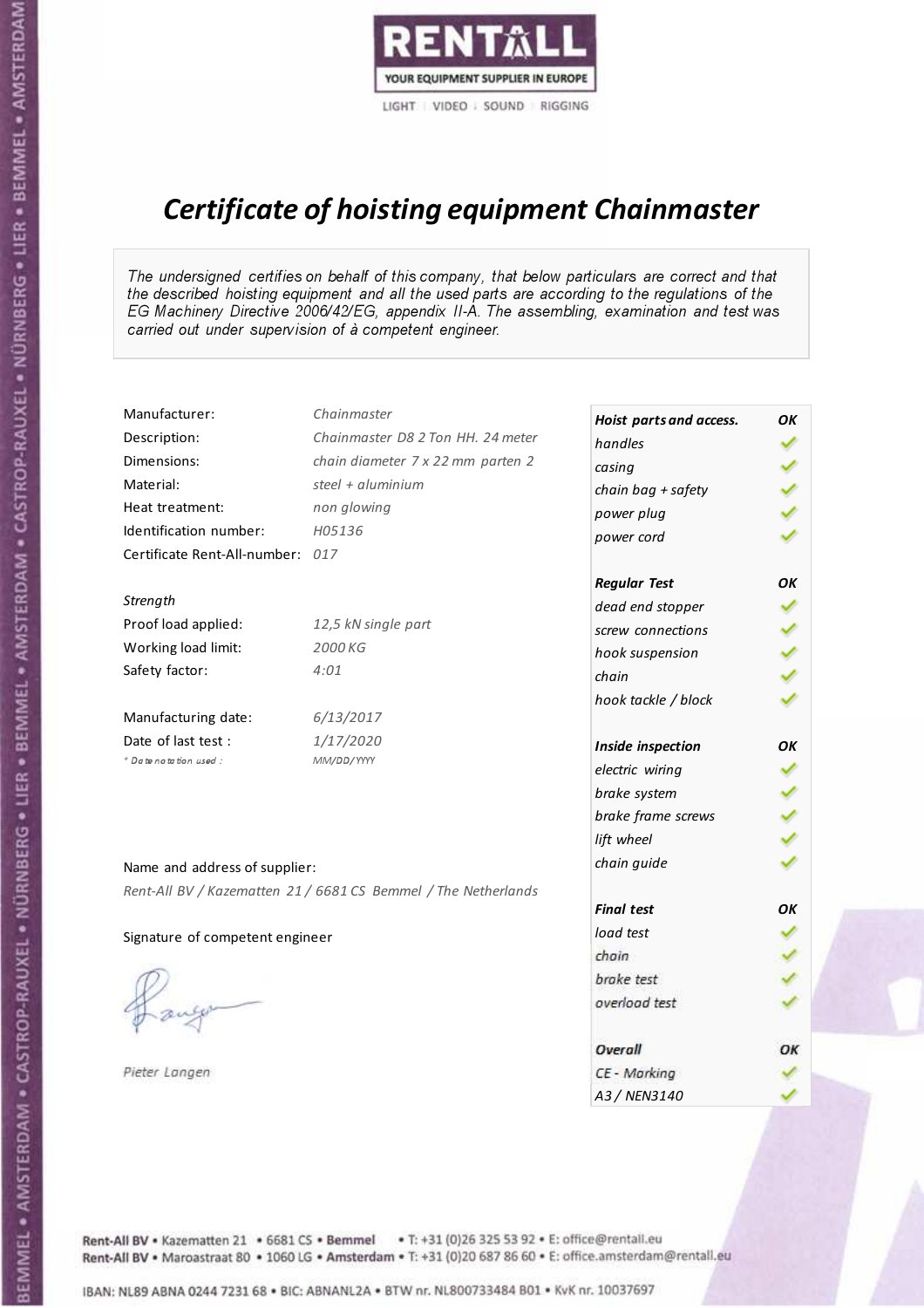

# Certificate of hoisting equipment Chainmaster

The undersigned certifies on behalf of this company, that below particulars are correct and that the described hoisting equipment and all the used parts are according to the regulations of the EG Machinery Directive 2006/42/EG, appendix II-A. The assembling, examination and test was carried out under supervision of à competent engineer.

| Manufacturer:                    | Chainmaster                                                    | Hoist parts and access. | OK |
|----------------------------------|----------------------------------------------------------------|-------------------------|----|
| Description:                     | Chainmaster D8 2 Ton HH. 24 meter                              | handles                 |    |
| Dimensions:                      | chain diameter 7 x 22 mm parten 2                              | casing                  |    |
| Material:                        | steel + aluminium                                              | chain bag + safety      |    |
| Heat treatment:                  | non glowing                                                    | power plug              |    |
| Identification number:           | H05136                                                         | power cord              |    |
| Certificate Rent-All-number: 017 |                                                                |                         |    |
|                                  |                                                                | <b>Regular Test</b>     | OK |
| Strength                         |                                                                | dead end stopper        |    |
| Proof load applied:              | 12,5 kN single part                                            | screw connections       |    |
| Working load limit:              | 2000 KG                                                        | hook suspension         |    |
| Safety factor:                   | 4:01                                                           | chain                   |    |
|                                  |                                                                | hook tackle / block     |    |
| Manufacturing date:              | 6/13/2017                                                      |                         |    |
| Date of last test :              | 1/17/2020                                                      | Inside inspection       | OK |
| * Date notation used :           | MM/DD/YYYY                                                     | electric wiring         |    |
|                                  |                                                                | brake system            |    |
|                                  |                                                                | brake frame screws      |    |
|                                  |                                                                | lift wheel              |    |
| Name and address of supplier:    |                                                                | chain guide             |    |
|                                  | Rent-All BV / Kazematten 21 / 6681 CS Bemmel / The Netherlands |                         |    |
|                                  |                                                                | <b>Final test</b>       | OK |
| Signature of competent engineer  |                                                                | load test               |    |
|                                  |                                                                | chain                   |    |
|                                  |                                                                | brake test              |    |
|                                  |                                                                | overload test           |    |
|                                  |                                                                | Overall                 | ОК |
| Pieter Langen                    |                                                                | CE - Marking            |    |
|                                  |                                                                | A3 / NEN3140            |    |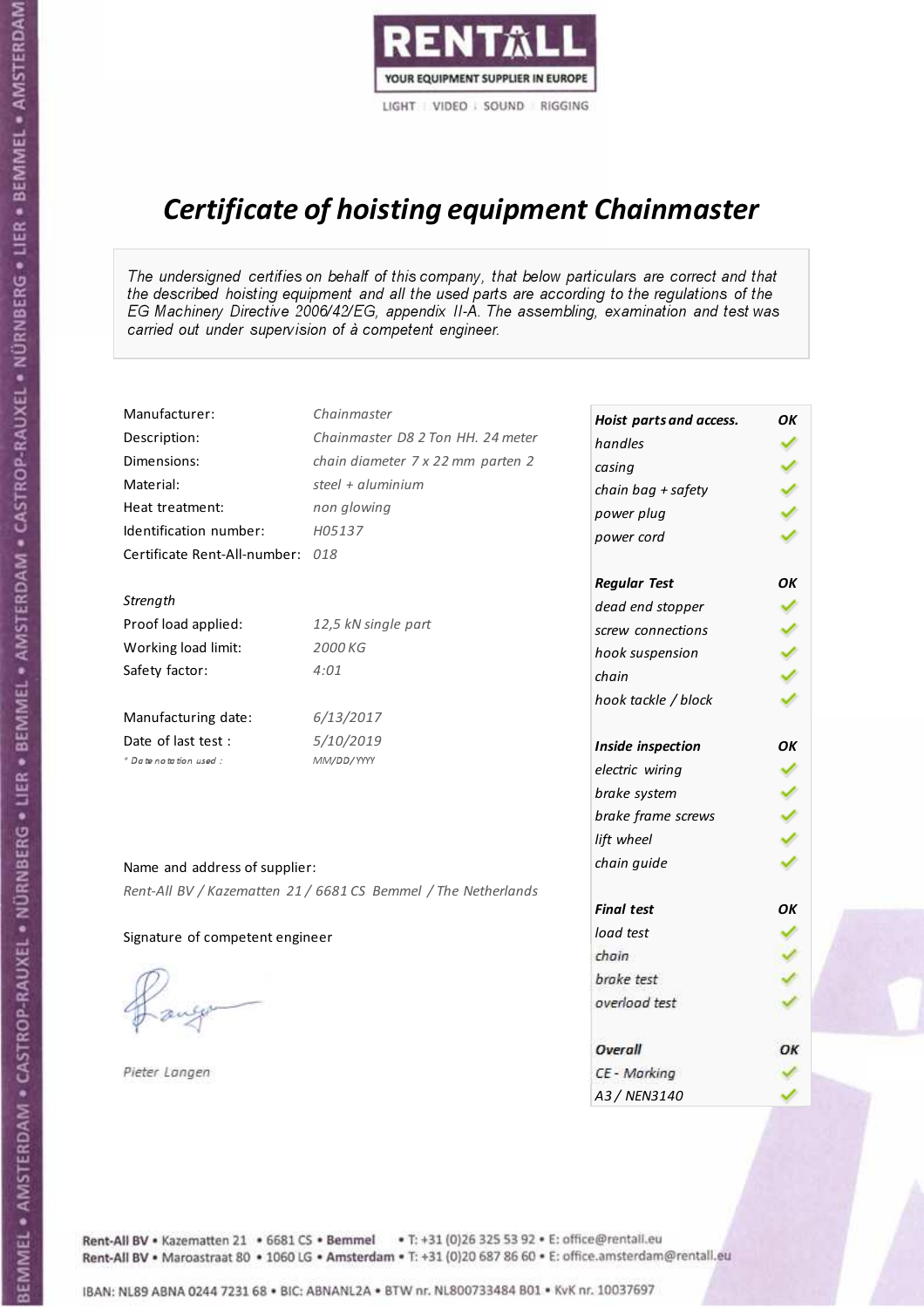

# Certificate of hoisting equipment Chainmaster

The undersigned certifies on behalf of this company, that below particulars are correct and that the described hoisting equipment and all the used parts are according to the regulations of the EG Machinery Directive 2006/42/EG, appendix II-A. The assembling, examination and test was carried out under supervision of à competent engineer.

| Manufacturer:                    | Chainmaster                                                    | Hoist parts and access. | OK |
|----------------------------------|----------------------------------------------------------------|-------------------------|----|
| Description:                     | Chainmaster D8 2 Ton HH. 24 meter                              | handles                 |    |
| Dimensions:                      | chain diameter 7 x 22 mm parten 2                              | casing                  |    |
| Material:                        | steel + aluminium                                              | chain bag + safety      |    |
| Heat treatment:                  | non glowing                                                    | power plug              |    |
| Identification number:           | H05137                                                         | power cord              |    |
| Certificate Rent-All-number: 018 |                                                                |                         |    |
|                                  |                                                                | <b>Regular Test</b>     | OK |
| Strength                         |                                                                | dead end stopper        |    |
| Proof load applied:              | 12,5 kN single part                                            | screw connections       |    |
| Working load limit:              | 2000 KG                                                        | hook suspension         |    |
| Safety factor:                   | 4:01                                                           | chain                   |    |
|                                  |                                                                | hook tackle / block     |    |
| Manufacturing date:              | 6/13/2017                                                      |                         |    |
| Date of last test :              | 5/10/2019                                                      | Inside inspection       | OK |
| * Date notation used :           | MM/DD/YYYY                                                     | electric wiring         |    |
|                                  |                                                                | brake system            |    |
|                                  |                                                                | brake frame screws      |    |
|                                  |                                                                | lift wheel              |    |
| Name and address of supplier:    |                                                                | chain guide             |    |
|                                  | Rent-All BV / Kazematten 21 / 6681 CS Bemmel / The Netherlands |                         |    |
|                                  |                                                                | <b>Final test</b>       | OK |
| Signature of competent engineer  |                                                                | load test               |    |
|                                  |                                                                | chain                   |    |
|                                  |                                                                | brake test              |    |
|                                  |                                                                | overload test           |    |
|                                  |                                                                | Overall                 | OK |
| Pieter Langen                    |                                                                | CE - Marking            |    |
|                                  |                                                                | A3 / NEN3140            |    |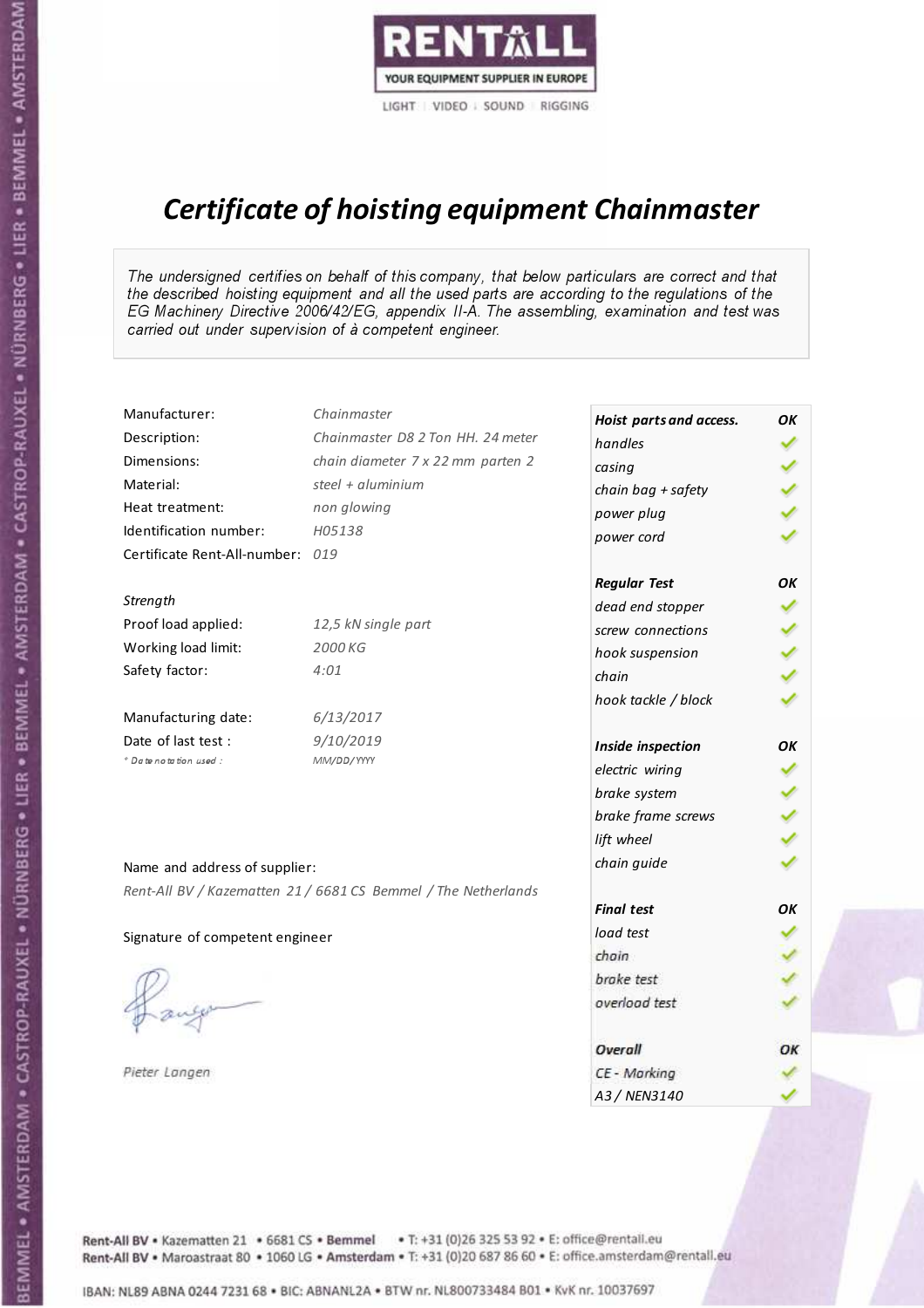

# Certificate of hoisting equipment Chainmaster

The undersigned certifies on behalf of this company, that below particulars are correct and that the described hoisting equipment and all the used parts are according to the regulations of the EG Machinery Directive 2006/42/EG, appendix II-A. The assembling, examination and test was carried out under supervision of à competent engineer.

| Manufacturer:                    | Chainmaster                                                    | Hoist parts and access. | OK |
|----------------------------------|----------------------------------------------------------------|-------------------------|----|
| Description:                     | Chainmaster D8 2 Ton HH. 24 meter                              | handles                 |    |
| Dimensions:                      | chain diameter 7 x 22 mm parten 2                              | casing                  |    |
| Material:                        | steel + $aluminim$                                             | chain bag + safety      |    |
| Heat treatment:                  | non glowing                                                    | power plug              |    |
| Identification number:           | H05138                                                         | power cord              |    |
| Certificate Rent-All-number: 019 |                                                                |                         |    |
|                                  |                                                                | <b>Regular Test</b>     | OK |
| Strength                         |                                                                | dead end stopper        |    |
| Proof load applied:              | 12,5 kN single part                                            | screw connections       |    |
| Working load limit:              | 2000 KG                                                        | hook suspension         |    |
| Safety factor:                   | 4:01                                                           | chain                   |    |
|                                  |                                                                | hook tackle / block     |    |
| Manufacturing date:              | 6/13/2017                                                      |                         |    |
| Date of last test:               | 9/10/2019                                                      | Inside inspection       | OK |
| * Date notation used :           | MM/DD/YYYY                                                     | electric wiring         |    |
|                                  |                                                                | brake system            |    |
|                                  |                                                                | brake frame screws      |    |
|                                  |                                                                | lift wheel              |    |
| Name and address of supplier:    |                                                                | chain guide             |    |
|                                  | Rent-All BV / Kazematten 21 / 6681 CS Bemmel / The Netherlands |                         |    |
|                                  |                                                                | <b>Final test</b>       | OK |
| Signature of competent engineer  |                                                                | load test               |    |
|                                  |                                                                | chain                   |    |
|                                  |                                                                | brake test              |    |
|                                  |                                                                | overload test           |    |
|                                  |                                                                | Overall                 | OK |
| Pieter Langen                    |                                                                | CE - Marking            |    |
|                                  |                                                                | A3 / NEN3140            |    |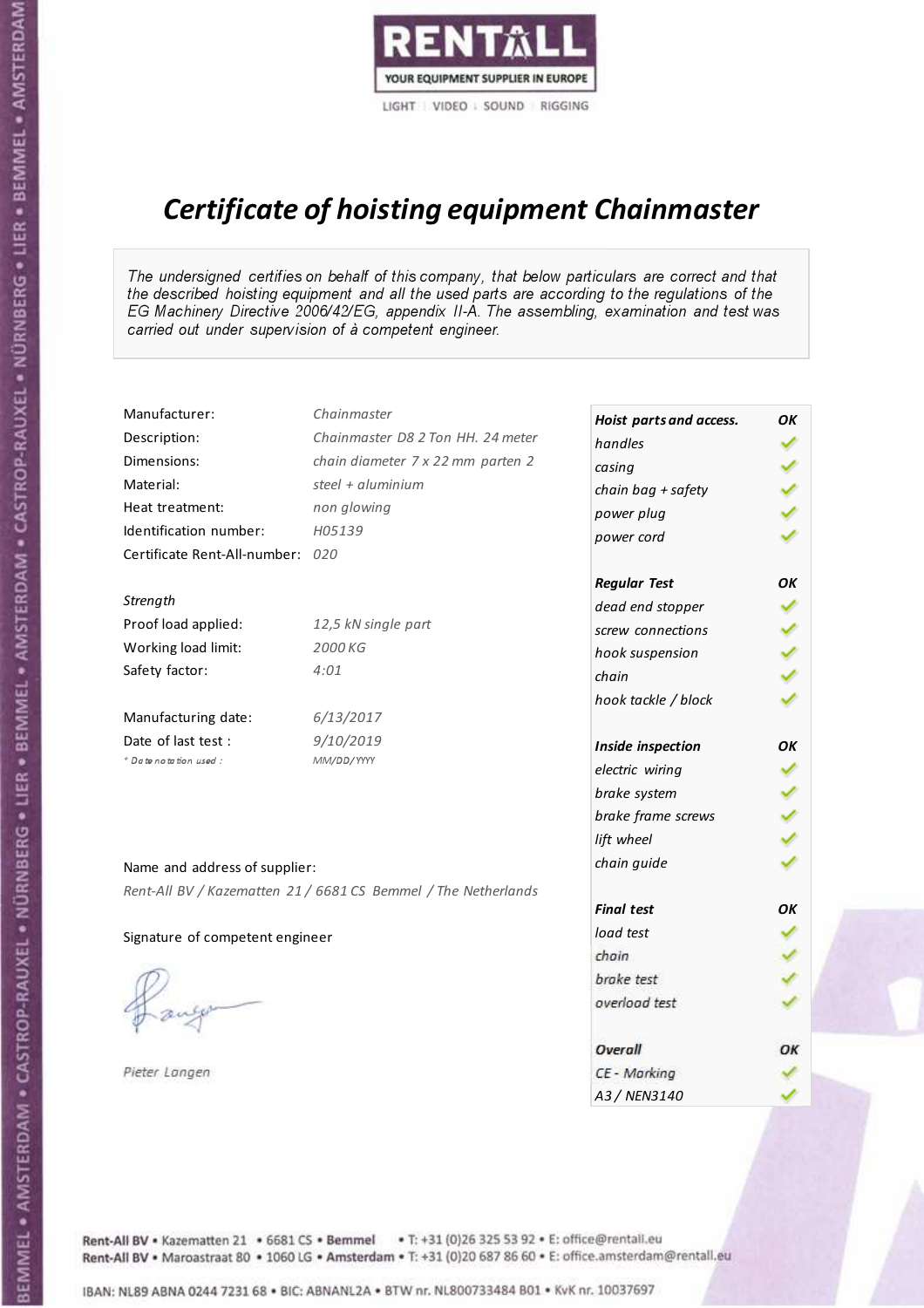

# Certificate of hoisting equipment Chainmaster

The undersigned certifies on behalf of this company, that below particulars are correct and that the described hoisting equipment and all the used parts are according to the regulations of the EG Machinery Directive 2006/42/EG, appendix II-A. The assembling, examination and test was carried out under supervision of à competent engineer.

| Manufacturer:                    | Chainmaster                                                    | Hoist parts and access. | OK |
|----------------------------------|----------------------------------------------------------------|-------------------------|----|
| Description:                     | Chainmaster D8 2 Ton HH. 24 meter                              | handles                 |    |
| Dimensions:                      | chain diameter 7 x 22 mm parten 2                              | casing                  |    |
| Material:                        | steel $+$ aluminium                                            | chain bag + safety      |    |
| Heat treatment:                  | non glowing                                                    | power plug              |    |
| Identification number:           | H05139                                                         | power cord              |    |
| Certificate Rent-All-number: 020 |                                                                |                         |    |
|                                  |                                                                | <b>Regular Test</b>     | OK |
| Strength                         |                                                                | dead end stopper        |    |
| Proof load applied:              | 12,5 kN single part                                            | screw connections       |    |
| Working load limit:              | 2000 KG                                                        | hook suspension         |    |
| Safety factor:                   | 4:01                                                           | chain                   |    |
|                                  |                                                                | hook tackle / block     |    |
| Manufacturing date:              | 6/13/2017                                                      |                         |    |
| Date of last test:               | 9/10/2019                                                      | Inside inspection       | OK |
| * Date notation used :           | MM/DD/YYYY                                                     | electric wiring         |    |
|                                  |                                                                | brake system            |    |
|                                  |                                                                | brake frame screws      |    |
|                                  |                                                                | lift wheel              |    |
| Name and address of supplier:    |                                                                | chain guide             |    |
|                                  | Rent-All BV / Kazematten 21 / 6681 CS Bemmel / The Netherlands |                         |    |
|                                  |                                                                | <b>Final test</b>       | OK |
| Signature of competent engineer  |                                                                | load test               |    |
|                                  |                                                                | chain                   |    |
|                                  |                                                                | brake test              |    |
|                                  |                                                                | overload test           |    |
|                                  |                                                                | Overall                 | OK |
| Pieter Langen                    |                                                                | CE - Marking            |    |
|                                  |                                                                | A3 / NEN3140            |    |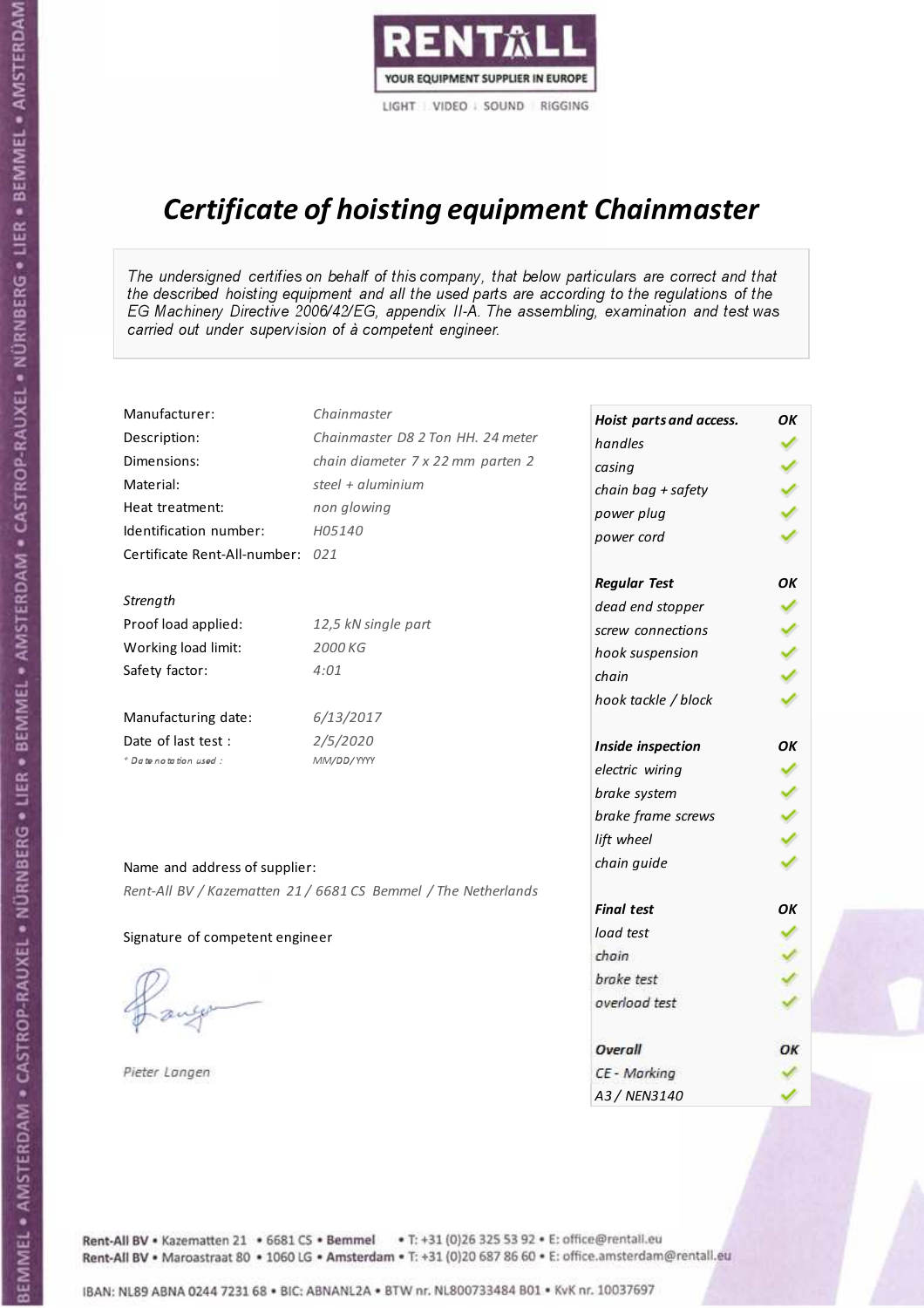

# Certificate of hoisting equipment Chainmaster

The undersigned certifies on behalf of this company, that below particulars are correct and that the described hoisting equipment and all the used parts are according to the regulations of the EG Machinery Directive 2006/42/EG, appendix II-A. The assembling, examination and test was carried out under supervision of à competent engineer.

| Manufacturer:                    | Chainmaster                                                    | Hoist parts and access. | OK |
|----------------------------------|----------------------------------------------------------------|-------------------------|----|
| Description:                     | Chainmaster D8 2 Ton HH. 24 meter                              | handles                 |    |
| Dimensions:                      | chain diameter 7 x 22 mm parten 2                              | casing                  |    |
| Material:                        | steel + $aluminium$                                            | chain bag + safety      |    |
| Heat treatment:                  | non glowing                                                    | power plug              |    |
| Identification number:           | H05140                                                         | power cord              |    |
| Certificate Rent-All-number: 021 |                                                                |                         |    |
|                                  |                                                                | <b>Regular Test</b>     | OK |
| Strength                         |                                                                | dead end stopper        |    |
| Proof load applied:              | 12,5 kN single part                                            | screw connections       |    |
| Working load limit:              | 2000 KG                                                        | hook suspension         |    |
| Safety factor:                   | 4:01                                                           | chain                   |    |
|                                  |                                                                | hook tackle / block     |    |
| Manufacturing date:              | 6/13/2017                                                      |                         |    |
| Date of last test :              | 2/5/2020                                                       | Inside inspection       | OK |
| * Date notation used :           | MM/DD/YYYY                                                     | electric wiring         |    |
|                                  |                                                                | brake system            |    |
|                                  |                                                                | brake frame screws      |    |
|                                  |                                                                | lift wheel              |    |
| Name and address of supplier:    |                                                                | chain guide             |    |
|                                  | Rent-All BV / Kazematten 21 / 6681 CS Bemmel / The Netherlands |                         |    |
|                                  |                                                                | <b>Final test</b>       | OK |
| Signature of competent engineer  |                                                                | load test               |    |
|                                  |                                                                | chain                   |    |
|                                  |                                                                | brake test              |    |
|                                  |                                                                | overload test           |    |
|                                  |                                                                |                         |    |
|                                  |                                                                | Overall                 | ОК |
| Pieter Langen                    |                                                                | CE - Marking            |    |
|                                  |                                                                | A3 / NEN3140            |    |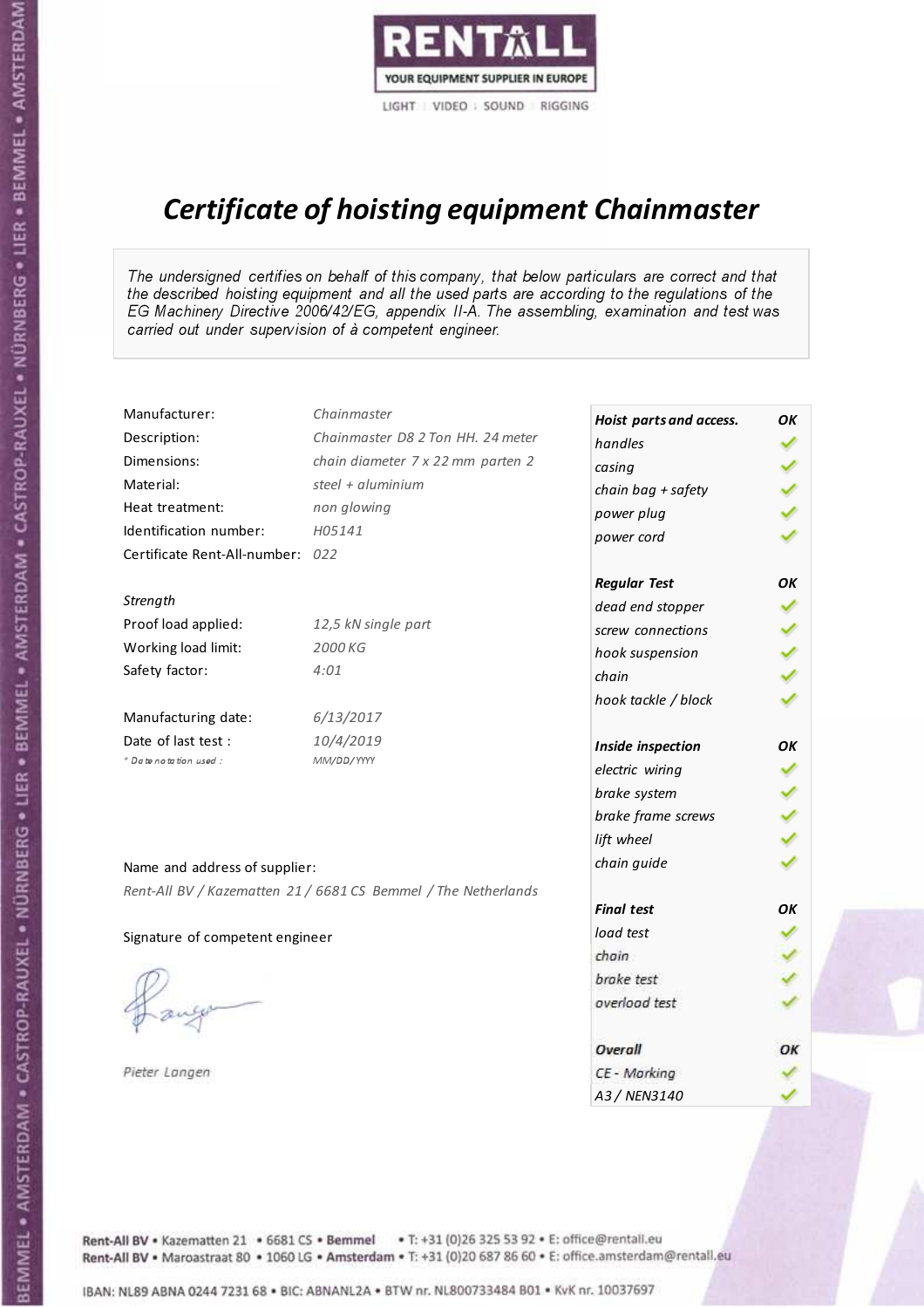

# Certificate of hoisting equipment Chainmaster

The undersigned certifies on behalf of this company, that below particulars are correct and that the described hoisting equipment and all the used parts are according to the regulations of the EG Machinery Directive 2006/42/EG, appendix II-A. The assembling, examination and test was carried out under supervision of à competent engineer.

| Manufacturer:                    | Chainmaster                                                    | Hoist parts and access. | OK |
|----------------------------------|----------------------------------------------------------------|-------------------------|----|
| Description:                     | Chainmaster D8 2 Ton HH. 24 meter                              | handles                 |    |
| Dimensions:                      | chain diameter 7 x 22 mm parten 2                              | casing                  |    |
| Material:                        | steel + $aluminim$                                             | chain bag + safety      |    |
| Heat treatment:                  | non glowing                                                    | power plug              |    |
| Identification number:           | H05141                                                         | power cord              |    |
| Certificate Rent-All-number: 022 |                                                                |                         |    |
|                                  |                                                                | <b>Regular Test</b>     | OK |
| Strength                         |                                                                | dead end stopper        |    |
| Proof load applied:              | 12,5 kN single part                                            | screw connections       |    |
| Working load limit:              | 2000 KG                                                        | hook suspension         |    |
| Safety factor:                   | 4:01                                                           | chain                   |    |
|                                  |                                                                | hook tackle / block     |    |
| Manufacturing date:              | 6/13/2017                                                      |                         |    |
| Date of last test:               | 10/4/2019                                                      | Inside inspection       | OK |
| * Date notation used :           | MM/DD/YYYY                                                     | electric wiring         |    |
|                                  |                                                                | brake system            |    |
|                                  |                                                                | brake frame screws      |    |
|                                  |                                                                | lift wheel              |    |
| Name and address of supplier:    |                                                                | chain guide             |    |
|                                  | Rent-All BV / Kazematten 21 / 6681 CS Bemmel / The Netherlands |                         |    |
|                                  |                                                                | <b>Final test</b>       | OK |
| Signature of competent engineer  |                                                                | load test               |    |
|                                  |                                                                | chain                   |    |
|                                  |                                                                | brake test              |    |
|                                  |                                                                | overload test           |    |
|                                  |                                                                | Overall                 | OK |
| Pieter Langen                    |                                                                | CE - Marking            |    |
|                                  |                                                                | A3 / NEN3140            |    |

BEMMEL • AMSTERDAM • CASTROP-RAUXEL • NÜRNBERG • LIER • BEMMEL • AMSTERDAM • CASTROP-RAUXEL • NÜRNBERG • LIER • BEMMEL • AMSTERDAM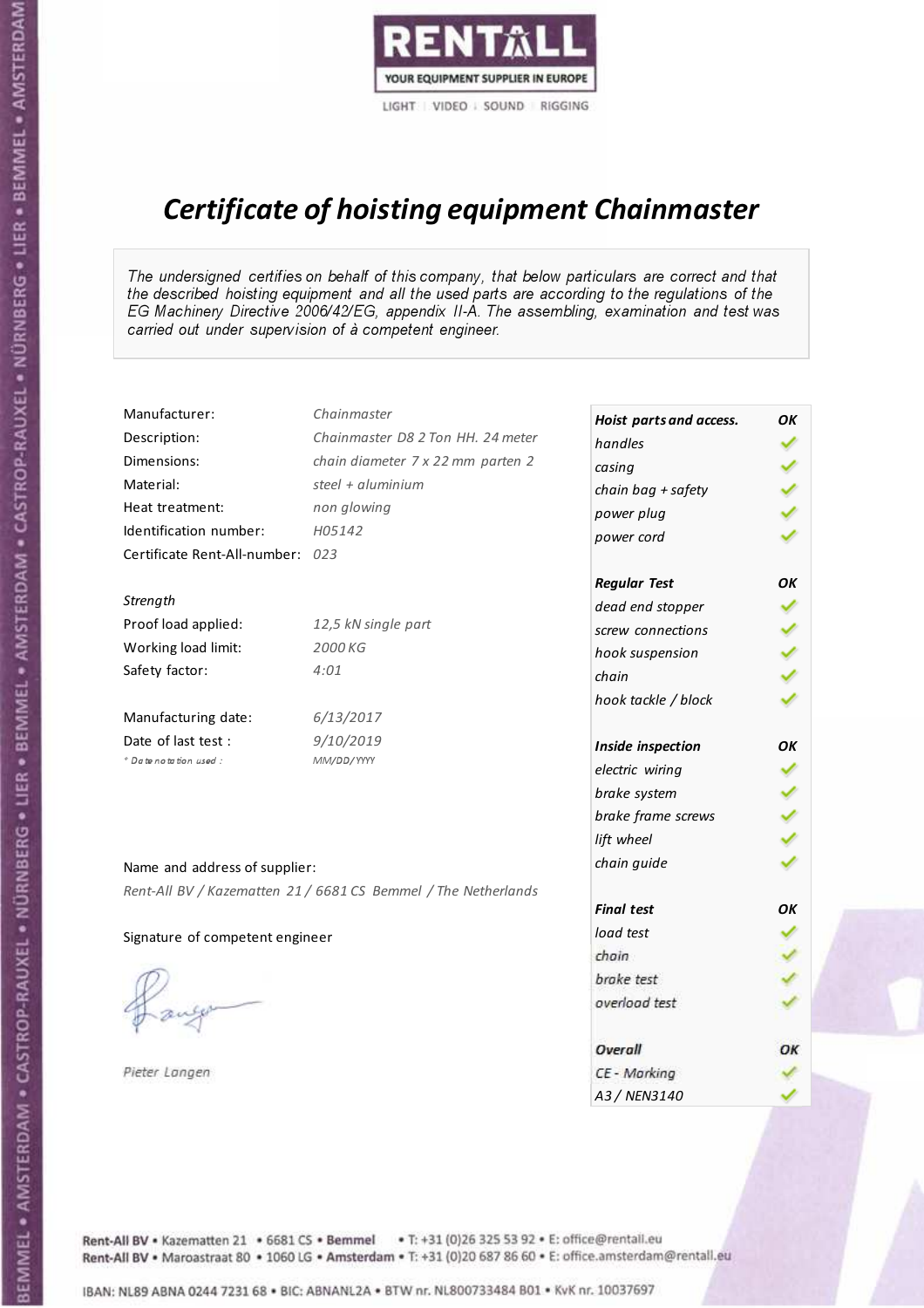

# Certificate of hoisting equipment Chainmaster

The undersigned certifies on behalf of this company, that below particulars are correct and that the described hoisting equipment and all the used parts are according to the regulations of the EG Machinery Directive 2006/42/EG, appendix II-A. The assembling, examination and test was carried out under supervision of à competent engineer.

| Manufacturer:                    | Chainmaster                                                    | Hoist parts and access. | OK |
|----------------------------------|----------------------------------------------------------------|-------------------------|----|
| Description:                     | Chainmaster D8 2 Ton HH. 24 meter                              | handles                 |    |
| Dimensions:                      | chain diameter 7 x 22 mm parten 2                              | casing                  |    |
| Material:                        | steel + $aluminim$                                             | chain bag + safety      |    |
| Heat treatment:                  | non glowing                                                    | power plug              |    |
| Identification number:           | H05142                                                         | power cord              |    |
| Certificate Rent-All-number: 023 |                                                                |                         |    |
|                                  |                                                                | <b>Regular Test</b>     | OK |
| Strength                         |                                                                | dead end stopper        |    |
| Proof load applied:              | 12,5 kN single part                                            | screw connections       |    |
| Working load limit:              | 2000 KG                                                        | hook suspension         |    |
| Safety factor:                   | 4:01                                                           | chain                   |    |
|                                  |                                                                | hook tackle / block     |    |
| Manufacturing date:              | 6/13/2017                                                      |                         |    |
| Date of last test:               | 9/10/2019                                                      | Inside inspection       | OK |
| * Date notation used :           | MM/DD/YYYY                                                     | electric wiring         |    |
|                                  |                                                                | brake system            |    |
|                                  |                                                                | brake frame screws      |    |
|                                  |                                                                | lift wheel              |    |
| Name and address of supplier:    |                                                                | chain guide             |    |
|                                  | Rent-All BV / Kazematten 21 / 6681 CS Bemmel / The Netherlands |                         |    |
|                                  |                                                                | <b>Final test</b>       | OK |
| Signature of competent engineer  |                                                                | load test               |    |
|                                  |                                                                | chain                   |    |
|                                  |                                                                | brake test              |    |
|                                  |                                                                | overload test           |    |
|                                  |                                                                | Overall                 | OK |
| Pieter Langen                    |                                                                | CE - Marking            |    |
|                                  |                                                                | A3 / NEN3140            |    |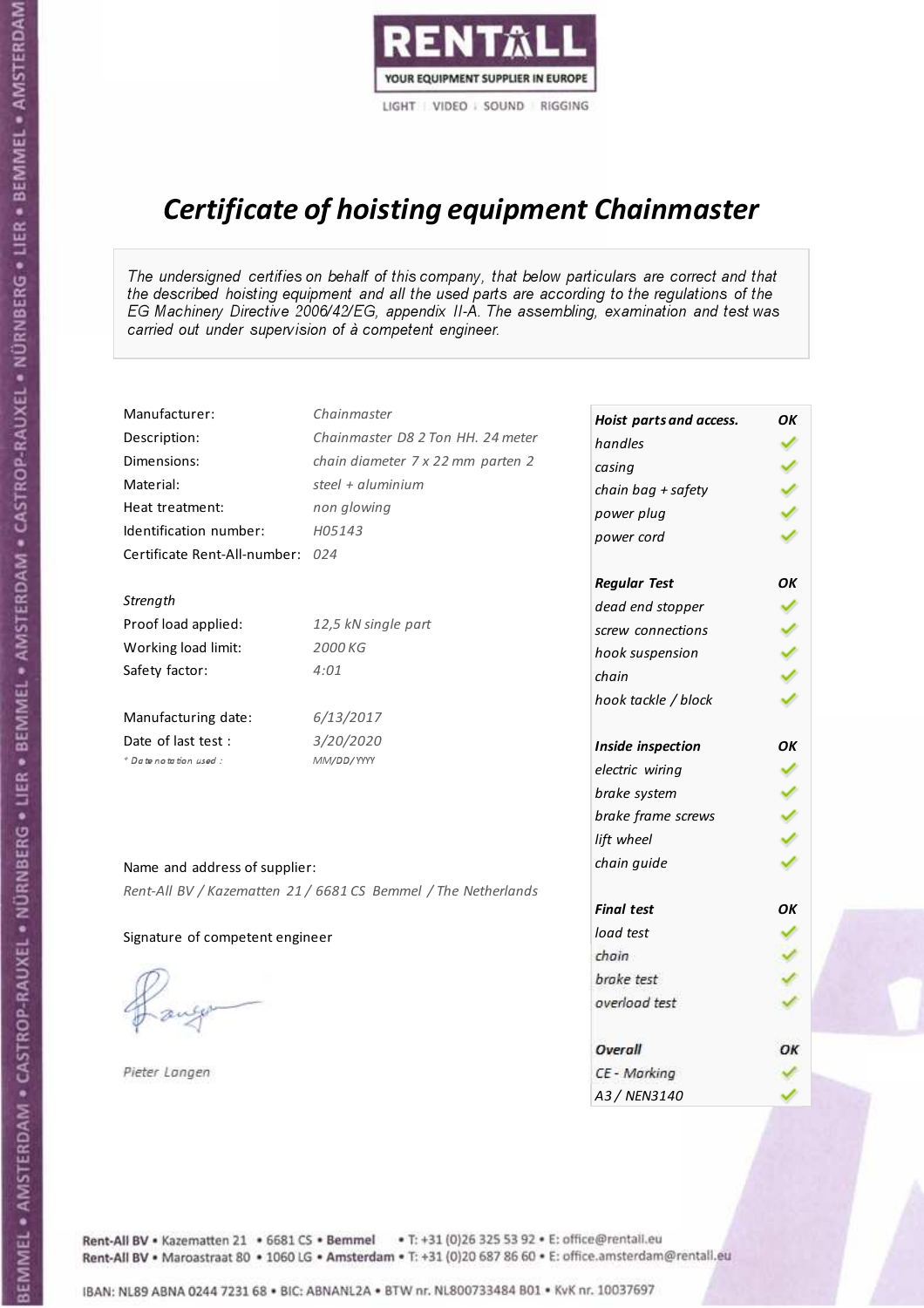

# Certificate of hoisting equipment Chainmaster

The undersigned certifies on behalf of this company, that below particulars are correct and that the described hoisting equipment and all the used parts are according to the regulations of the EG Machinery Directive 2006/42/EG, appendix II-A. The assembling, examination and test was carried out under supervision of à competent engineer.

| Manufacturer:                    | Chainmaster                                                    | Hoist parts and access. | OK |
|----------------------------------|----------------------------------------------------------------|-------------------------|----|
| Description:                     | Chainmaster D8 2 Ton HH. 24 meter                              | handles                 |    |
| Dimensions:                      | chain diameter 7 x 22 mm parten 2                              | casing                  |    |
| Material:                        | steel + aluminium                                              | chain bag + safety      |    |
| Heat treatment:                  | non glowing                                                    | power plug              |    |
| Identification number:           | H05143                                                         | power cord              |    |
| Certificate Rent-All-number: 024 |                                                                |                         |    |
|                                  |                                                                | <b>Regular Test</b>     | OK |
| Strength                         |                                                                | dead end stopper        |    |
| Proof load applied:              | 12,5 kN single part                                            | screw connections       |    |
| Working load limit:              | 2000 KG                                                        | hook suspension         |    |
| Safety factor:                   | 4:01                                                           | chain                   |    |
|                                  |                                                                | hook tackle / block     |    |
| Manufacturing date:              | 6/13/2017                                                      |                         |    |
| Date of last test :              | 3/20/2020                                                      | Inside inspection       | OK |
| * Date notation used :           | MM/DD/YYYY                                                     | electric wiring         |    |
|                                  |                                                                | brake system            |    |
|                                  |                                                                | brake frame screws      |    |
|                                  |                                                                | lift wheel              |    |
| Name and address of supplier:    |                                                                | chain guide             |    |
|                                  | Rent-All BV / Kazematten 21 / 6681 CS Bemmel / The Netherlands |                         |    |
|                                  |                                                                | <b>Final test</b>       | OK |
| Signature of competent engineer  |                                                                | load test               |    |
|                                  |                                                                | chain                   |    |
|                                  |                                                                | brake test              |    |
|                                  |                                                                | overload test           |    |
|                                  |                                                                |                         |    |
|                                  |                                                                | Overall                 | ОК |
| Pieter Langen                    |                                                                | CE - Marking            |    |
|                                  |                                                                | A3 / NEN3140            |    |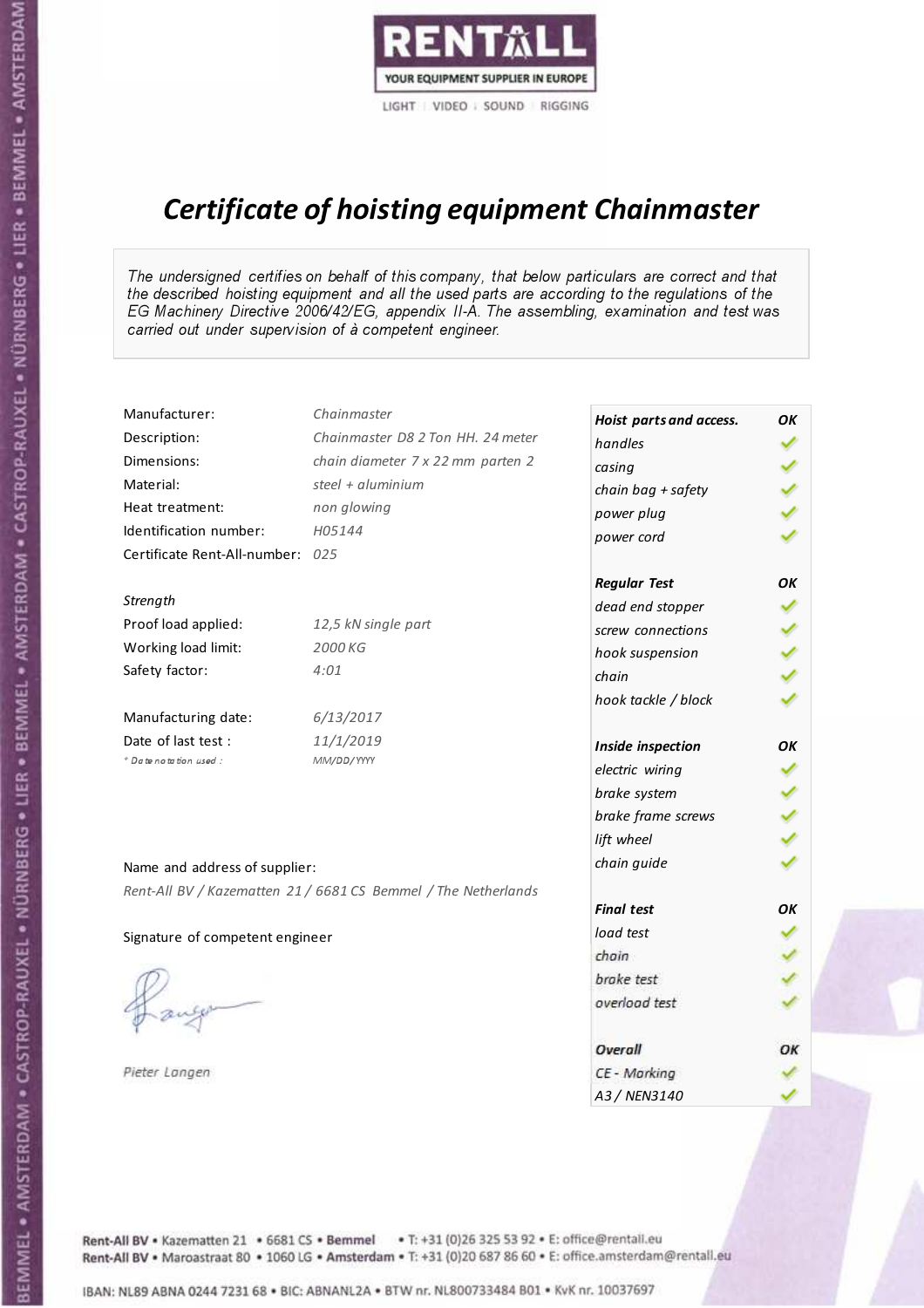

# Certificate of hoisting equipment Chainmaster

The undersigned certifies on behalf of this company, that below particulars are correct and that the described hoisting equipment and all the used parts are according to the regulations of the EG Machinery Directive 2006/42/EG, appendix II-A. The assembling, examination and test was carried out under supervision of à competent engineer.

| Manufacturer:                    | Chainmaster                                                    | Hoist parts and access. | OK |
|----------------------------------|----------------------------------------------------------------|-------------------------|----|
| Description:                     | Chainmaster D8 2 Ton HH. 24 meter                              | handles                 |    |
| Dimensions:                      | chain diameter 7 x 22 mm parten 2                              | casing                  |    |
| Material:                        | steel + aluminium                                              | chain bag + safety      |    |
| Heat treatment:                  | non glowing                                                    | power plug              |    |
| Identification number:           | H05144                                                         | power cord              |    |
| Certificate Rent-All-number: 025 |                                                                |                         |    |
|                                  |                                                                | <b>Regular Test</b>     | OK |
| Strength                         |                                                                | dead end stopper        |    |
| Proof load applied:              | 12,5 kN single part                                            | screw connections       |    |
| Working load limit:              | 2000 KG                                                        | hook suspension         |    |
| Safety factor:                   | 4:01                                                           | chain                   |    |
|                                  |                                                                | hook tackle / block     |    |
| Manufacturing date:              | 6/13/2017                                                      |                         |    |
| Date of last test :              | 11/1/2019                                                      | Inside inspection       | OK |
| * Date notation used :           | MM/DD/YYYY                                                     | electric wiring         |    |
|                                  |                                                                | brake system            |    |
|                                  |                                                                | brake frame screws      |    |
|                                  |                                                                | lift wheel              |    |
| Name and address of supplier:    |                                                                | chain guide             |    |
|                                  | Rent-All BV / Kazematten 21 / 6681 CS Bemmel / The Netherlands |                         |    |
|                                  |                                                                | <b>Final test</b>       | OK |
| Signature of competent engineer  |                                                                | load test               |    |
|                                  |                                                                | chain                   |    |
|                                  |                                                                | brake test              |    |
|                                  |                                                                | overload test           |    |
|                                  |                                                                |                         |    |
|                                  |                                                                | Overall                 | OK |
| Pieter Langen                    |                                                                | CE - Marking            |    |
|                                  |                                                                | A3 / NEN3140            |    |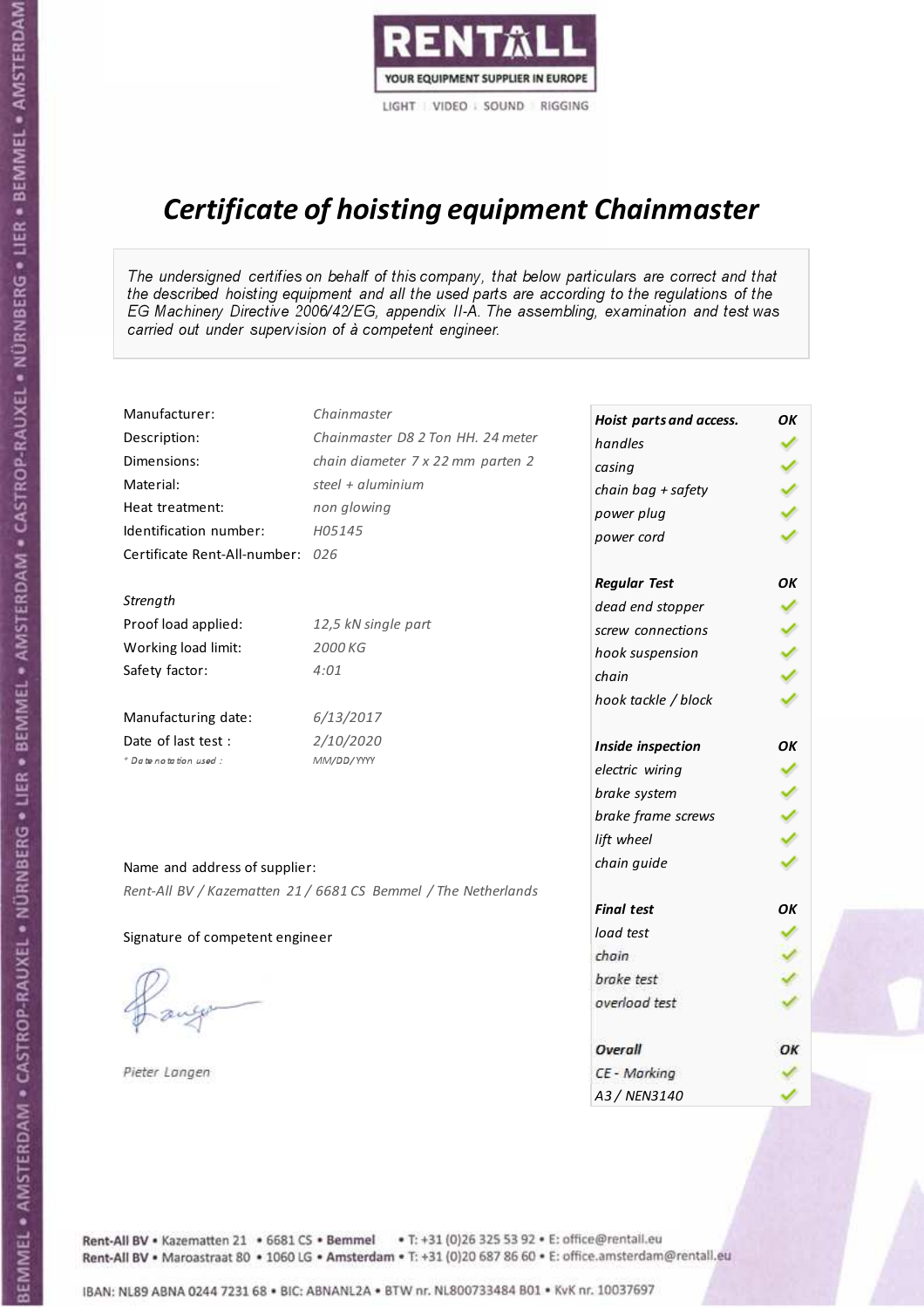

# Certificate of hoisting equipment Chainmaster

The undersigned certifies on behalf of this company, that below particulars are correct and that the described hoisting equipment and all the used parts are according to the regulations of the EG Machinery Directive 2006/42/EG, appendix II-A. The assembling, examination and test was carried out under supervision of à competent engineer.

| Chainmaster                       |                                                                                                                                                                        | OK                                                                                                                                                                                                                                                                                               |
|-----------------------------------|------------------------------------------------------------------------------------------------------------------------------------------------------------------------|--------------------------------------------------------------------------------------------------------------------------------------------------------------------------------------------------------------------------------------------------------------------------------------------------|
| Chainmaster D8 2 Ton HH. 24 meter | handles                                                                                                                                                                |                                                                                                                                                                                                                                                                                                  |
| chain diameter 7 x 22 mm parten 2 | casing                                                                                                                                                                 |                                                                                                                                                                                                                                                                                                  |
| steel + aluminium                 |                                                                                                                                                                        |                                                                                                                                                                                                                                                                                                  |
| non glowing                       |                                                                                                                                                                        |                                                                                                                                                                                                                                                                                                  |
| H05145                            |                                                                                                                                                                        |                                                                                                                                                                                                                                                                                                  |
|                                   |                                                                                                                                                                        |                                                                                                                                                                                                                                                                                                  |
|                                   |                                                                                                                                                                        | OK                                                                                                                                                                                                                                                                                               |
|                                   |                                                                                                                                                                        |                                                                                                                                                                                                                                                                                                  |
| 12,5 kN single part               | screw connections                                                                                                                                                      |                                                                                                                                                                                                                                                                                                  |
| 2000 KG                           |                                                                                                                                                                        |                                                                                                                                                                                                                                                                                                  |
| 4:01                              | chain                                                                                                                                                                  |                                                                                                                                                                                                                                                                                                  |
|                                   |                                                                                                                                                                        |                                                                                                                                                                                                                                                                                                  |
| 6/13/2017                         |                                                                                                                                                                        |                                                                                                                                                                                                                                                                                                  |
| 2/10/2020                         |                                                                                                                                                                        | OK                                                                                                                                                                                                                                                                                               |
| MM/DD/YYYY                        |                                                                                                                                                                        |                                                                                                                                                                                                                                                                                                  |
|                                   |                                                                                                                                                                        |                                                                                                                                                                                                                                                                                                  |
|                                   |                                                                                                                                                                        |                                                                                                                                                                                                                                                                                                  |
|                                   |                                                                                                                                                                        |                                                                                                                                                                                                                                                                                                  |
|                                   |                                                                                                                                                                        |                                                                                                                                                                                                                                                                                                  |
|                                   |                                                                                                                                                                        |                                                                                                                                                                                                                                                                                                  |
|                                   | <b>Final test</b>                                                                                                                                                      | OK                                                                                                                                                                                                                                                                                               |
|                                   | load test                                                                                                                                                              |                                                                                                                                                                                                                                                                                                  |
|                                   |                                                                                                                                                                        |                                                                                                                                                                                                                                                                                                  |
|                                   |                                                                                                                                                                        |                                                                                                                                                                                                                                                                                                  |
|                                   | overload test                                                                                                                                                          |                                                                                                                                                                                                                                                                                                  |
|                                   | Overall                                                                                                                                                                | OK                                                                                                                                                                                                                                                                                               |
|                                   | CE - Marking                                                                                                                                                           |                                                                                                                                                                                                                                                                                                  |
|                                   | A3 / NEN3140                                                                                                                                                           |                                                                                                                                                                                                                                                                                                  |
|                                   | Certificate Rent-All-number: 026<br>Name and address of supplier:<br>Rent-All BV / Kazematten 21 / 6681 CS Bemmel / The Netherlands<br>Signature of competent engineer | Hoist parts and access.<br>chain bag + safety<br>power plug<br>power cord<br><b>Regular Test</b><br>dead end stopper<br>hook suspension<br>hook tackle / block<br>Inside inspection<br>electric wiring<br>brake system<br>brake frame screws<br>lift wheel<br>chain guide<br>chain<br>brake test |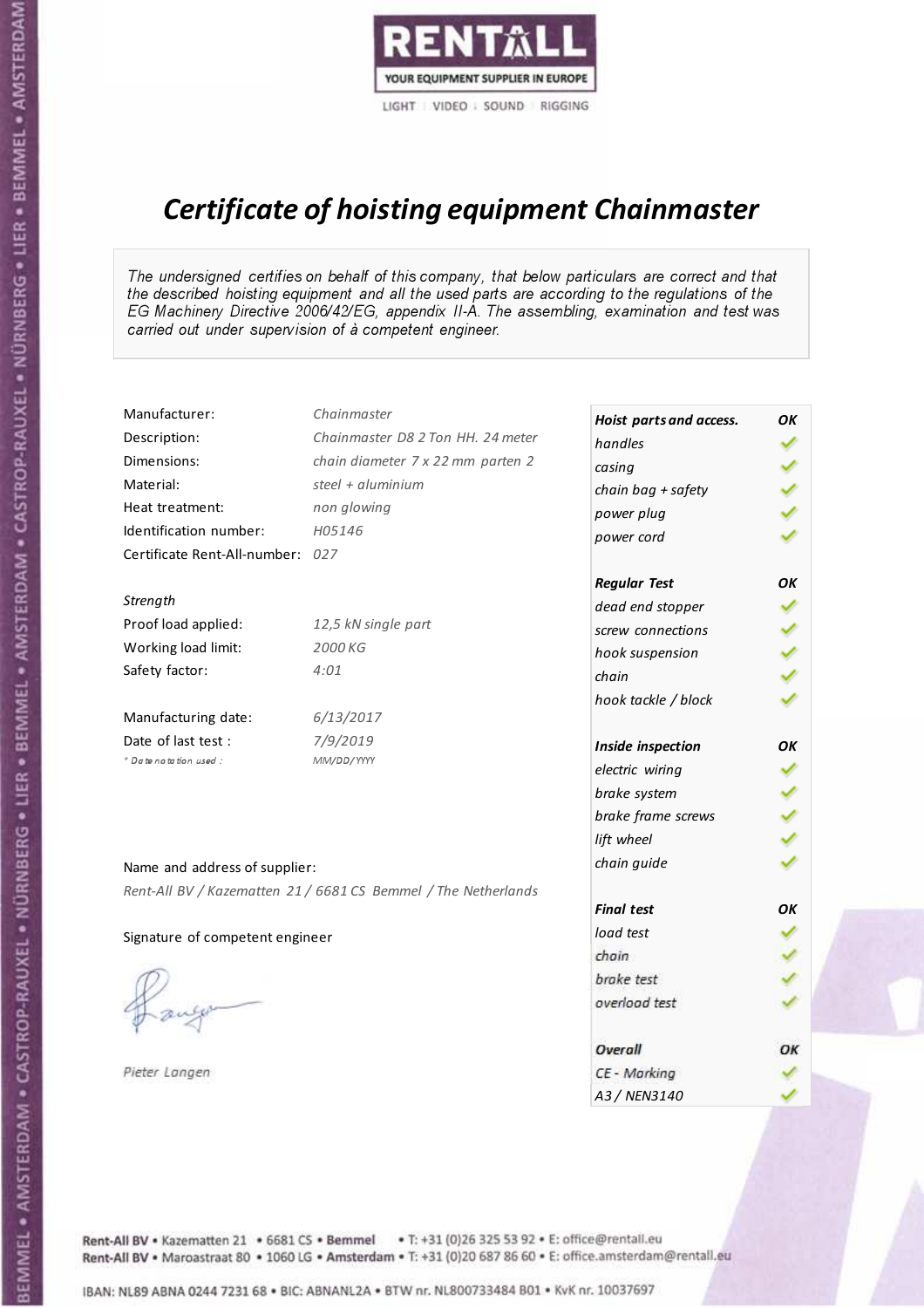

# Certificate of hoisting equipment Chainmaster

The undersigned certifies on behalf of this company, that below particulars are correct and that the described hoisting equipment and all the used parts are according to the regulations of the EG Machinery Directive 2006/42/EG, appendix II-A. The assembling, examination and test was carried out under supervision of à competent engineer.

| Manufacturer:                    | Chainmaster                                                    | Hoist parts and access. | OK |
|----------------------------------|----------------------------------------------------------------|-------------------------|----|
| Description:                     | Chainmaster D8 2 Ton HH. 24 meter                              | handles                 |    |
| Dimensions:                      | chain diameter 7 x 22 mm parten 2                              | casing                  |    |
| Material:                        | steel + $aluminium$                                            | chain bag + safety      |    |
| Heat treatment:                  | non glowing                                                    | power plug              |    |
| Identification number:           | H05146                                                         | power cord              |    |
| Certificate Rent-All-number: 027 |                                                                |                         |    |
|                                  |                                                                | <b>Regular Test</b>     | OK |
| Strength                         |                                                                | dead end stopper        |    |
| Proof load applied:              | 12,5 kN single part                                            | screw connections       |    |
| Working load limit:              | 2000 KG                                                        | hook suspension         |    |
| Safety factor:                   | 4:01                                                           | chain                   |    |
|                                  |                                                                | hook tackle / block     |    |
| Manufacturing date:              | 6/13/2017                                                      |                         |    |
| Date of last test :              | 7/9/2019                                                       | Inside inspection       | OK |
| * Date notation used :           | MM/DD/YYYY                                                     | electric wiring         |    |
|                                  |                                                                | brake system            |    |
|                                  |                                                                | brake frame screws      |    |
|                                  |                                                                | lift wheel              |    |
| Name and address of supplier:    |                                                                | chain guide             |    |
|                                  | Rent-All BV / Kazematten 21 / 6681 CS Bemmel / The Netherlands |                         |    |
|                                  |                                                                | <b>Final test</b>       | OK |
| Signature of competent engineer  |                                                                | load test               |    |
|                                  |                                                                | chain                   |    |
|                                  |                                                                | brake test              |    |
|                                  |                                                                | overload test           |    |
|                                  |                                                                |                         |    |
|                                  |                                                                | Overall                 | ОК |
| Pieter Langen                    |                                                                | CE - Marking            |    |
|                                  |                                                                | A3 / NEN3140            |    |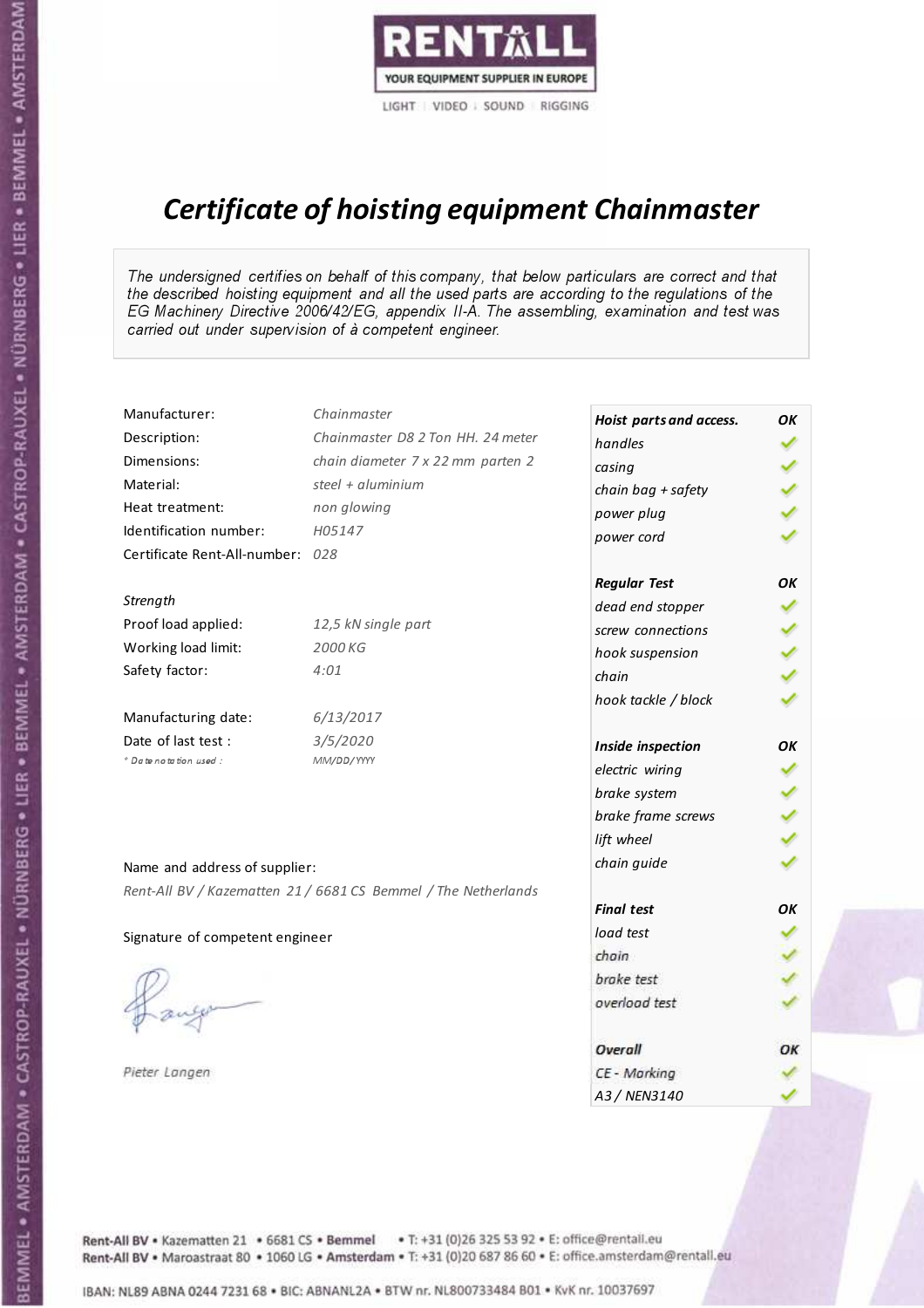

# Certificate of hoisting equipment Chainmaster

The undersigned certifies on behalf of this company, that below particulars are correct and that the described hoisting equipment and all the used parts are according to the regulations of the EG Machinery Directive 2006/42/EG, appendix II-A. The assembling, examination and test was carried out under supervision of à competent engineer.

| Chainmaster                       |                                                                                                                                                                        | OK                                                                                                                                                                                                                                                                                  |
|-----------------------------------|------------------------------------------------------------------------------------------------------------------------------------------------------------------------|-------------------------------------------------------------------------------------------------------------------------------------------------------------------------------------------------------------------------------------------------------------------------------------|
| Chainmaster D8 2 Ton HH. 24 meter | handles                                                                                                                                                                |                                                                                                                                                                                                                                                                                     |
| chain diameter 7 x 22 mm parten 2 |                                                                                                                                                                        |                                                                                                                                                                                                                                                                                     |
| steel + $aluminim$                |                                                                                                                                                                        |                                                                                                                                                                                                                                                                                     |
| non glowing                       |                                                                                                                                                                        |                                                                                                                                                                                                                                                                                     |
| H05147                            |                                                                                                                                                                        |                                                                                                                                                                                                                                                                                     |
|                                   |                                                                                                                                                                        |                                                                                                                                                                                                                                                                                     |
|                                   |                                                                                                                                                                        | OK                                                                                                                                                                                                                                                                                  |
|                                   |                                                                                                                                                                        |                                                                                                                                                                                                                                                                                     |
| 12,5 kN single part               | screw connections                                                                                                                                                      |                                                                                                                                                                                                                                                                                     |
| 2000 KG                           |                                                                                                                                                                        |                                                                                                                                                                                                                                                                                     |
| 4:01                              | chain                                                                                                                                                                  |                                                                                                                                                                                                                                                                                     |
|                                   |                                                                                                                                                                        |                                                                                                                                                                                                                                                                                     |
| 6/13/2017                         |                                                                                                                                                                        |                                                                                                                                                                                                                                                                                     |
| 3/5/2020                          |                                                                                                                                                                        | OK                                                                                                                                                                                                                                                                                  |
| MM/DD/YYYY                        |                                                                                                                                                                        |                                                                                                                                                                                                                                                                                     |
|                                   |                                                                                                                                                                        |                                                                                                                                                                                                                                                                                     |
|                                   |                                                                                                                                                                        |                                                                                                                                                                                                                                                                                     |
|                                   |                                                                                                                                                                        |                                                                                                                                                                                                                                                                                     |
|                                   |                                                                                                                                                                        |                                                                                                                                                                                                                                                                                     |
|                                   |                                                                                                                                                                        |                                                                                                                                                                                                                                                                                     |
|                                   | <b>Final test</b>                                                                                                                                                      | OK                                                                                                                                                                                                                                                                                  |
|                                   | load test                                                                                                                                                              |                                                                                                                                                                                                                                                                                     |
|                                   | chain                                                                                                                                                                  |                                                                                                                                                                                                                                                                                     |
|                                   | brake test                                                                                                                                                             |                                                                                                                                                                                                                                                                                     |
|                                   | overload test                                                                                                                                                          |                                                                                                                                                                                                                                                                                     |
|                                   |                                                                                                                                                                        |                                                                                                                                                                                                                                                                                     |
|                                   | Overall                                                                                                                                                                | OK                                                                                                                                                                                                                                                                                  |
|                                   | CE - Marking                                                                                                                                                           |                                                                                                                                                                                                                                                                                     |
|                                   | A3 / NEN3140                                                                                                                                                           |                                                                                                                                                                                                                                                                                     |
|                                   | Certificate Rent-All-number: 028<br>Name and address of supplier:<br>Rent-All BV / Kazematten 21 / 6681 CS Bemmel / The Netherlands<br>Signature of competent engineer | Hoist parts and access.<br>casing<br>chain bag + safety<br>power plug<br>power cord<br><b>Regular Test</b><br>dead end stopper<br>hook suspension<br>hook tackle / block<br>Inside inspection<br>electric wiring<br>brake system<br>brake frame screws<br>lift wheel<br>chain guide |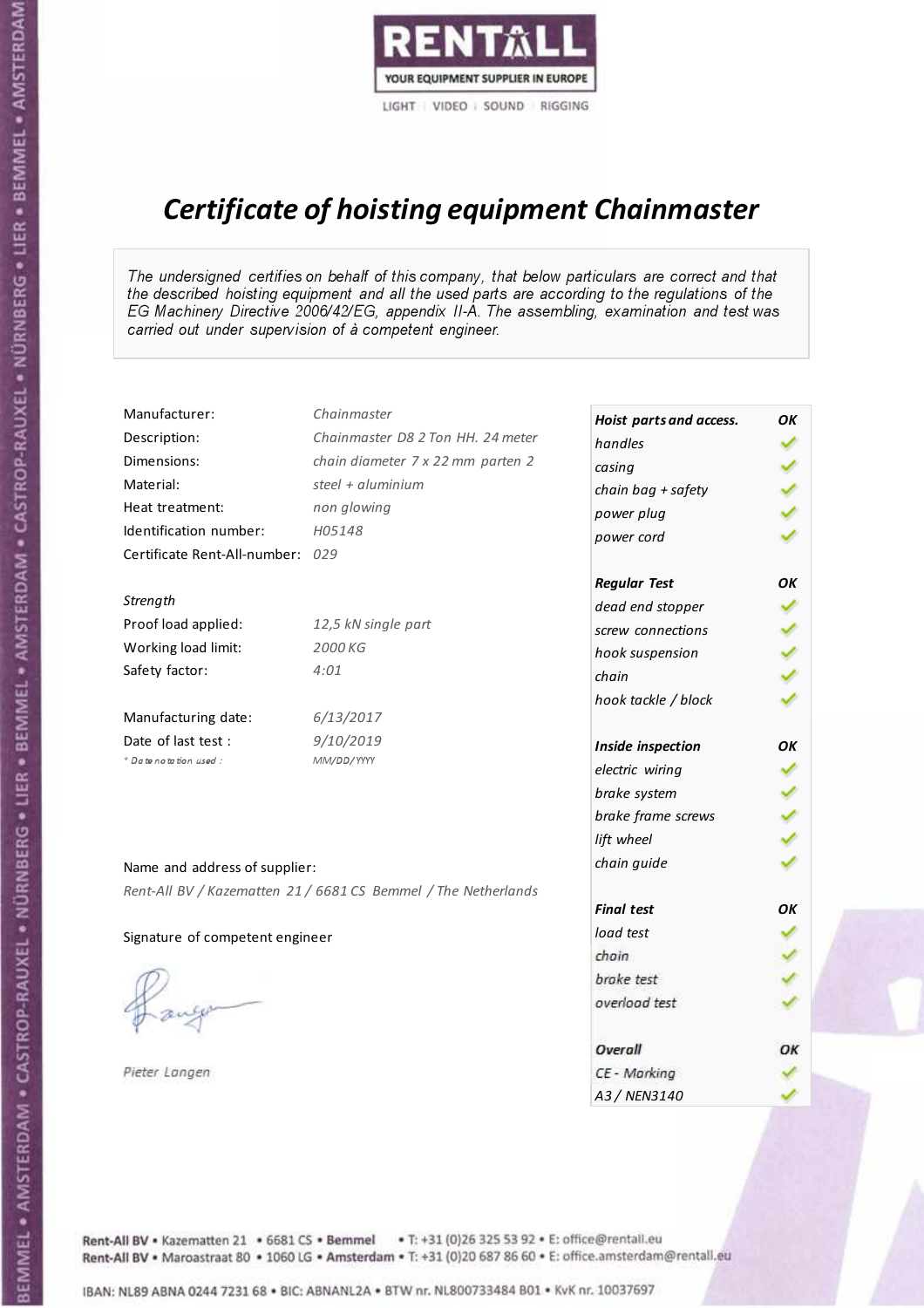

# Certificate of hoisting equipment Chainmaster

The undersigned certifies on behalf of this company, that below particulars are correct and that the described hoisting equipment and all the used parts are according to the regulations of the EG Machinery Directive 2006/42/EG, appendix II-A. The assembling, examination and test was carried out under supervision of à competent engineer.

| Manufacturer:                    | Chainmaster                                                    | Hoist parts and access. | OK |
|----------------------------------|----------------------------------------------------------------|-------------------------|----|
| Description:                     | Chainmaster D8 2 Ton HH. 24 meter                              | handles                 |    |
| Dimensions:                      | chain diameter 7 x 22 mm parten 2                              | casing                  |    |
| Material:                        | steel + $aluminim$                                             | chain bag + safety      |    |
| Heat treatment:                  | non glowing                                                    | power plug              |    |
| Identification number:           | H05148                                                         | power cord              |    |
| Certificate Rent-All-number: 029 |                                                                |                         |    |
|                                  |                                                                | <b>Regular Test</b>     | OK |
| Strength                         |                                                                | dead end stopper        |    |
| Proof load applied:              | 12,5 kN single part                                            | screw connections       |    |
| Working load limit:              | 2000 KG                                                        | hook suspension         |    |
| Safety factor:                   | 4:01                                                           | chain                   |    |
|                                  |                                                                | hook tackle / block     |    |
| Manufacturing date:              | 6/13/2017                                                      |                         |    |
| Date of last test:               | 9/10/2019                                                      | Inside inspection       | OK |
| * Date notation used :           | MM/DD/YYYY                                                     | electric wiring         |    |
|                                  |                                                                | brake system            |    |
|                                  |                                                                | brake frame screws      |    |
|                                  |                                                                | lift wheel              |    |
| Name and address of supplier:    |                                                                | chain guide             |    |
|                                  | Rent-All BV / Kazematten 21 / 6681 CS Bemmel / The Netherlands |                         |    |
|                                  |                                                                | <b>Final test</b>       | OK |
| Signature of competent engineer  |                                                                | load test               |    |
|                                  |                                                                | chain                   |    |
|                                  |                                                                | brake test              |    |
|                                  |                                                                | overload test           |    |
|                                  |                                                                |                         |    |
|                                  |                                                                | Overall                 | OK |
| Pieter Langen                    |                                                                | CE - Marking            |    |
|                                  |                                                                | A3 / NEN3140            |    |

BEMMEL • AMSTERDAM • CASTROP-RAUXEL • NÜRNBERG • LIER • BEMMEL • AMSTERDAM • CASTROP-RAUXEL • NÜRNBERG • LIER • BEMMEL • AMSTERDAM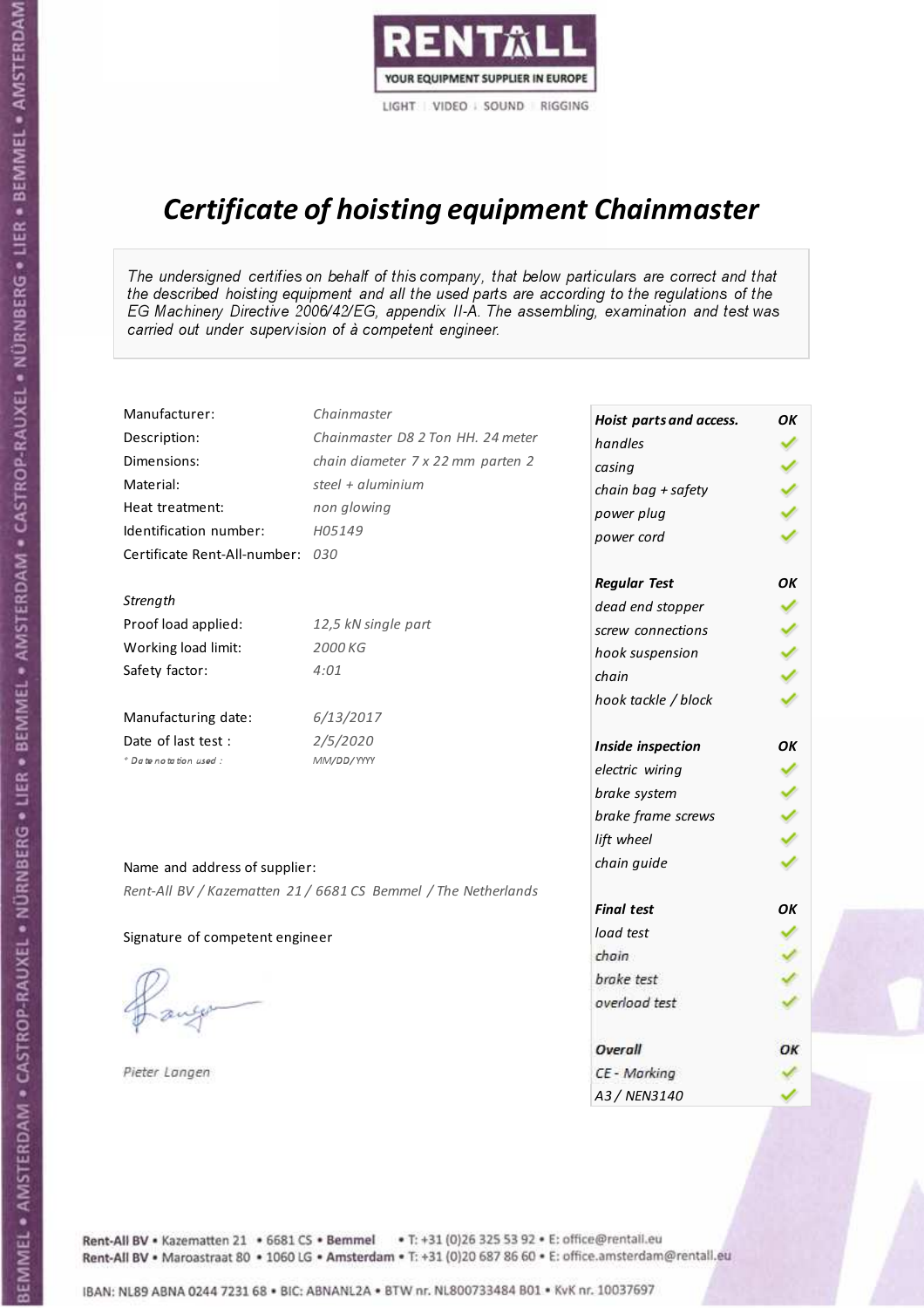

# Certificate of hoisting equipment Chainmaster

The undersigned certifies on behalf of this company, that below particulars are correct and that the described hoisting equipment and all the used parts are according to the regulations of the EG Machinery Directive 2006/42/EG, appendix II-A. The assembling, examination and test was carried out under supervision of à competent engineer.

| Manufacturer:                    | Chainmaster                                                    | Hoist parts and access. | OK |
|----------------------------------|----------------------------------------------------------------|-------------------------|----|
| Description:                     | Chainmaster D8 2 Ton HH. 24 meter                              | handles                 |    |
| Dimensions:                      | chain diameter 7 x 22 mm parten 2                              | casing                  |    |
| Material:                        | steel $+$ aluminium                                            | chain bag + safety      |    |
| Heat treatment:                  | non glowing                                                    | power plug              |    |
| Identification number:           | H05149                                                         | power cord              |    |
| Certificate Rent-All-number: 030 |                                                                |                         |    |
|                                  |                                                                | <b>Regular Test</b>     | OK |
| Strength                         |                                                                | dead end stopper        |    |
| Proof load applied:              | 12,5 kN single part                                            | screw connections       |    |
| Working load limit:              | 2000 KG                                                        | hook suspension         |    |
| Safety factor:                   | 4:01                                                           | chain                   |    |
|                                  |                                                                | hook tackle / block     |    |
| Manufacturing date:              | 6/13/2017                                                      |                         |    |
| Date of last test:               | 2/5/2020                                                       | Inside inspection       | OK |
| * Date notation used :           | MM/DD/YYYY                                                     | electric wiring         |    |
|                                  |                                                                | brake system            |    |
|                                  |                                                                | brake frame screws      |    |
|                                  |                                                                | lift wheel              |    |
| Name and address of supplier:    |                                                                | chain guide             |    |
|                                  | Rent-All BV / Kazematten 21 / 6681 CS Bemmel / The Netherlands |                         |    |
|                                  |                                                                | <b>Final test</b>       | OK |
| Signature of competent engineer  |                                                                | load test               |    |
|                                  |                                                                | chain                   |    |
|                                  |                                                                | brake test              |    |
|                                  |                                                                | overload test           |    |
|                                  |                                                                | Overall                 | OK |
| Pieter Langen                    |                                                                | CE - Marking            |    |
|                                  |                                                                | A3 / NEN3140            |    |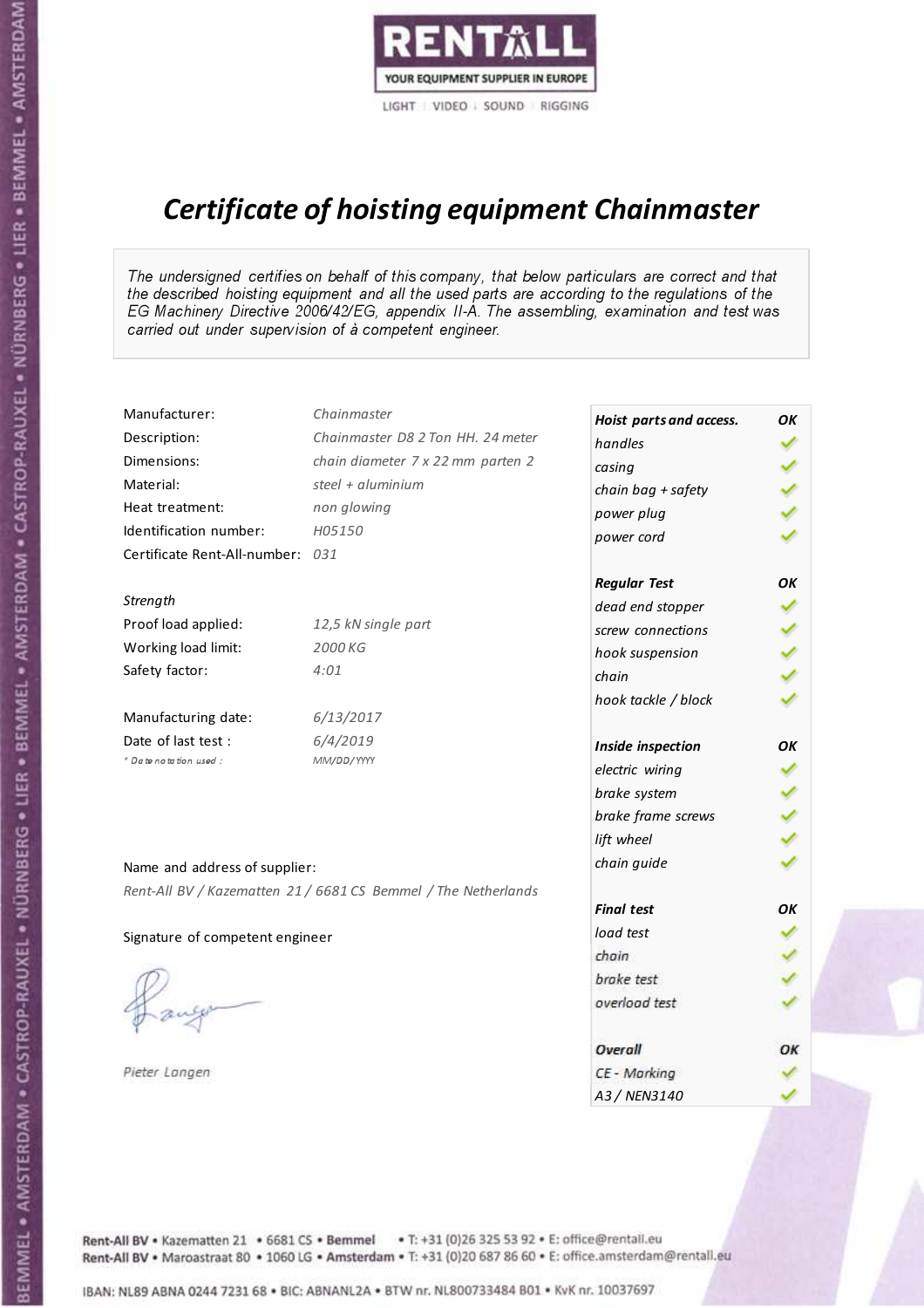

# Certificate of hoisting equipment Chainmaster

The undersigned certifies on behalf of this company, that below particulars are correct and that the described hoisting equipment and all the used parts are according to the regulations of the EG Machinery Directive 2006/42/EG, appendix II-A. The assembling, examination and test was carried out under supervision of à competent engineer.

| Manufacturer:                    | Chainmaster                                                    | Hoist parts and access. | OK |
|----------------------------------|----------------------------------------------------------------|-------------------------|----|
| Description:                     | Chainmaster D8 2 Ton HH. 24 meter                              | handles                 |    |
| Dimensions:                      | chain diameter 7 x 22 mm parten 2                              | casing                  |    |
| Material:                        | steel + $aluminim$                                             | chain bag + safety      |    |
| Heat treatment:                  | non glowing                                                    | power plug              |    |
| Identification number:           | H05150                                                         | power cord              |    |
| Certificate Rent-All-number: 031 |                                                                |                         |    |
|                                  |                                                                | <b>Regular Test</b>     | OK |
| Strength                         |                                                                | dead end stopper        |    |
| Proof load applied:              | 12,5 kN single part                                            | screw connections       |    |
| Working load limit:              | 2000 KG                                                        | hook suspension         |    |
| Safety factor:                   | 4:01                                                           | chain                   |    |
|                                  |                                                                | hook tackle / block     |    |
| Manufacturing date:              | 6/13/2017                                                      |                         |    |
| Date of last test :              | 6/4/2019                                                       | Inside inspection       | OK |
| * Date notation used :           | MM/DD/YYYY                                                     | electric wiring         |    |
|                                  |                                                                | brake system            |    |
|                                  |                                                                | brake frame screws      |    |
|                                  |                                                                | lift wheel              |    |
|                                  |                                                                | chain guide             |    |
| Name and address of supplier:    |                                                                |                         |    |
|                                  | Rent-All BV / Kazematten 21 / 6681 CS Bemmel / The Netherlands | <b>Final test</b>       | OK |
| Signature of competent engineer  |                                                                | load test               |    |
|                                  |                                                                | chain                   |    |
|                                  |                                                                | brake test              |    |
|                                  |                                                                | overload test           |    |
|                                  |                                                                |                         |    |
|                                  |                                                                | Overall                 | OK |
| Pieter Langen                    |                                                                | CE - Marking            |    |
|                                  |                                                                | A3 / NEN3140            |    |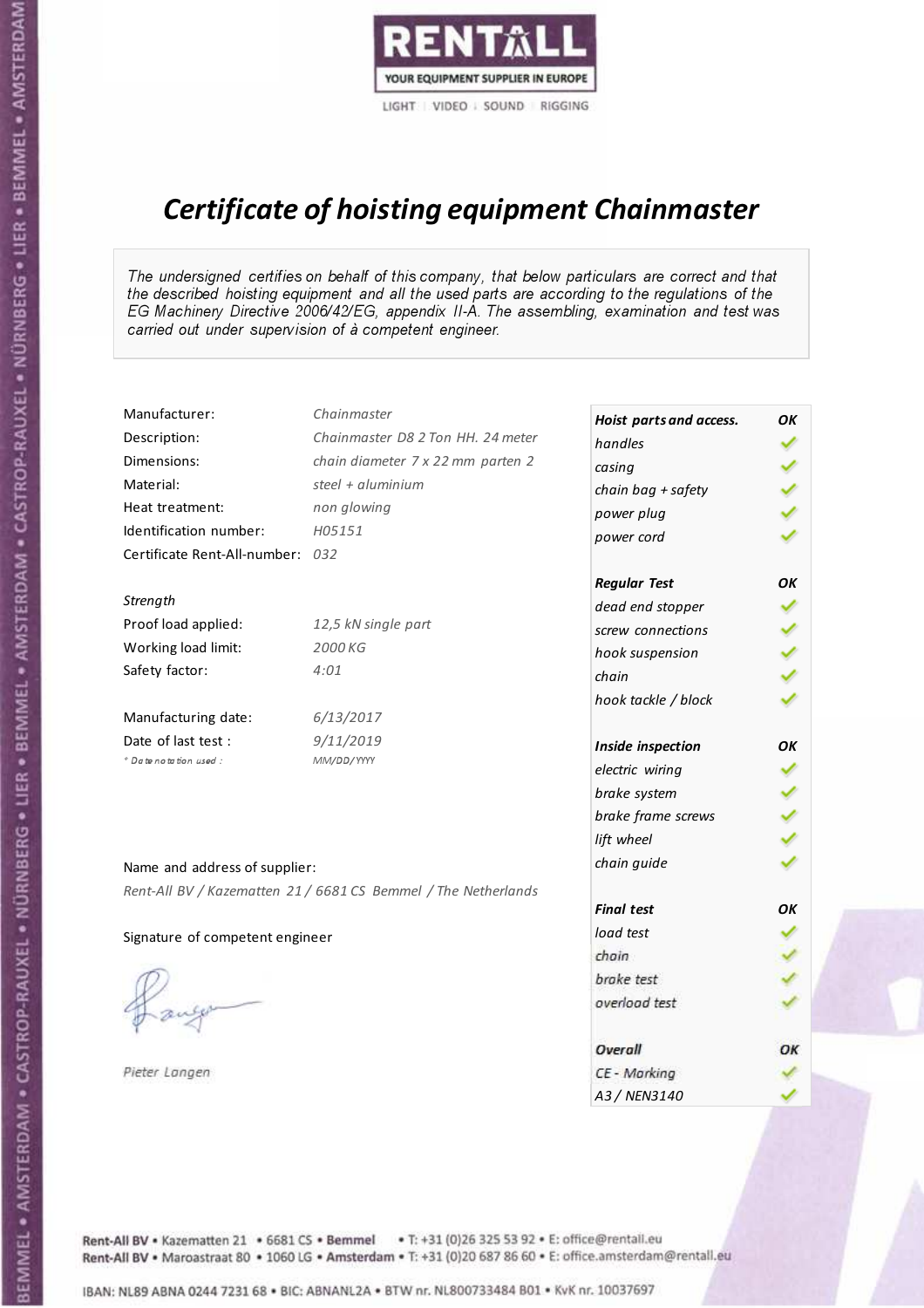

# Certificate of hoisting equipment Chainmaster

The undersigned certifies on behalf of this company, that below particulars are correct and that the described hoisting equipment and all the used parts are according to the regulations of the EG Machinery Directive 2006/42/EG, appendix II-A. The assembling, examination and test was carried out under supervision of à competent engineer.

| Manufacturer:                    | Chainmaster                                                    | Hoist parts and access. | OK |
|----------------------------------|----------------------------------------------------------------|-------------------------|----|
| Description:                     | Chainmaster D8 2 Ton HH. 24 meter                              | handles                 |    |
| Dimensions:                      | chain diameter 7 x 22 mm parten 2                              | casing                  |    |
| Material:                        | steel + aluminium                                              | chain bag + safety      |    |
| Heat treatment:                  | non glowing                                                    | power plug              |    |
| Identification number:           | H05151                                                         | power cord              |    |
| Certificate Rent-All-number: 032 |                                                                |                         |    |
|                                  |                                                                | <b>Regular Test</b>     | OK |
| Strength                         |                                                                | dead end stopper        |    |
| Proof load applied:              | 12,5 kN single part                                            | screw connections       |    |
| Working load limit:              | 2000 KG                                                        | hook suspension         |    |
| Safety factor:                   | 4:01                                                           | chain                   |    |
|                                  |                                                                | hook tackle / block     |    |
| Manufacturing date:              | 6/13/2017                                                      |                         |    |
| Date of last test :              | 9/11/2019                                                      | Inside inspection       | OK |
| * Date notation used :           | MM/DD/YYYY                                                     | electric wiring         |    |
|                                  |                                                                | brake system            |    |
|                                  |                                                                | brake frame screws      |    |
|                                  |                                                                | lift wheel              |    |
| Name and address of supplier:    |                                                                | chain guide             |    |
|                                  | Rent-All BV / Kazematten 21 / 6681 CS Bemmel / The Netherlands |                         |    |
|                                  |                                                                | <b>Final test</b>       | OK |
| Signature of competent engineer  |                                                                | load test               |    |
|                                  |                                                                | chain                   |    |
|                                  |                                                                | brake test              |    |
|                                  |                                                                | overload test           |    |
|                                  |                                                                | Overall                 | OK |
| Pieter Langen                    |                                                                | CE - Marking            |    |
|                                  |                                                                | A3 / NEN3140            |    |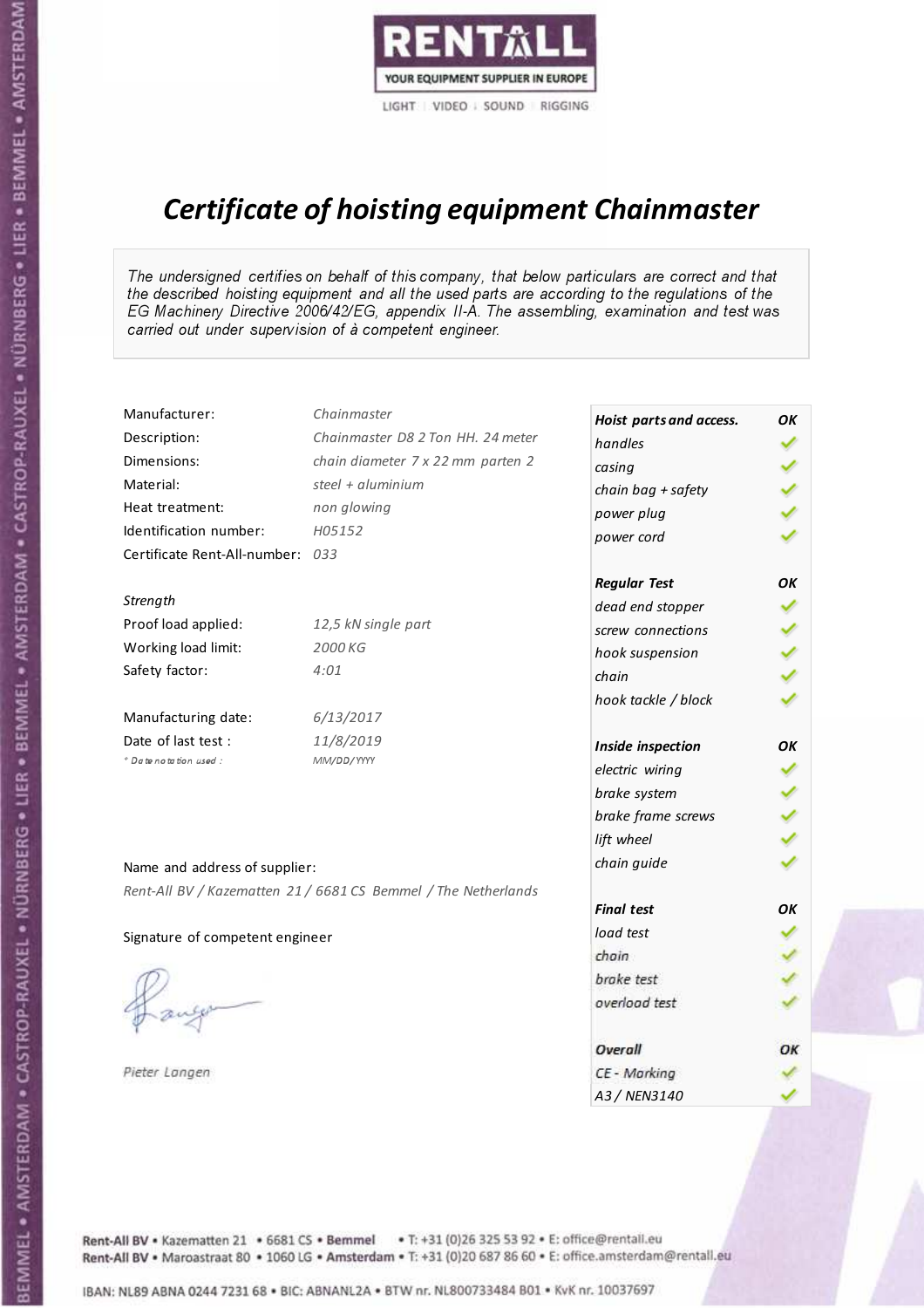

## Certificate of hoisting equipment Chainmaster

The undersigned certifies on behalf of this company, that below particulars are correct and that the described hoisting equipment and all the used parts are according to the regulations of the EG Machinery Directive 2006/42/EG, appendix II-A. The assembling, examination and test was carried out under supervision of à competent engineer.

| Manufacturer:                    | Chainmaster                                                    | Hoist parts and access. | OK |
|----------------------------------|----------------------------------------------------------------|-------------------------|----|
| Description:                     | Chainmaster D8 2 Ton HH. 24 meter                              | handles                 |    |
| Dimensions:                      | chain diameter 7 x 22 mm parten 2                              | casing                  |    |
| Material:                        | steel + aluminium                                              | chain bag + safety      |    |
| Heat treatment:                  | non glowing                                                    | power plug              |    |
| Identification number:           | H05152                                                         | power cord              |    |
| Certificate Rent-All-number: 033 |                                                                |                         |    |
|                                  |                                                                | <b>Regular Test</b>     | OK |
| Strength                         |                                                                | dead end stopper        |    |
| Proof load applied:              | 12,5 kN single part                                            | screw connections       |    |
| Working load limit:              | 2000 KG                                                        | hook suspension         |    |
| Safety factor:                   | 4:01                                                           | chain                   |    |
|                                  |                                                                | hook tackle / block     |    |
| Manufacturing date:              | 6/13/2017                                                      |                         |    |
| Date of last test :              | 11/8/2019                                                      | Inside inspection       | OK |
| * Date notation used :           | MM/DD/YYYY                                                     | electric wiring         |    |
|                                  |                                                                | brake system            |    |
|                                  |                                                                | brake frame screws      |    |
|                                  |                                                                | lift wheel              |    |
| Name and address of supplier:    |                                                                | chain guide             |    |
|                                  | Rent-All BV / Kazematten 21 / 6681 CS Bemmel / The Netherlands |                         |    |
|                                  |                                                                | <b>Final test</b>       | OK |
| Signature of competent engineer  |                                                                | load test               |    |
|                                  |                                                                | chain                   |    |
|                                  |                                                                | brake test              |    |
|                                  |                                                                | overload test           |    |
|                                  |                                                                | Overall                 | OK |
| Pieter Langen                    |                                                                | CE - Marking            |    |
|                                  |                                                                | A3 / NEN3140            |    |

BEMMEL • AMSTERDAM • CASTROP-RAUXEL • NÜRNBERG • LIER • BEMMEL • AMSTERDAM • CASTROP-RAUXEL • NÜRNBERG • LIER • BEMMEL • AMSTERDAM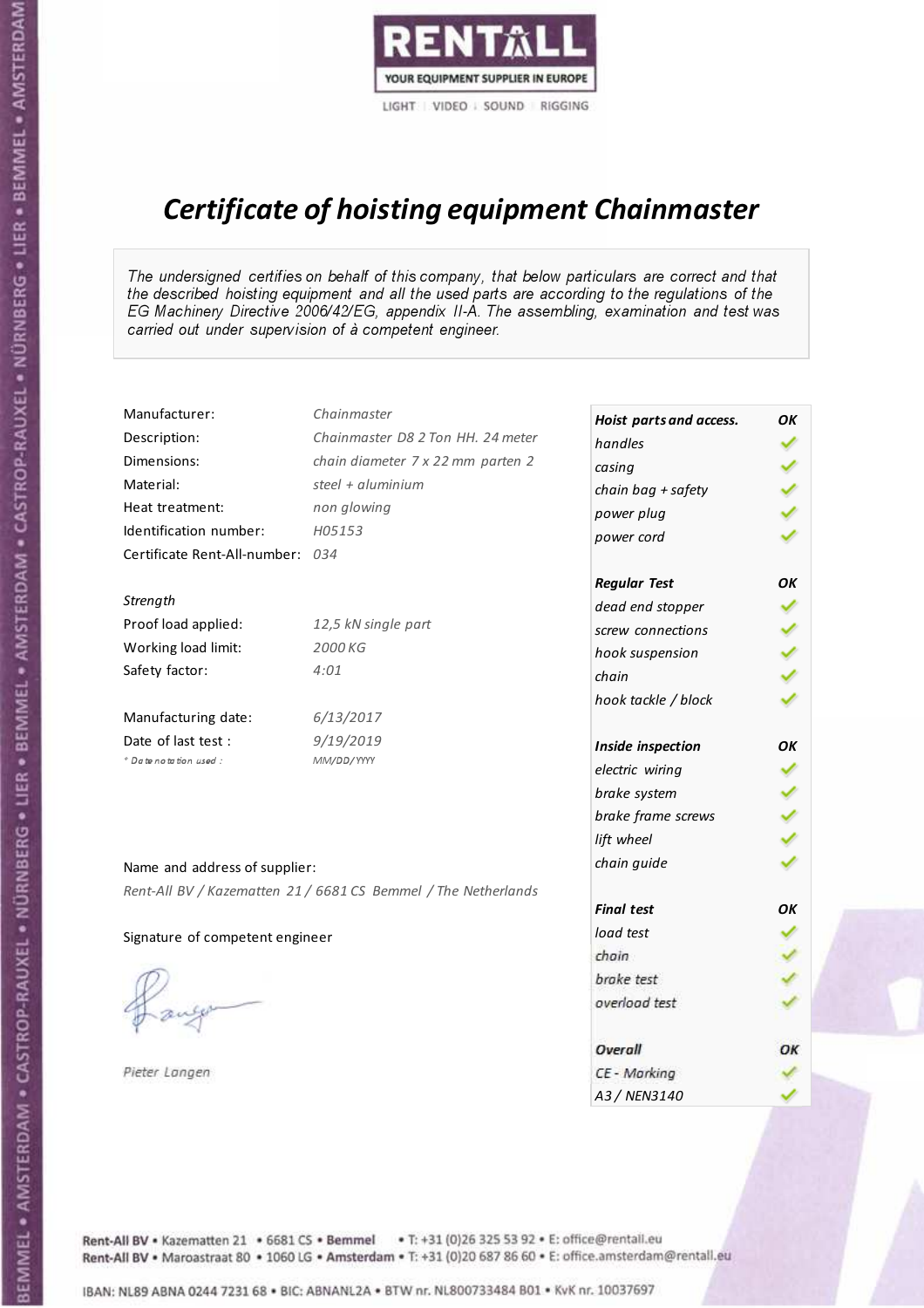

# Certificate of hoisting equipment Chainmaster

The undersigned certifies on behalf of this company, that below particulars are correct and that the described hoisting equipment and all the used parts are according to the regulations of the EG Machinery Directive 2006/42/EG, appendix II-A. The assembling, examination and test was carried out under supervision of à competent engineer.

| Manufacturer:                    | Chainmaster                                                    | Hoist parts and access. | OK |
|----------------------------------|----------------------------------------------------------------|-------------------------|----|
| Description:                     | Chainmaster D8 2 Ton HH. 24 meter                              | handles                 |    |
| Dimensions:                      | chain diameter 7 x 22 mm parten 2                              | casing                  |    |
| Material:                        | steel + $aluminim$                                             | chain bag + safety      |    |
| Heat treatment:                  | non glowing                                                    | power plug              |    |
| Identification number:           | H05153                                                         | power cord              |    |
| Certificate Rent-All-number: 034 |                                                                |                         |    |
|                                  |                                                                | <b>Regular Test</b>     | OK |
| Strength                         |                                                                | dead end stopper        |    |
| Proof load applied:              | 12,5 kN single part                                            | screw connections       |    |
| Working load limit:              | 2000 KG                                                        | hook suspension         |    |
| Safety factor:                   | 4:01                                                           | chain                   |    |
|                                  |                                                                | hook tackle / block     |    |
| Manufacturing date:              | 6/13/2017                                                      |                         |    |
| Date of last test :              | 9/19/2019                                                      | Inside inspection       | OK |
| * Date notation used :           | MM/DD/YYYY                                                     | electric wiring         |    |
|                                  |                                                                | brake system            |    |
|                                  |                                                                | brake frame screws      |    |
|                                  |                                                                | lift wheel              |    |
|                                  |                                                                | chain guide             |    |
| Name and address of supplier:    |                                                                |                         |    |
|                                  | Rent-All BV / Kazematten 21 / 6681 CS Bemmel / The Netherlands | <b>Final test</b>       | OK |
|                                  |                                                                | load test               |    |
| Signature of competent engineer  |                                                                | chain                   |    |
|                                  |                                                                | brake test              |    |
|                                  |                                                                | overload test           |    |
|                                  |                                                                |                         |    |
|                                  |                                                                | Overall                 | OK |
| Pieter Langen                    |                                                                | CE - Marking            |    |
|                                  |                                                                | A3 / NEN3140            |    |

BEMMEL • AMSTERDAM • CASTROP-RAUXEL • NÜRNBERG • LIER • BEMMEL • AMSTERDAM • CASTROP-RAUXEL • NÜRNBERG • LIER • BEMMEL • AMSTERDAM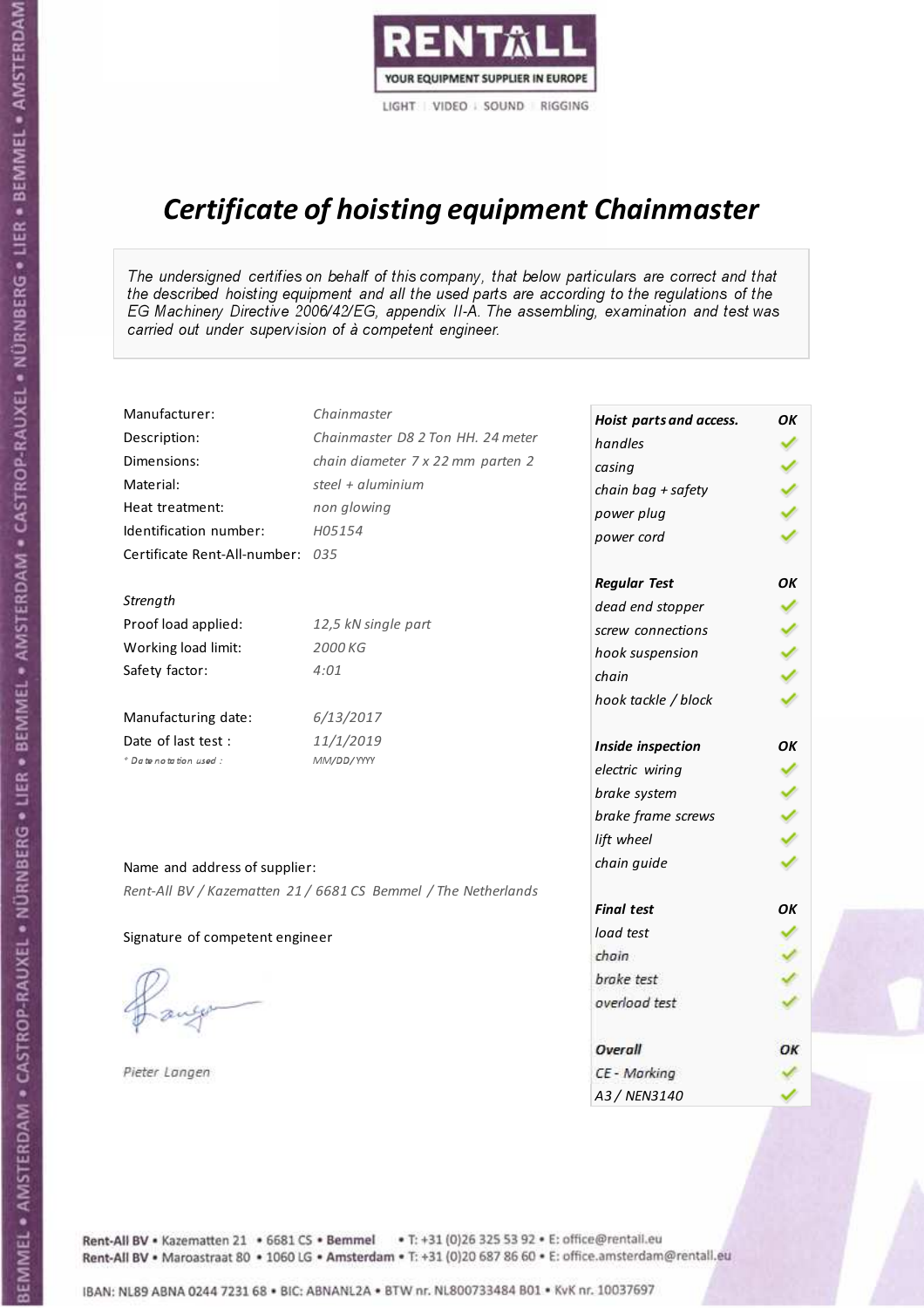

# Certificate of hoisting equipment Chainmaster

The undersigned certifies on behalf of this company, that below particulars are correct and that the described hoisting equipment and all the used parts are according to the regulations of the EG Machinery Directive 2006/42/EG, appendix II-A. The assembling, examination and test was carried out under supervision of à competent engineer.

| Manufacturer:                    | Chainmaster                                                    | Hoist parts and access. | OK |
|----------------------------------|----------------------------------------------------------------|-------------------------|----|
| Description:                     | Chainmaster D8 2 Ton HH. 24 meter                              | handles                 |    |
| Dimensions:                      | chain diameter 7 x 22 mm parten 2                              | casing                  |    |
| Material:                        | steel + aluminium                                              | chain bag + safety      |    |
| Heat treatment:                  | non glowing                                                    | power plug              |    |
| Identification number:           | H05154                                                         | power cord              |    |
| Certificate Rent-All-number: 035 |                                                                |                         |    |
|                                  |                                                                | <b>Regular Test</b>     | OK |
| Strength                         |                                                                | dead end stopper        |    |
| Proof load applied:              | 12,5 kN single part                                            | screw connections       |    |
| Working load limit:              | 2000 KG                                                        | hook suspension         |    |
| Safety factor:                   | 4:01                                                           | chain                   |    |
|                                  |                                                                | hook tackle / block     |    |
| Manufacturing date:              | 6/13/2017                                                      |                         |    |
| Date of last test :              | 11/1/2019                                                      | Inside inspection       | OK |
| * Date notation used :           | MM/DD/YYYY                                                     | electric wiring         |    |
|                                  |                                                                | brake system            |    |
|                                  |                                                                | brake frame screws      |    |
|                                  |                                                                | lift wheel              |    |
| Name and address of supplier:    |                                                                | chain guide             |    |
|                                  | Rent-All BV / Kazematten 21 / 6681 CS Bemmel / The Netherlands |                         |    |
|                                  |                                                                | <b>Final test</b>       | OK |
| Signature of competent engineer  |                                                                | load test               |    |
|                                  |                                                                | chain                   |    |
|                                  |                                                                | brake test              |    |
|                                  |                                                                | overload test           |    |
|                                  |                                                                | Overall                 | OK |
| Pieter Langen                    |                                                                | CE - Marking            |    |
|                                  |                                                                | A3 / NEN3140            |    |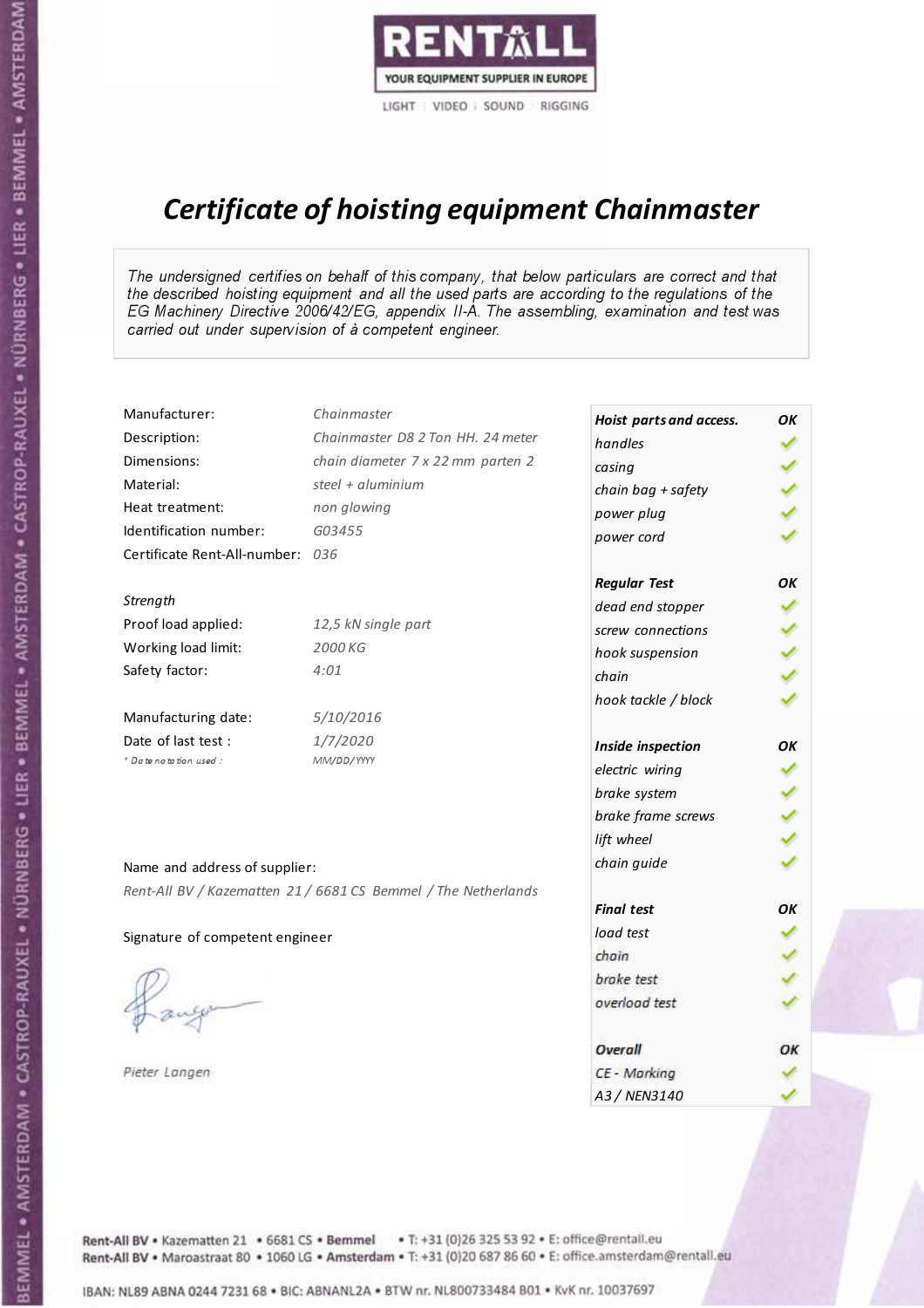

# Certificate of hoisting equipment Chainmaster

The undersigned certifies on behalf of this company, that below particulars are correct and that the described hoisting equipment and all the used parts are according to the regulations of the EG Machinery Directive 2006/42/EG, appendix II-A. The assembling, examination and test was carried out under supervision of à competent engineer.

| Manufacturer:                    | Chainmaster                                                    | Hoist parts and access. | OK |
|----------------------------------|----------------------------------------------------------------|-------------------------|----|
| Description:                     | Chainmaster D8 2 Ton HH. 24 meter                              | handles                 |    |
| Dimensions:                      | chain diameter 7 x 22 mm parten 2                              | casing                  |    |
| Material:                        | steel + aluminium                                              | chain bag + safety      |    |
| Heat treatment:                  | non glowing                                                    | power plug              |    |
| Identification number:           | G03455                                                         | power cord              |    |
| Certificate Rent-All-number: 036 |                                                                |                         |    |
|                                  |                                                                | <b>Regular Test</b>     | OK |
| Strength                         |                                                                | dead end stopper        | ✓  |
| Proof load applied:              | 12,5 kN single part                                            | screw connections       |    |
| Working load limit:              | 2000 KG                                                        | hook suspension         |    |
| Safety factor:                   | 4:01                                                           | chain                   |    |
|                                  |                                                                | hook tackle / block     |    |
| Manufacturing date:              | 5/10/2016                                                      |                         |    |
| Date of last test :              | 1/7/2020                                                       | Inside inspection       | OK |
| * Date notation used :           | MM/DD/YYYY                                                     | electric wiring         | ✓  |
|                                  |                                                                | brake system            |    |
|                                  |                                                                | brake frame screws      |    |
|                                  |                                                                | lift wheel              |    |
| Name and address of supplier:    |                                                                | chain guide             |    |
|                                  | Rent-All BV / Kazematten 21 / 6681 CS Bemmel / The Netherlands |                         |    |
|                                  |                                                                | <b>Final test</b>       | OK |
| Signature of competent engineer  |                                                                | load test               |    |
|                                  |                                                                | chain                   |    |
|                                  |                                                                | brake test              |    |
|                                  |                                                                | overload test           |    |
|                                  |                                                                | Overall                 | ОК |
| Pieter Langen                    |                                                                | CE - Marking            |    |
|                                  |                                                                | A3 / NEN3140            |    |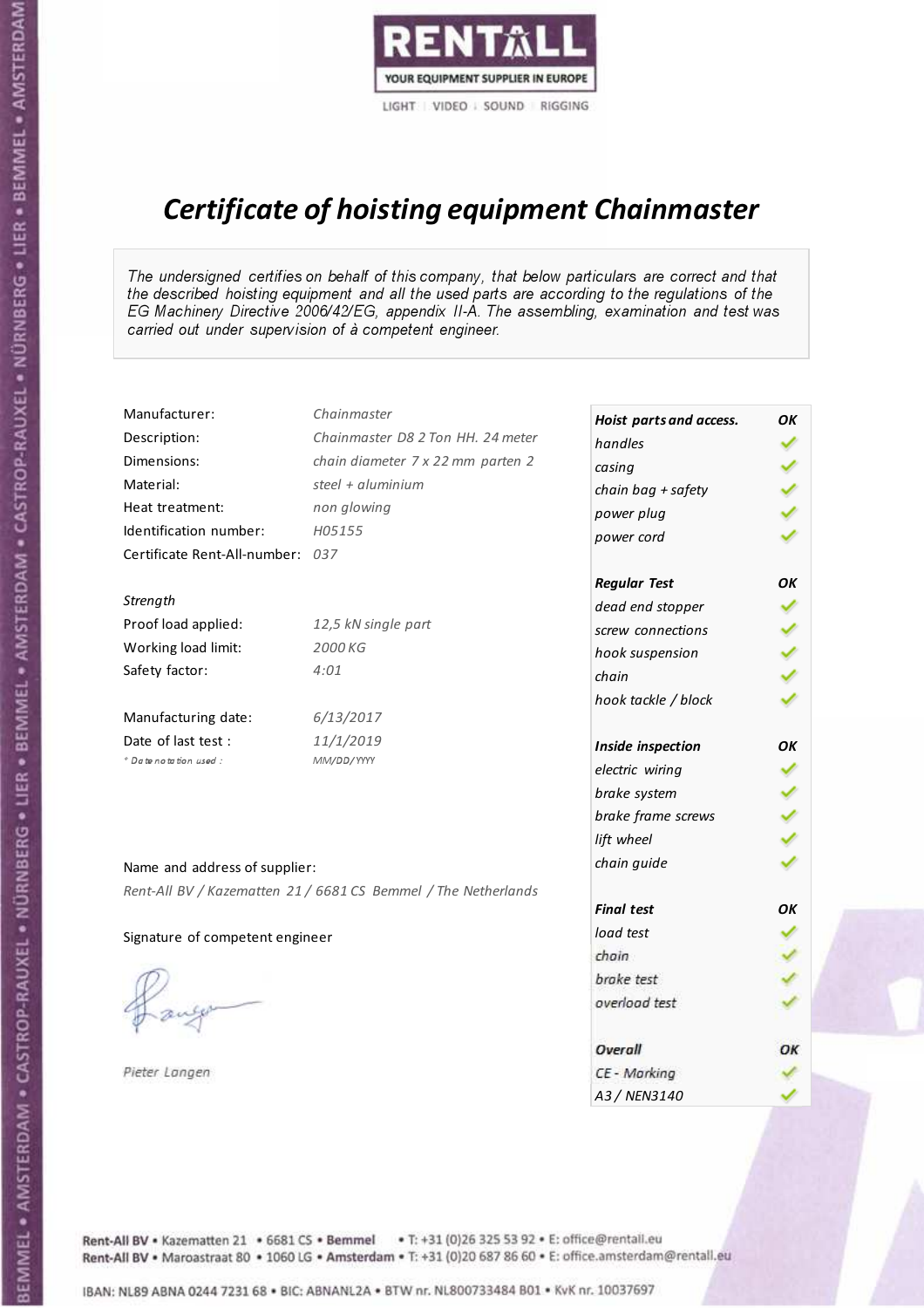

## Certificate of hoisting equipment Chainmaster

The undersigned certifies on behalf of this company, that below particulars are correct and that the described hoisting equipment and all the used parts are according to the regulations of the EG Machinery Directive 2006/42/EG, appendix II-A. The assembling, examination and test was carried out under supervision of à competent engineer.

| Manufacturer:                    | Chainmaster                                                    | Hoist parts and access. | OK |
|----------------------------------|----------------------------------------------------------------|-------------------------|----|
| Description:                     | Chainmaster D8 2 Ton HH. 24 meter                              | handles                 |    |
| Dimensions:                      | chain diameter 7 x 22 mm parten 2                              | casing                  |    |
| Material:                        | steel + aluminium                                              | chain bag + safety      |    |
| Heat treatment:                  | non glowing                                                    | power plug              |    |
| Identification number:           | H05155                                                         | power cord              |    |
| Certificate Rent-All-number: 037 |                                                                |                         |    |
|                                  |                                                                | <b>Regular Test</b>     | OK |
| Strength                         |                                                                | dead end stopper        |    |
| Proof load applied:              | 12,5 kN single part                                            | screw connections       |    |
| Working load limit:              | 2000 KG                                                        | hook suspension         |    |
| Safety factor:                   | 4:01                                                           | chain                   |    |
|                                  |                                                                | hook tackle / block     |    |
| Manufacturing date:              | 6/13/2017                                                      |                         |    |
| Date of last test :              | 11/1/2019                                                      | Inside inspection       | OK |
| * Date notation used :           | MM/DD/YYYY                                                     | electric wiring         |    |
|                                  |                                                                | brake system            |    |
|                                  |                                                                | brake frame screws      |    |
|                                  |                                                                | lift wheel              |    |
| Name and address of supplier:    |                                                                | chain guide             |    |
|                                  | Rent-All BV / Kazematten 21 / 6681 CS Bemmel / The Netherlands |                         |    |
|                                  |                                                                | <b>Final test</b>       | OK |
| Signature of competent engineer  |                                                                | load test               |    |
|                                  |                                                                | chain                   |    |
|                                  |                                                                | brake test              |    |
|                                  |                                                                | overload test           |    |
|                                  |                                                                | Overall                 | OK |
| Pieter Langen                    |                                                                | CE - Marking            |    |
|                                  |                                                                | A3 / NEN3140            |    |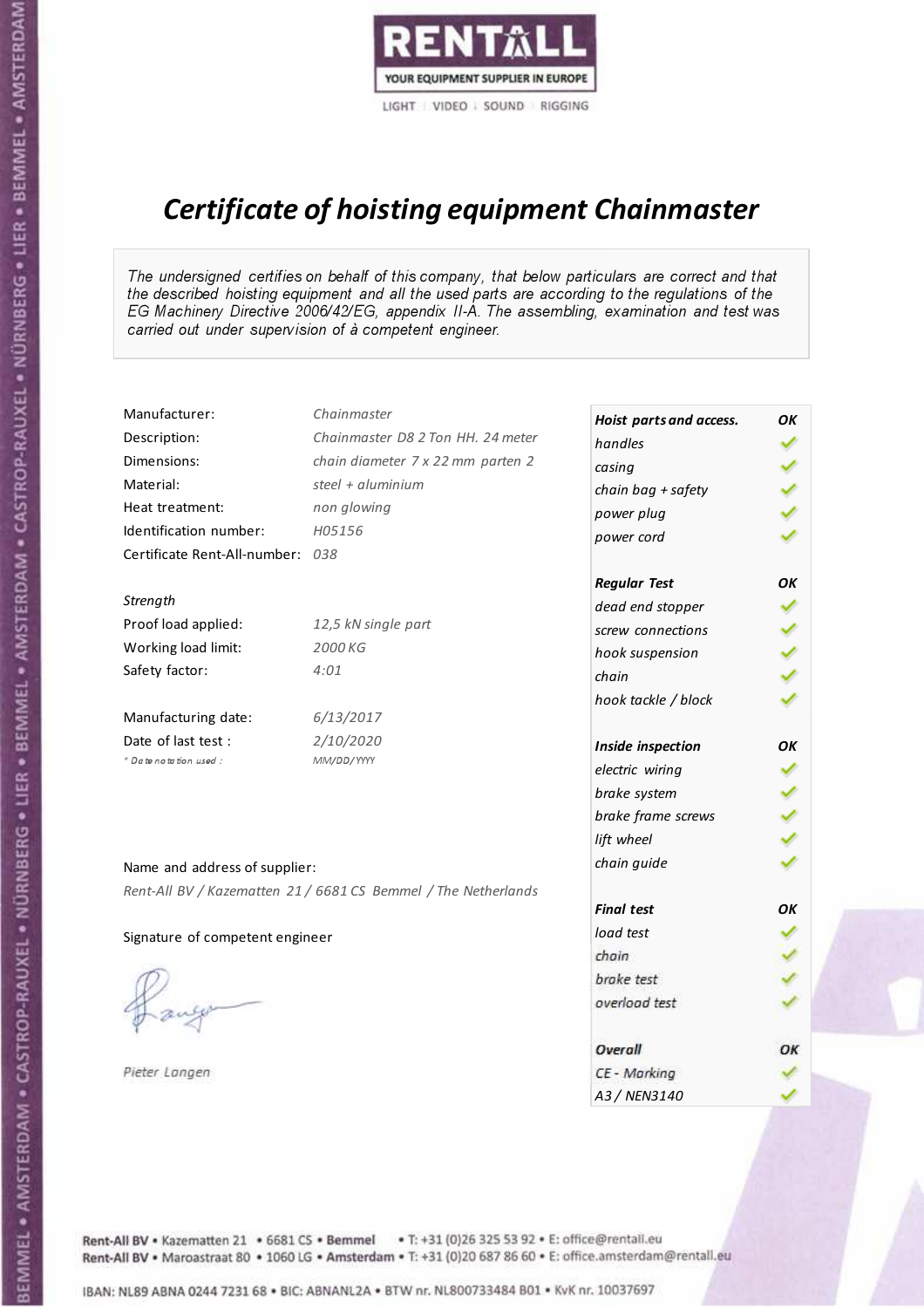

# Certificate of hoisting equipment Chainmaster

The undersigned certifies on behalf of this company, that below particulars are correct and that the described hoisting equipment and all the used parts are according to the regulations of the EG Machinery Directive 2006/42/EG, appendix II-A. The assembling, examination and test was carried out under supervision of à competent engineer.

| Manufacturer:                    | Chainmaster                                                    | Hoist parts and access. | OK |
|----------------------------------|----------------------------------------------------------------|-------------------------|----|
| Description:                     | Chainmaster D8 2 Ton HH. 24 meter                              | handles                 |    |
| Dimensions:                      | chain diameter 7 x 22 mm parten 2                              | casing                  |    |
| Material:                        | steel + $aluminium$                                            | chain bag + safety      |    |
| Heat treatment:                  | non glowing                                                    | power plug              |    |
| Identification number:           | H05156                                                         | power cord              |    |
| Certificate Rent-All-number: 038 |                                                                |                         |    |
|                                  |                                                                | <b>Regular Test</b>     | OK |
| Strength                         |                                                                | dead end stopper        | ✓  |
| Proof load applied:              | 12,5 kN single part                                            | screw connections       |    |
| Working load limit:              | 2000 KG                                                        | hook suspension         |    |
| Safety factor:                   | 4:01                                                           | chain                   |    |
|                                  |                                                                | hook tackle / block     |    |
| Manufacturing date:              | 6/13/2017                                                      |                         |    |
| Date of last test :              | 2/10/2020                                                      | Inside inspection       | OK |
| * Date notation used :           | MM/DD/YYYY                                                     | electric wiring         | ✓  |
|                                  |                                                                | brake system            |    |
|                                  |                                                                | brake frame screws      |    |
|                                  |                                                                | lift wheel              |    |
| Name and address of supplier:    |                                                                | chain guide             |    |
|                                  | Rent-All BV / Kazematten 21 / 6681 CS Bemmel / The Netherlands |                         |    |
|                                  |                                                                | <b>Final test</b>       | OK |
| Signature of competent engineer  |                                                                | load test               |    |
|                                  |                                                                | chain                   |    |
|                                  |                                                                | brake test              |    |
|                                  |                                                                | overload test           |    |
|                                  |                                                                |                         |    |
|                                  |                                                                | Overall                 | ОК |
| Pieter Langen                    |                                                                | CE - Marking            |    |
|                                  |                                                                | A3 / NEN3140            |    |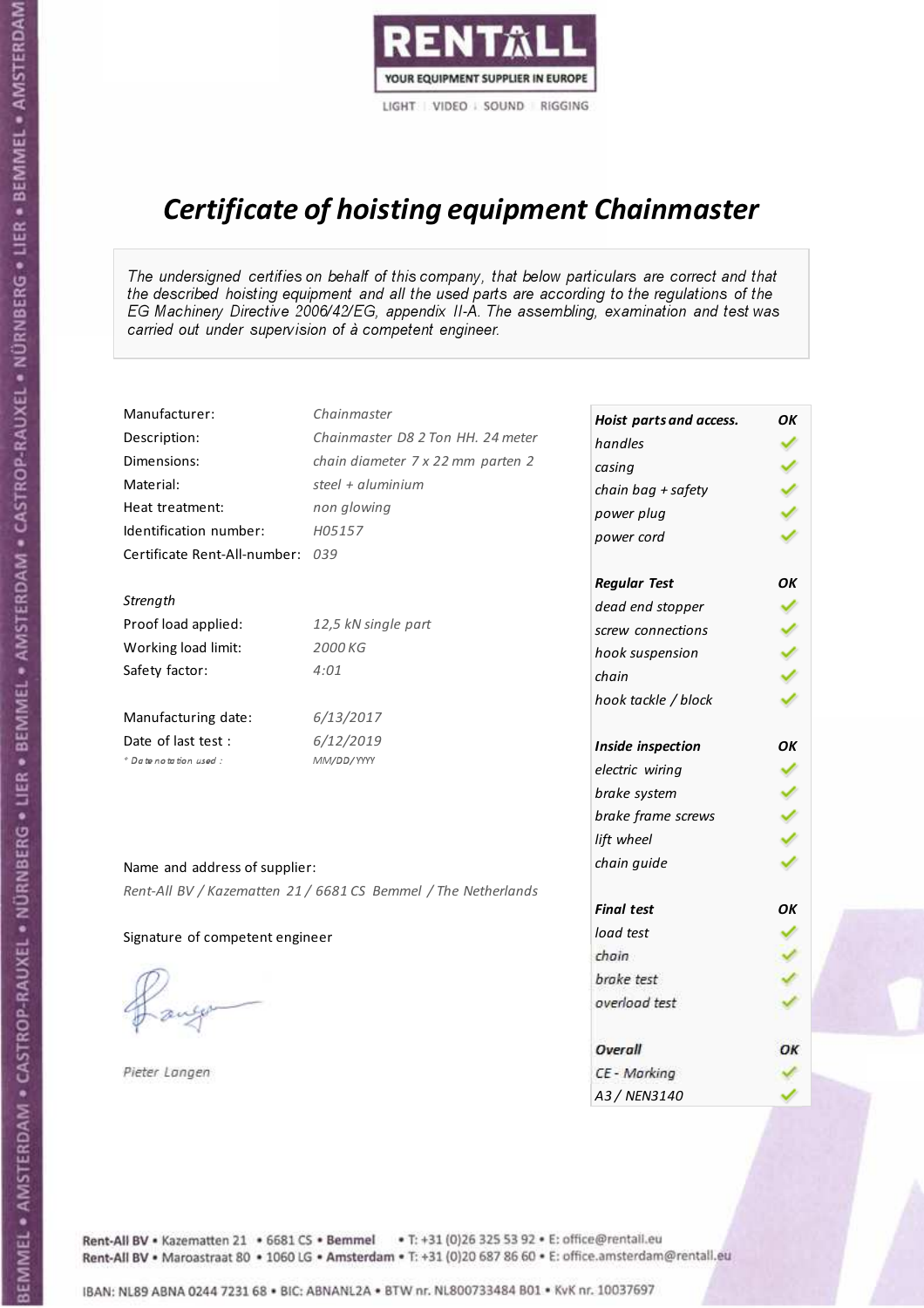

# Certificate of hoisting equipment Chainmaster

The undersigned certifies on behalf of this company, that below particulars are correct and that the described hoisting equipment and all the used parts are according to the regulations of the EG Machinery Directive 2006/42/EG, appendix II-A. The assembling, examination and test was carried out under supervision of à competent engineer.

| Manufacturer:                    | Chainmaster                                                    | Hoist parts and access. | OK |
|----------------------------------|----------------------------------------------------------------|-------------------------|----|
| Description:                     | Chainmaster D8 2 Ton HH. 24 meter                              | handles                 |    |
| Dimensions:                      | chain diameter 7 x 22 mm parten 2                              | casing                  |    |
| Material:                        | steel + aluminium                                              | chain bag + safety      |    |
| Heat treatment:                  | non glowing                                                    | power plug              |    |
| Identification number:           | H05157                                                         | power cord              |    |
| Certificate Rent-All-number: 039 |                                                                |                         |    |
|                                  |                                                                | <b>Regular Test</b>     | OK |
| Strength                         |                                                                | dead end stopper        |    |
| Proof load applied:              | 12,5 kN single part                                            | screw connections       |    |
| Working load limit:              | 2000 KG                                                        | hook suspension         |    |
| Safety factor:                   | 4:01                                                           | chain                   |    |
|                                  |                                                                | hook tackle / block     |    |
| Manufacturing date:              | 6/13/2017                                                      |                         |    |
| Date of last test :              | 6/12/2019                                                      | Inside inspection       | OK |
| * Date notation used :           | MM/DD/YYYY                                                     | electric wiring         |    |
|                                  |                                                                | brake system            |    |
|                                  |                                                                | brake frame screws      |    |
|                                  |                                                                | lift wheel              |    |
| Name and address of supplier:    |                                                                | chain guide             |    |
|                                  | Rent-All BV / Kazematten 21 / 6681 CS Bemmel / The Netherlands |                         |    |
|                                  |                                                                | <b>Final test</b>       | OK |
| Signature of competent engineer  |                                                                | load test               |    |
|                                  |                                                                | chain                   |    |
|                                  |                                                                | brake test              |    |
|                                  |                                                                | overload test           |    |
|                                  |                                                                | Overall                 | OK |
| Pieter Langen                    |                                                                | CE - Marking            |    |
|                                  |                                                                | A3 / NEN3140            |    |

BEMMEL • AMSTERDAM • CASTROP-RAUXEL • NÜRNBERG • LIER • BEMMEL • AMSTERDAM • CASTROP-RAUXEL • NÜRNBERG • LIER • BEMMEL • AMSTERDAM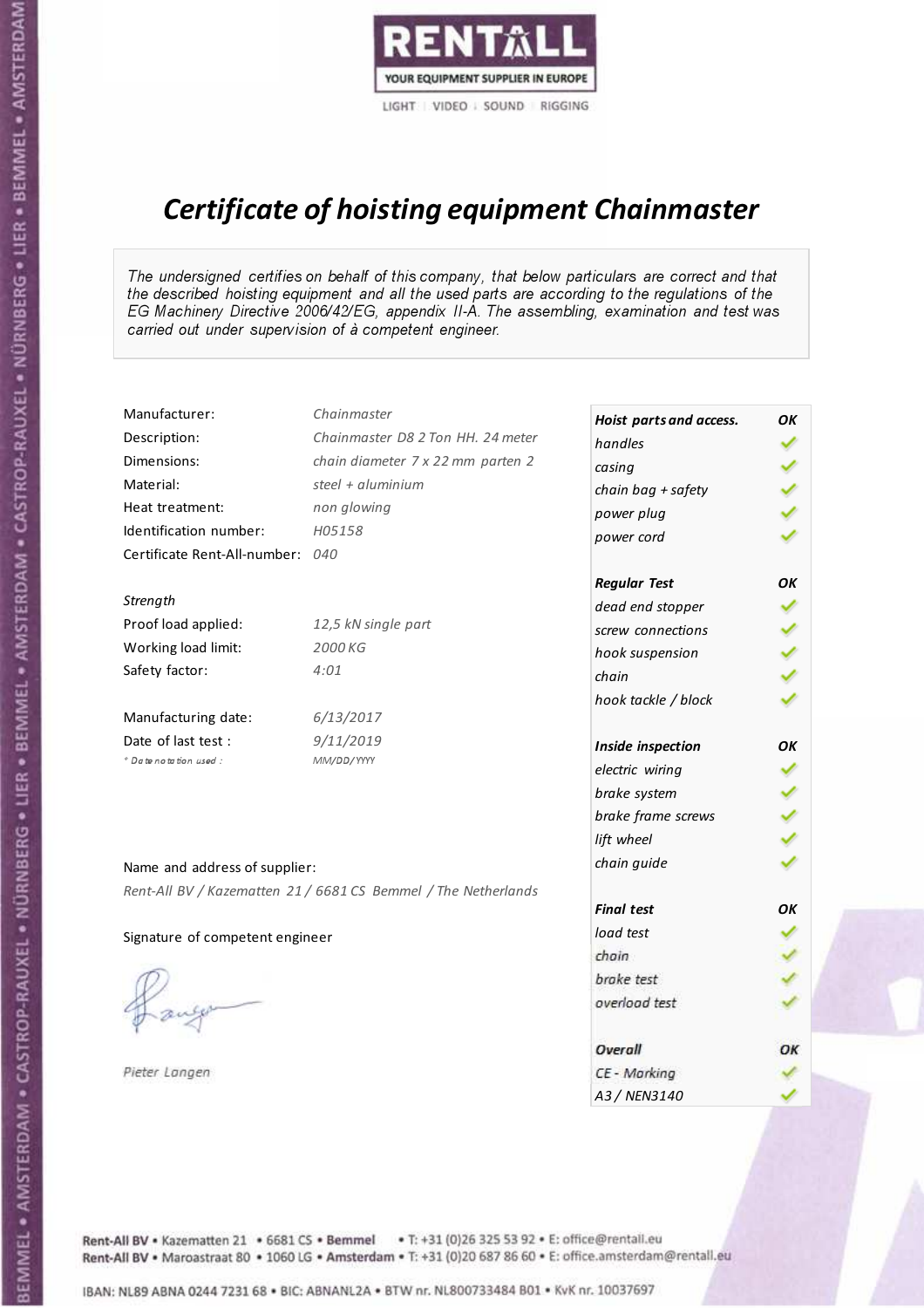

# Certificate of hoisting equipment Chainmaster

The undersigned certifies on behalf of this company, that below particulars are correct and that the described hoisting equipment and all the used parts are according to the regulations of the EG Machinery Directive 2006/42/EG, appendix II-A. The assembling, examination and test was carried out under supervision of à competent engineer.

| Manufacturer:                    | Chainmaster                                                    | Hoist parts and access. | OK |
|----------------------------------|----------------------------------------------------------------|-------------------------|----|
| Description:                     | Chainmaster D8 2 Ton HH. 24 meter                              | handles                 |    |
| Dimensions:                      | chain diameter 7 x 22 mm parten 2                              | casing                  |    |
| Material:                        | steel + $aluminim$                                             | chain bag + safety      |    |
| Heat treatment:                  | non glowing                                                    | power plug              |    |
| Identification number:           | H05158                                                         | power cord              |    |
| Certificate Rent-All-number: 040 |                                                                |                         |    |
|                                  |                                                                | <b>Regular Test</b>     | OK |
| Strength                         |                                                                | dead end stopper        |    |
| Proof load applied:              | 12,5 kN single part                                            | screw connections       |    |
| Working load limit:              | 2000 KG                                                        | hook suspension         |    |
| Safety factor:                   | 4:01                                                           | chain                   |    |
|                                  |                                                                | hook tackle / block     |    |
| Manufacturing date:              | 6/13/2017                                                      |                         |    |
| Date of last test :              | 9/11/2019                                                      | Inside inspection       | OK |
| * Date notation used :           | MM/DD/YYYY                                                     | electric wiring         |    |
|                                  |                                                                | brake system            |    |
|                                  |                                                                | brake frame screws      |    |
|                                  |                                                                | lift wheel              |    |
| Name and address of supplier:    |                                                                | chain guide             |    |
|                                  | Rent-All BV / Kazematten 21 / 6681 CS Bemmel / The Netherlands |                         |    |
|                                  |                                                                | <b>Final test</b>       | OK |
| Signature of competent engineer  |                                                                | load test               |    |
|                                  |                                                                | chain                   |    |
|                                  |                                                                | brake test              |    |
|                                  |                                                                | overload test           |    |
|                                  |                                                                | Overall                 | OK |
| Pieter Langen                    |                                                                | CE - Marking            |    |
|                                  |                                                                | A3 / NEN3140            |    |

BEMMEL • AMSTERDAM • CASTROP-RAUXEL • NÜRNBERG • LIER • BEMMEL • AMSTERDAM • CASTROP-RAUXEL • NÜRNBERG • LIER • BEMMEL • AMSTERDAM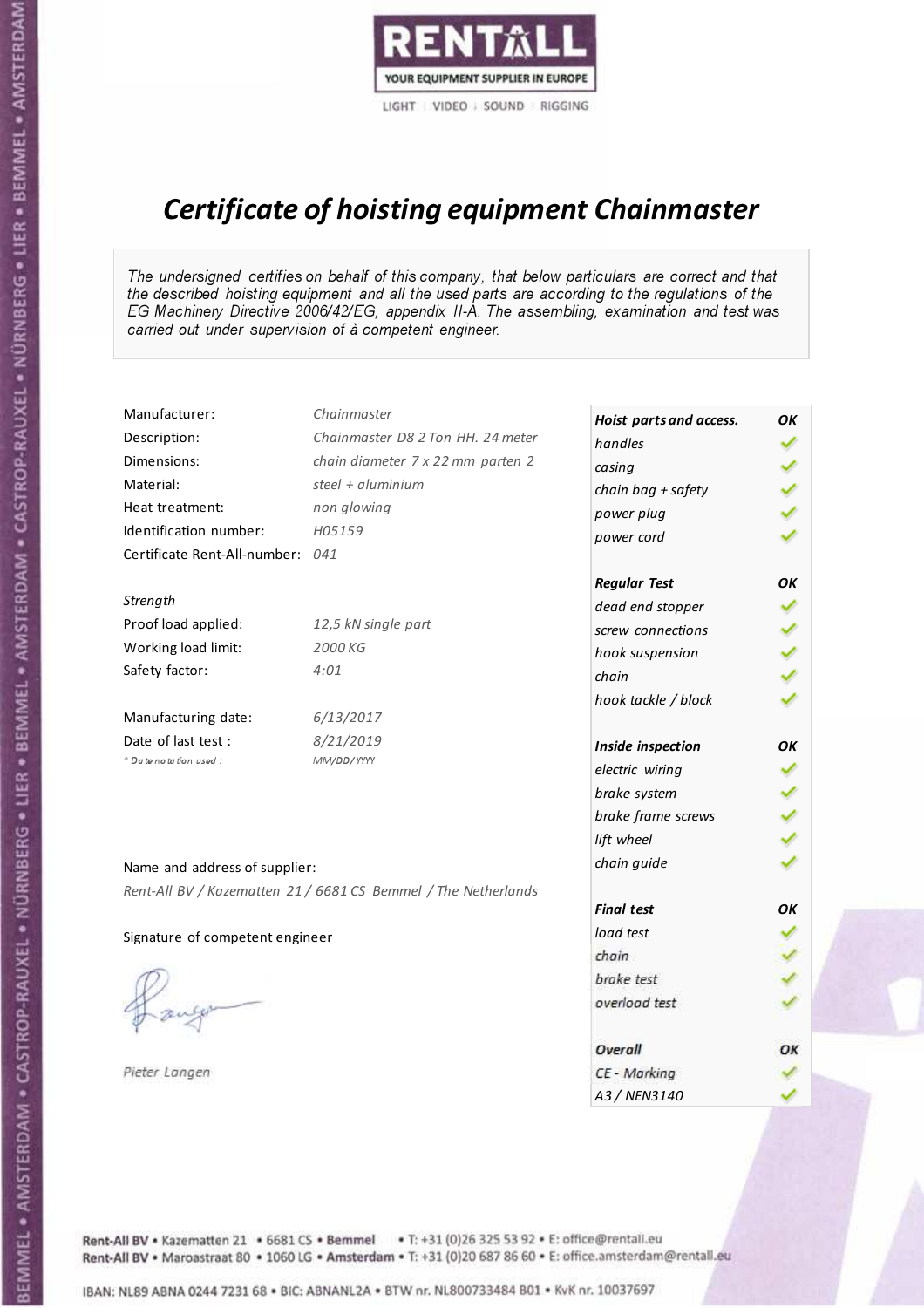

# Certificate of hoisting equipment Chainmaster

The undersigned certifies on behalf of this company, that below particulars are correct and that the described hoisting equipment and all the used parts are according to the regulations of the EG Machinery Directive 2006/42/EG, appendix II-A. The assembling, examination and test was carried out under supervision of à competent engineer.

| Manufacturer:                    | Chainmaster                                                    | Hoist parts and access. | OK |
|----------------------------------|----------------------------------------------------------------|-------------------------|----|
| Description:                     | Chainmaster D8 2 Ton HH. 24 meter                              | handles                 |    |
| Dimensions:                      | chain diameter 7 x 22 mm parten 2                              | casing                  |    |
| Material:                        | steel + $aluminim$                                             | chain bag + safety      |    |
| Heat treatment:                  | non glowing                                                    | power plug              |    |
| Identification number:           | H05159                                                         | power cord              |    |
| Certificate Rent-All-number: 041 |                                                                |                         |    |
|                                  |                                                                | <b>Regular Test</b>     | OK |
| Strength                         |                                                                | dead end stopper        |    |
| Proof load applied:              | 12,5 kN single part                                            | screw connections       |    |
| Working load limit:              | 2000 KG                                                        | hook suspension         |    |
| Safety factor:                   | 4:01                                                           | chain                   |    |
|                                  |                                                                | hook tackle / block     |    |
| Manufacturing date:              | 6/13/2017                                                      |                         |    |
| Date of last test :              | 8/21/2019                                                      | Inside inspection       | OK |
| * Date notation used :           | MM/DD/YYYY                                                     | electric wiring         |    |
|                                  |                                                                | brake system            |    |
|                                  |                                                                | brake frame screws      |    |
|                                  |                                                                | lift wheel              |    |
| Name and address of supplier:    |                                                                | chain guide             |    |
|                                  | Rent-All BV / Kazematten 21 / 6681 CS Bemmel / The Netherlands |                         |    |
|                                  |                                                                | <b>Final test</b>       | OK |
| Signature of competent engineer  |                                                                | load test               |    |
|                                  |                                                                | chain                   |    |
|                                  |                                                                | brake test              |    |
|                                  |                                                                | overload test           |    |
|                                  |                                                                | Overall                 | OK |
| Pieter Langen                    |                                                                | CE - Marking            |    |
|                                  |                                                                | A3 / NEN3140            |    |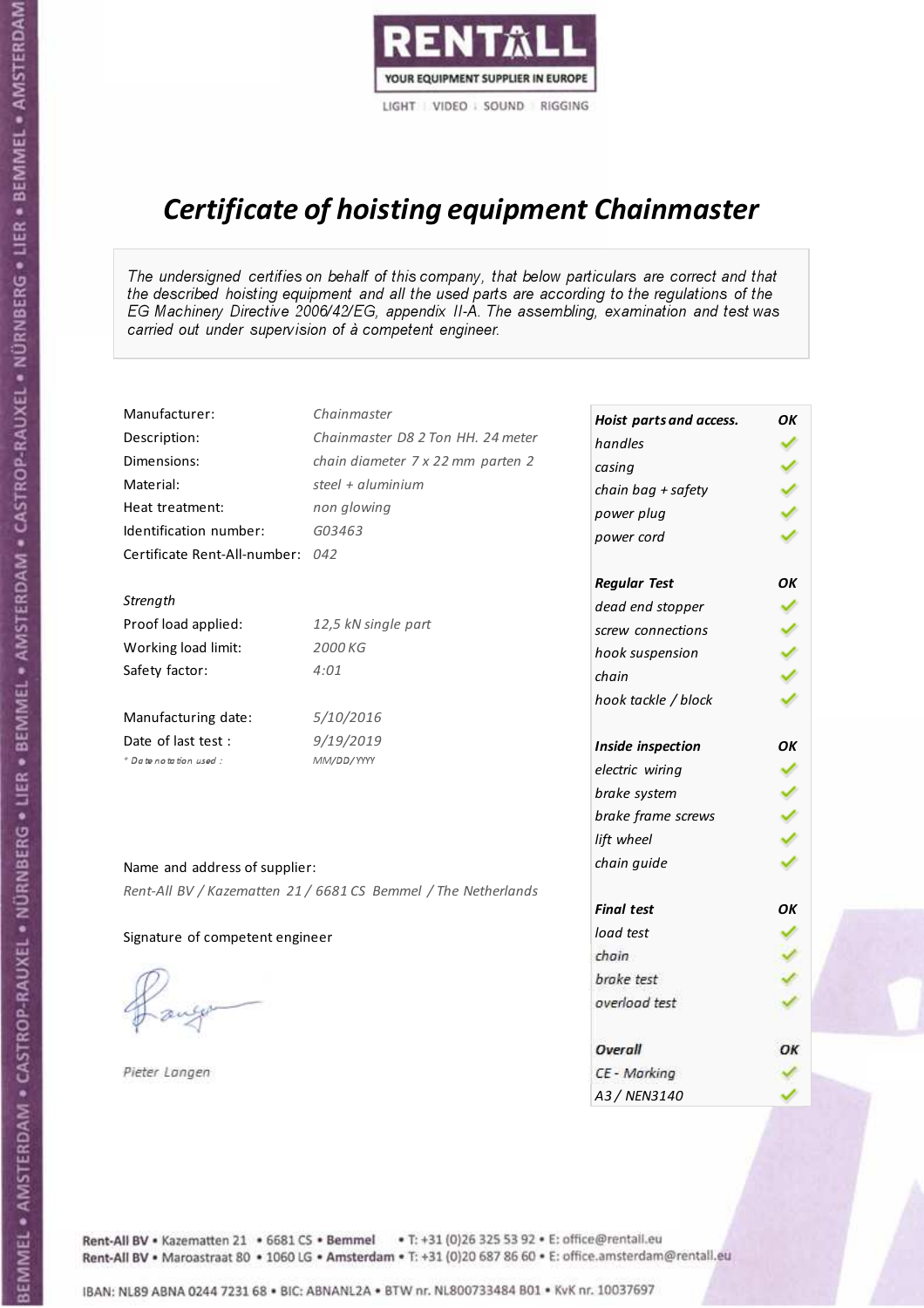

## Certificate of hoisting equipment Chainmaster

The undersigned certifies on behalf of this company, that below particulars are correct and that the described hoisting equipment and all the used parts are according to the regulations of the EG Machinery Directive 2006/42/EG, appendix II-A. The assembling, examination and test was carried out under supervision of à competent engineer.

| Chainmaster                       |                                                                                                                                                                        | OK                                                                                                                                                                                                                                                                                                                              |
|-----------------------------------|------------------------------------------------------------------------------------------------------------------------------------------------------------------------|---------------------------------------------------------------------------------------------------------------------------------------------------------------------------------------------------------------------------------------------------------------------------------------------------------------------------------|
| Chainmaster D8 2 Ton HH. 24 meter | handles                                                                                                                                                                |                                                                                                                                                                                                                                                                                                                                 |
| chain diameter 7 x 22 mm parten 2 |                                                                                                                                                                        |                                                                                                                                                                                                                                                                                                                                 |
| steel + aluminium                 |                                                                                                                                                                        |                                                                                                                                                                                                                                                                                                                                 |
| non glowing                       |                                                                                                                                                                        |                                                                                                                                                                                                                                                                                                                                 |
| G03463                            |                                                                                                                                                                        |                                                                                                                                                                                                                                                                                                                                 |
|                                   |                                                                                                                                                                        |                                                                                                                                                                                                                                                                                                                                 |
|                                   |                                                                                                                                                                        | OK                                                                                                                                                                                                                                                                                                                              |
|                                   |                                                                                                                                                                        |                                                                                                                                                                                                                                                                                                                                 |
| 12,5 kN single part               |                                                                                                                                                                        |                                                                                                                                                                                                                                                                                                                                 |
| 2000 KG                           |                                                                                                                                                                        |                                                                                                                                                                                                                                                                                                                                 |
| 4:01                              | chain                                                                                                                                                                  |                                                                                                                                                                                                                                                                                                                                 |
|                                   |                                                                                                                                                                        |                                                                                                                                                                                                                                                                                                                                 |
| 5/10/2016                         |                                                                                                                                                                        |                                                                                                                                                                                                                                                                                                                                 |
| 9/19/2019                         |                                                                                                                                                                        | OK                                                                                                                                                                                                                                                                                                                              |
| MM/DD/YYYY                        |                                                                                                                                                                        |                                                                                                                                                                                                                                                                                                                                 |
|                                   |                                                                                                                                                                        |                                                                                                                                                                                                                                                                                                                                 |
|                                   |                                                                                                                                                                        |                                                                                                                                                                                                                                                                                                                                 |
|                                   |                                                                                                                                                                        |                                                                                                                                                                                                                                                                                                                                 |
|                                   |                                                                                                                                                                        |                                                                                                                                                                                                                                                                                                                                 |
|                                   |                                                                                                                                                                        |                                                                                                                                                                                                                                                                                                                                 |
|                                   | <b>Final test</b>                                                                                                                                                      | OK                                                                                                                                                                                                                                                                                                                              |
|                                   | load test                                                                                                                                                              |                                                                                                                                                                                                                                                                                                                                 |
|                                   |                                                                                                                                                                        |                                                                                                                                                                                                                                                                                                                                 |
|                                   |                                                                                                                                                                        |                                                                                                                                                                                                                                                                                                                                 |
|                                   | overload test                                                                                                                                                          |                                                                                                                                                                                                                                                                                                                                 |
|                                   | Overall                                                                                                                                                                | ОК                                                                                                                                                                                                                                                                                                                              |
|                                   | CE - Marking                                                                                                                                                           |                                                                                                                                                                                                                                                                                                                                 |
|                                   | A3 / NEN3140                                                                                                                                                           |                                                                                                                                                                                                                                                                                                                                 |
|                                   | Certificate Rent-All-number: 042<br>Name and address of supplier:<br>Rent-All BV / Kazematten 21 / 6681 CS Bemmel / The Netherlands<br>Signature of competent engineer | Hoist parts and access.<br>casing<br>chain bag + safety<br>power plug<br>power cord<br><b>Regular Test</b><br>dead end stopper<br>screw connections<br>hook suspension<br>hook tackle / block<br>Inside inspection<br>electric wiring<br>brake system<br>brake frame screws<br>lift wheel<br>chain guide<br>chain<br>brake test |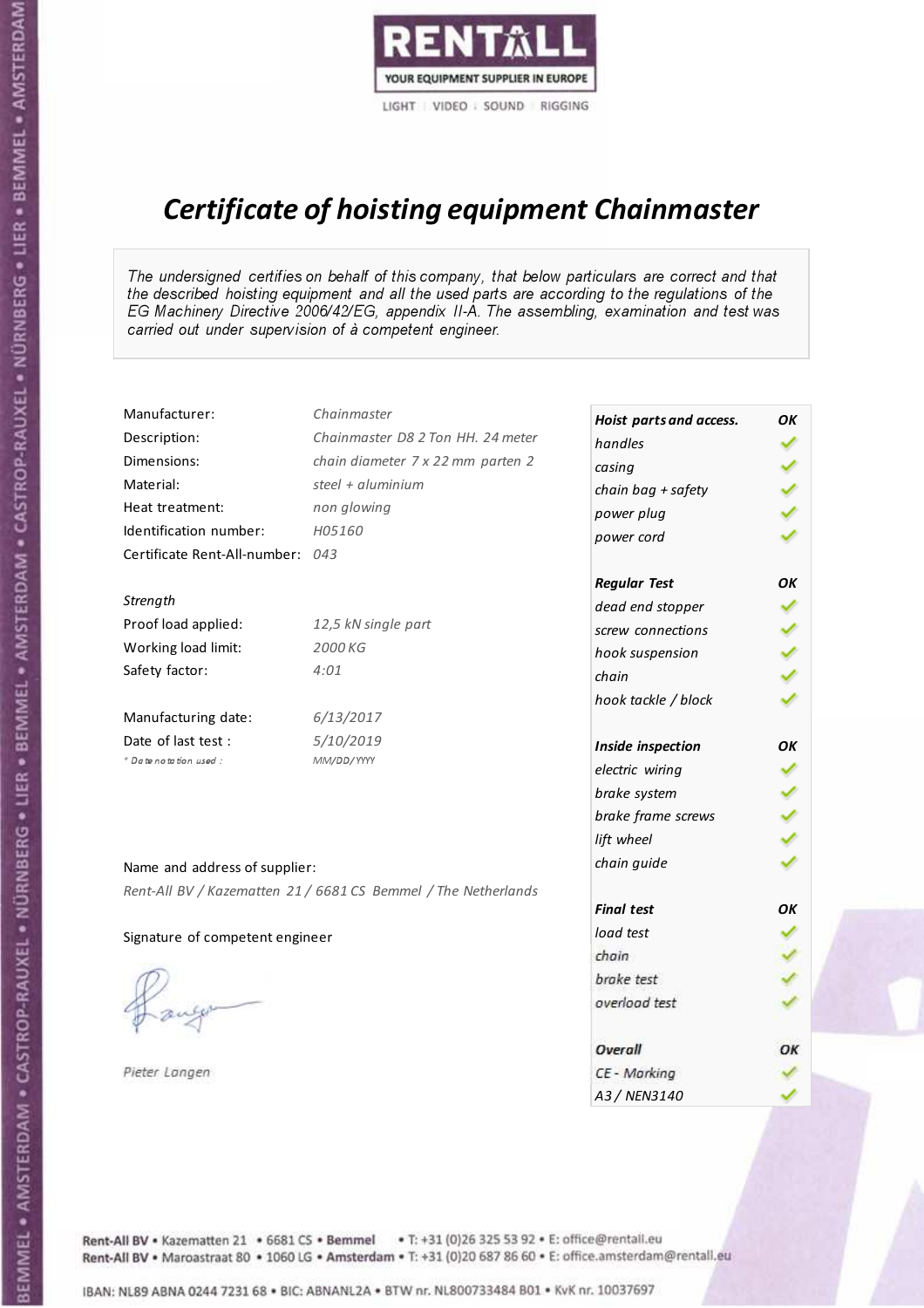

# Certificate of hoisting equipment Chainmaster

The undersigned certifies on behalf of this company, that below particulars are correct and that the described hoisting equipment and all the used parts are according to the regulations of the EG Machinery Directive 2006/42/EG, appendix II-A. The assembling, examination and test was carried out under supervision of à competent engineer.

| Manufacturer:                    | Chainmaster                                                    | Hoist parts and access. | OK |
|----------------------------------|----------------------------------------------------------------|-------------------------|----|
| Description:                     | Chainmaster D8 2 Ton HH. 24 meter                              | handles                 |    |
| Dimensions:                      | chain diameter 7 x 22 mm parten 2                              | casing                  |    |
| Material:                        | steel + aluminium                                              | chain bag + safety      |    |
| Heat treatment:                  | non glowing                                                    | power plug              |    |
| Identification number:           | H05160                                                         | power cord              |    |
| Certificate Rent-All-number: 043 |                                                                |                         |    |
|                                  |                                                                | <b>Regular Test</b>     | OK |
| Strength                         |                                                                | dead end stopper        |    |
| Proof load applied:              | 12,5 kN single part                                            | screw connections       |    |
| Working load limit:              | 2000 KG                                                        | hook suspension         |    |
| Safety factor:                   | 4:01                                                           | chain                   |    |
|                                  |                                                                | hook tackle / block     |    |
| Manufacturing date:              | 6/13/2017                                                      |                         |    |
| Date of last test :              | 5/10/2019                                                      | Inside inspection       | OK |
| + Date notation used :           | MM/DD/YYYY                                                     | electric wiring         |    |
|                                  |                                                                | brake system            |    |
|                                  |                                                                | brake frame screws      |    |
|                                  |                                                                | lift wheel              |    |
|                                  |                                                                | chain guide             |    |
| Name and address of supplier:    |                                                                |                         |    |
|                                  | Rent-All BV / Kazematten 21 / 6681 CS Bemmel / The Netherlands | <b>Final test</b>       | OK |
|                                  |                                                                | load test               |    |
| Signature of competent engineer  |                                                                | chain                   |    |
|                                  |                                                                | brake test              |    |
|                                  |                                                                | overload test           |    |
|                                  |                                                                |                         |    |
|                                  |                                                                | Overall                 | OK |
| Pieter Langen                    |                                                                | CE - Marking            |    |
|                                  |                                                                | A3 / NEN3140            |    |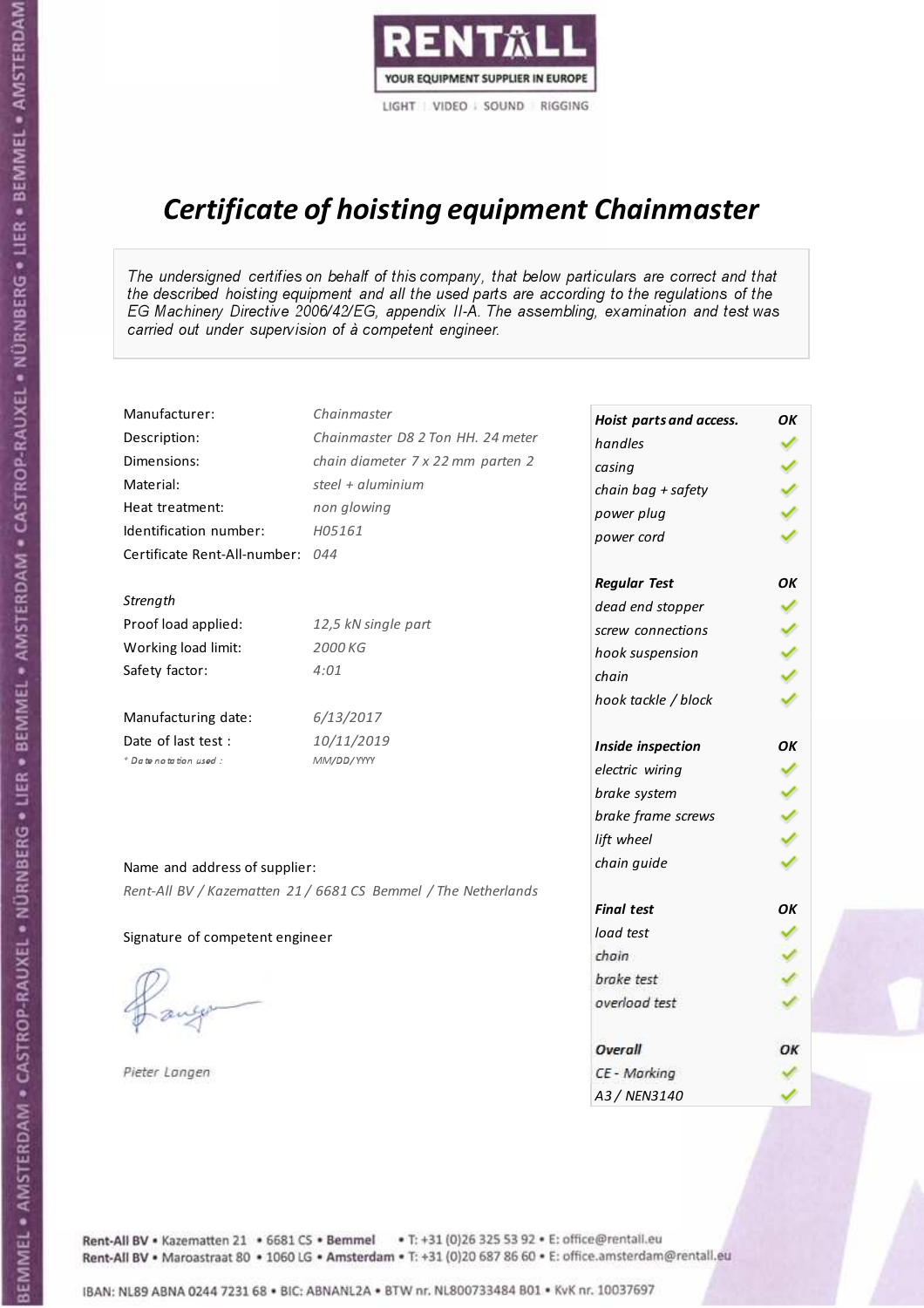

# Certificate of hoisting equipment Chainmaster

The undersigned certifies on behalf of this company, that below particulars are correct and that the described hoisting equipment and all the used parts are according to the regulations of the EG Machinery Directive 2006/42/EG, appendix II-A. The assembling, examination and test was carried out under supervision of à competent engineer.

| Manufacturer:                    | Chainmaster                                                    | Hoist parts and access. | OK |
|----------------------------------|----------------------------------------------------------------|-------------------------|----|
| Description:                     | Chainmaster D8 2 Ton HH. 24 meter                              | handles                 |    |
| Dimensions:                      | chain diameter 7 x 22 mm parten 2                              | casing                  |    |
| Material:                        | steel + aluminium                                              | chain bag + safety      |    |
| Heat treatment:                  | non glowing                                                    | power plug              |    |
| Identification number:           | H05161                                                         | power cord              |    |
| Certificate Rent-All-number: 044 |                                                                |                         |    |
|                                  |                                                                | <b>Regular Test</b>     | OK |
| Strength                         |                                                                | dead end stopper        |    |
| Proof load applied:              | 12,5 kN single part                                            | screw connections       |    |
| Working load limit:              | 2000 KG                                                        | hook suspension         |    |
| Safety factor:                   | 4:01                                                           | chain                   |    |
|                                  |                                                                | hook tackle / block     |    |
| Manufacturing date:              | 6/13/2017                                                      |                         |    |
| Date of last test :              | 10/11/2019                                                     | Inside inspection       | OK |
| * Date notation used :           | MM/DD/YYYY                                                     | electric wiring         | ✓  |
|                                  |                                                                | brake system            |    |
|                                  |                                                                | brake frame screws      |    |
|                                  |                                                                | lift wheel              |    |
| Name and address of supplier:    |                                                                | chain guide             |    |
|                                  | Rent-All BV / Kazematten 21 / 6681 CS Bemmel / The Netherlands |                         |    |
|                                  |                                                                | <b>Final test</b>       | OK |
| Signature of competent engineer  |                                                                | load test               |    |
|                                  |                                                                | chain                   |    |
|                                  |                                                                | brake test              |    |
|                                  |                                                                | overload test           |    |
|                                  |                                                                | Overall                 | OK |
| Pieter Langen                    |                                                                | CE - Marking            |    |
|                                  |                                                                | A3 / NEN3140            |    |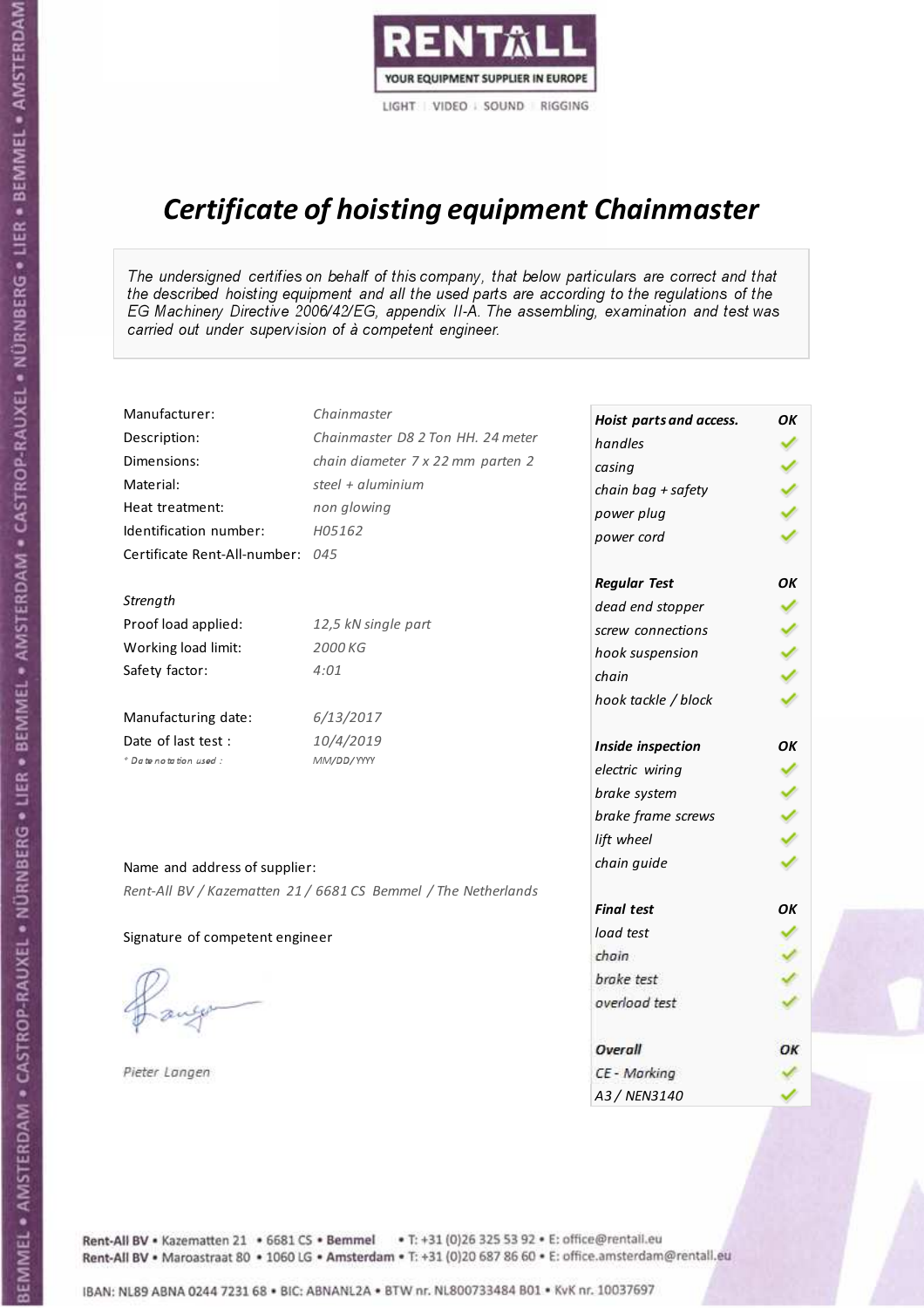

# Certificate of hoisting equipment Chainmaster

The undersigned certifies on behalf of this company, that below particulars are correct and that the described hoisting equipment and all the used parts are according to the regulations of the EG Machinery Directive 2006/42/EG, appendix II-A. The assembling, examination and test was carried out under supervision of à competent engineer.

| Manufacturer:                    | Chainmaster                                                    | Hoist parts and access. | OK |
|----------------------------------|----------------------------------------------------------------|-------------------------|----|
| Description:                     | Chainmaster D8 2 Ton HH. 24 meter                              | handles                 |    |
| Dimensions:                      | chain diameter 7 x 22 mm parten 2                              | casing                  |    |
| Material:                        | steel $+$ aluminium                                            | chain bag + safety      |    |
| Heat treatment:                  | non glowing                                                    | power plug              |    |
| Identification number:           | H05162                                                         | power cord              |    |
| Certificate Rent-All-number: 045 |                                                                |                         |    |
|                                  |                                                                | <b>Regular Test</b>     | OK |
| Strength                         |                                                                | dead end stopper        |    |
| Proof load applied:              | 12,5 kN single part                                            | screw connections       |    |
| Working load limit:              | 2000 KG                                                        | hook suspension         |    |
| Safety factor:                   | 4:01                                                           | chain                   |    |
|                                  |                                                                | hook tackle / block     |    |
| Manufacturing date:              | 6/13/2017                                                      |                         |    |
| Date of last test:               | 10/4/2019                                                      | Inside inspection       | OK |
| * Date notation used :           | MM/DD/YYYY                                                     | electric wiring         |    |
|                                  |                                                                | brake system            |    |
|                                  |                                                                | brake frame screws      |    |
|                                  |                                                                | lift wheel              |    |
| Name and address of supplier:    |                                                                | chain guide             |    |
|                                  | Rent-All BV / Kazematten 21 / 6681 CS Bemmel / The Netherlands |                         |    |
|                                  |                                                                | <b>Final test</b>       | OK |
| Signature of competent engineer  |                                                                | load test               |    |
|                                  |                                                                | chain                   |    |
|                                  |                                                                | brake test              |    |
|                                  |                                                                | overload test           |    |
|                                  |                                                                |                         |    |
|                                  |                                                                | Overall                 | OK |
| Pieter Langen                    |                                                                | CE - Marking            |    |
|                                  |                                                                | A3 / NEN3140            |    |

BEMMEL • AMSTERDAM • CASTROP-RAUXEL • NÜRNBERG • LIER • BEMMEL • AMSTERDAM • CASTROP-RAUXEL • NÜRNBERG • LIER • BEMMEL • AMSTERDAM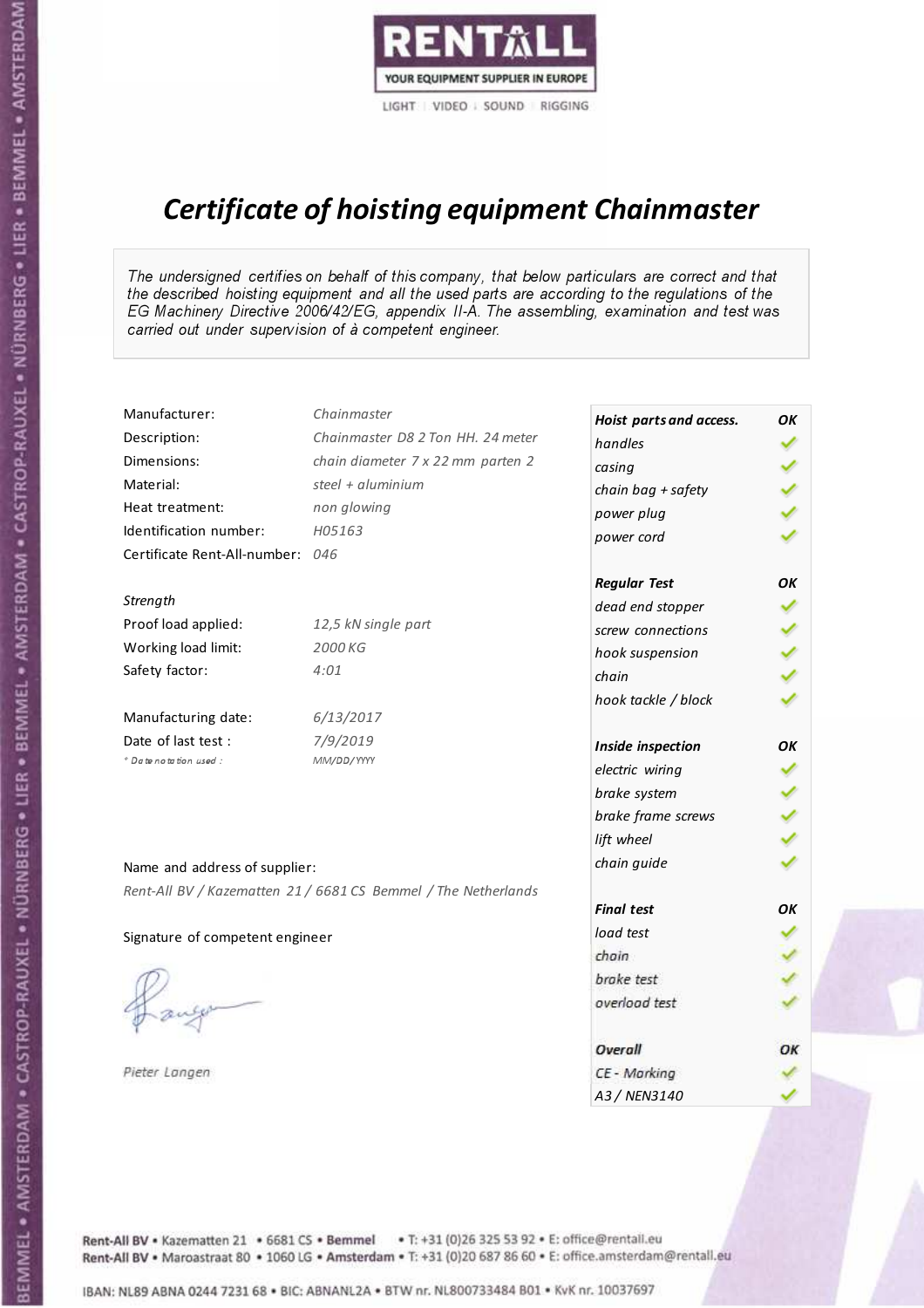

# Certificate of hoisting equipment Chainmaster

The undersigned certifies on behalf of this company, that below particulars are correct and that the described hoisting equipment and all the used parts are according to the regulations of the EG Machinery Directive 2006/42/EG, appendix II-A. The assembling, examination and test was carried out under supervision of à competent engineer.

| Manufacturer:                    | Chainmaster                                                    | Hoist parts and access. | OK |
|----------------------------------|----------------------------------------------------------------|-------------------------|----|
| Description:                     | Chainmaster D8 2 Ton HH. 24 meter                              | handles                 |    |
| Dimensions:                      | chain diameter 7 x 22 mm parten 2                              | casing                  |    |
| Material:                        | steel + aluminium                                              | chain bag + safety      |    |
| Heat treatment:                  | non glowing                                                    | power plug              |    |
| Identification number:           | H05163                                                         | power cord              |    |
| Certificate Rent-All-number: 046 |                                                                |                         |    |
|                                  |                                                                | <b>Regular Test</b>     | OK |
| Strength                         |                                                                | dead end stopper        |    |
| Proof load applied:              | 12,5 kN single part                                            | screw connections       |    |
| Working load limit:              | 2000 KG                                                        | hook suspension         |    |
| Safety factor:                   | 4:01                                                           | chain                   |    |
|                                  |                                                                | hook tackle / block     |    |
| Manufacturing date:              | 6/13/2017                                                      |                         |    |
| Date of last test :              | 7/9/2019                                                       | Inside inspection       | OK |
| * Date notation used :           | MM/DD/YYYY                                                     | electric wiring         |    |
|                                  |                                                                | brake system            |    |
|                                  |                                                                | brake frame screws      |    |
|                                  |                                                                | lift wheel              |    |
| Name and address of supplier:    |                                                                | chain guide             |    |
|                                  | Rent-All BV / Kazematten 21 / 6681 CS Bemmel / The Netherlands |                         |    |
|                                  |                                                                | <b>Final test</b>       | OK |
| Signature of competent engineer  |                                                                | load test               |    |
|                                  |                                                                | chain                   |    |
|                                  |                                                                | brake test              |    |
|                                  |                                                                | overload test           |    |
|                                  |                                                                | Overall                 | OK |
| Pieter Langen                    |                                                                | CE - Marking            |    |
|                                  |                                                                | A3 / NEN3140            |    |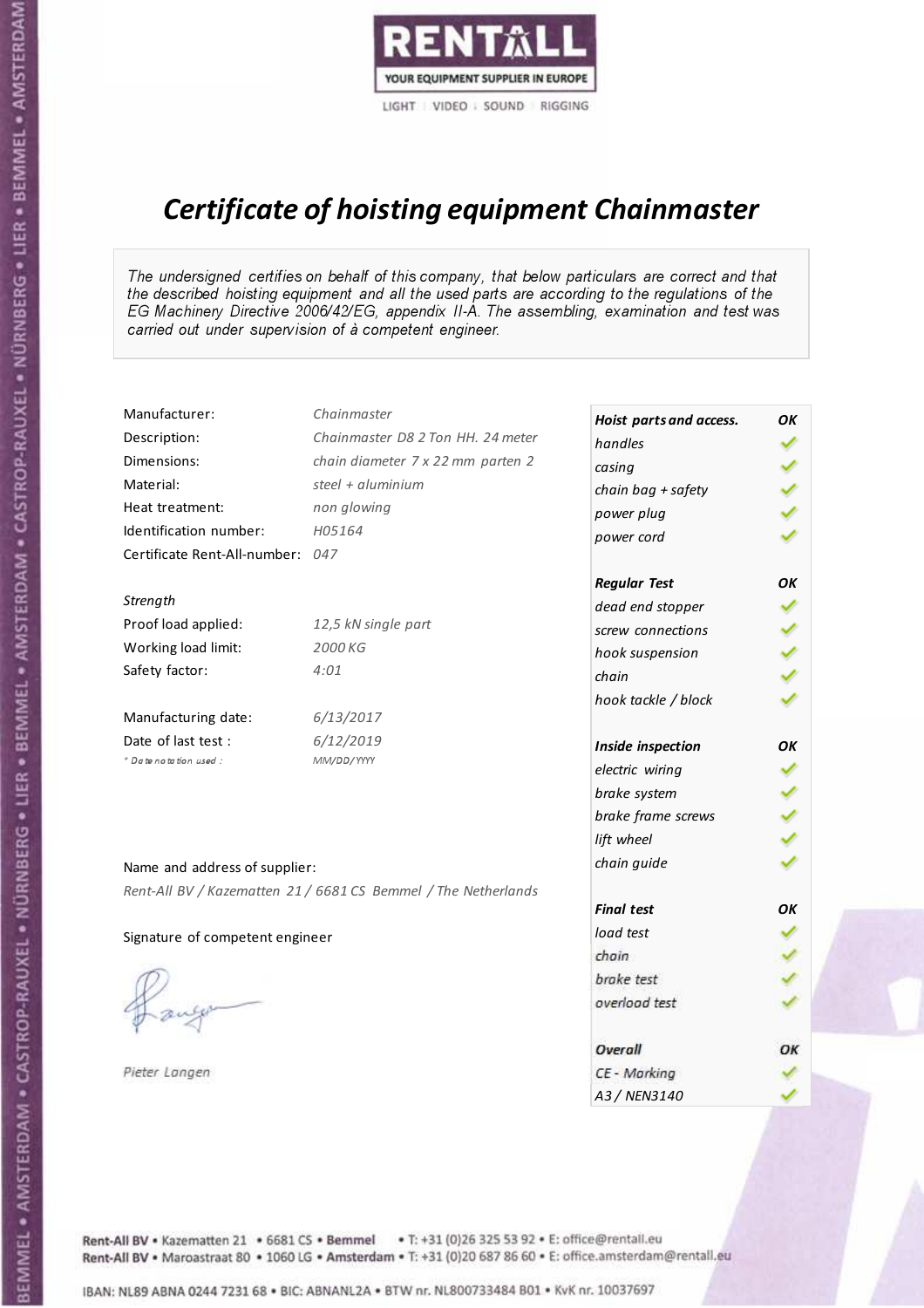

# Certificate of hoisting equipment Chainmaster

The undersigned certifies on behalf of this company, that below particulars are correct and that the described hoisting equipment and all the used parts are according to the regulations of the EG Machinery Directive 2006/42/EG, appendix II-A. The assembling, examination and test was carried out under supervision of à competent engineer.

| Manufacturer:                    | Chainmaster                                                    | Hoist parts and access. | OK |
|----------------------------------|----------------------------------------------------------------|-------------------------|----|
| Description:                     | Chainmaster D8 2 Ton HH. 24 meter                              | handles                 |    |
| Dimensions:                      | chain diameter 7 x 22 mm parten 2                              | casing                  |    |
| Material:                        | steel + aluminium                                              | chain bag + safety      |    |
| Heat treatment:                  | non glowing                                                    | power plug              |    |
| Identification number:           | H05164                                                         | power cord              |    |
| Certificate Rent-All-number: 047 |                                                                |                         |    |
|                                  |                                                                | <b>Regular Test</b>     | OK |
| Strength                         |                                                                | dead end stopper        |    |
| Proof load applied:              | 12,5 kN single part                                            | screw connections       |    |
| Working load limit:              | 2000 KG                                                        | hook suspension         |    |
| Safety factor:                   | 4:01                                                           | chain                   |    |
|                                  |                                                                | hook tackle / block     |    |
| Manufacturing date:              | 6/13/2017                                                      |                         |    |
| Date of last test :              | 6/12/2019                                                      | Inside inspection       | OK |
| * Date notation used :           | MM/DD/YYYY                                                     | electric wiring         |    |
|                                  |                                                                | brake system            |    |
|                                  |                                                                | brake frame screws      |    |
|                                  |                                                                | lift wheel              |    |
| Name and address of supplier:    |                                                                | chain guide             |    |
|                                  | Rent-All BV / Kazematten 21 / 6681 CS Bemmel / The Netherlands |                         |    |
|                                  |                                                                | <b>Final test</b>       | OK |
| Signature of competent engineer  |                                                                | load test               |    |
|                                  |                                                                | chain                   |    |
|                                  |                                                                | brake test              |    |
|                                  |                                                                | overload test           |    |
|                                  |                                                                | Overall                 | OK |
| Pieter Langen                    |                                                                | CE - Marking            |    |
|                                  |                                                                | A3 / NEN3140            |    |

BEMMEL • AMSTERDAM • CASTROP-RAUXEL • NÜRNBERG • LIER • BEMMEL • AMSTERDAM • CASTROP-RAUXEL • NÜRNBERG • LIER • BEMMEL • AMSTERDAM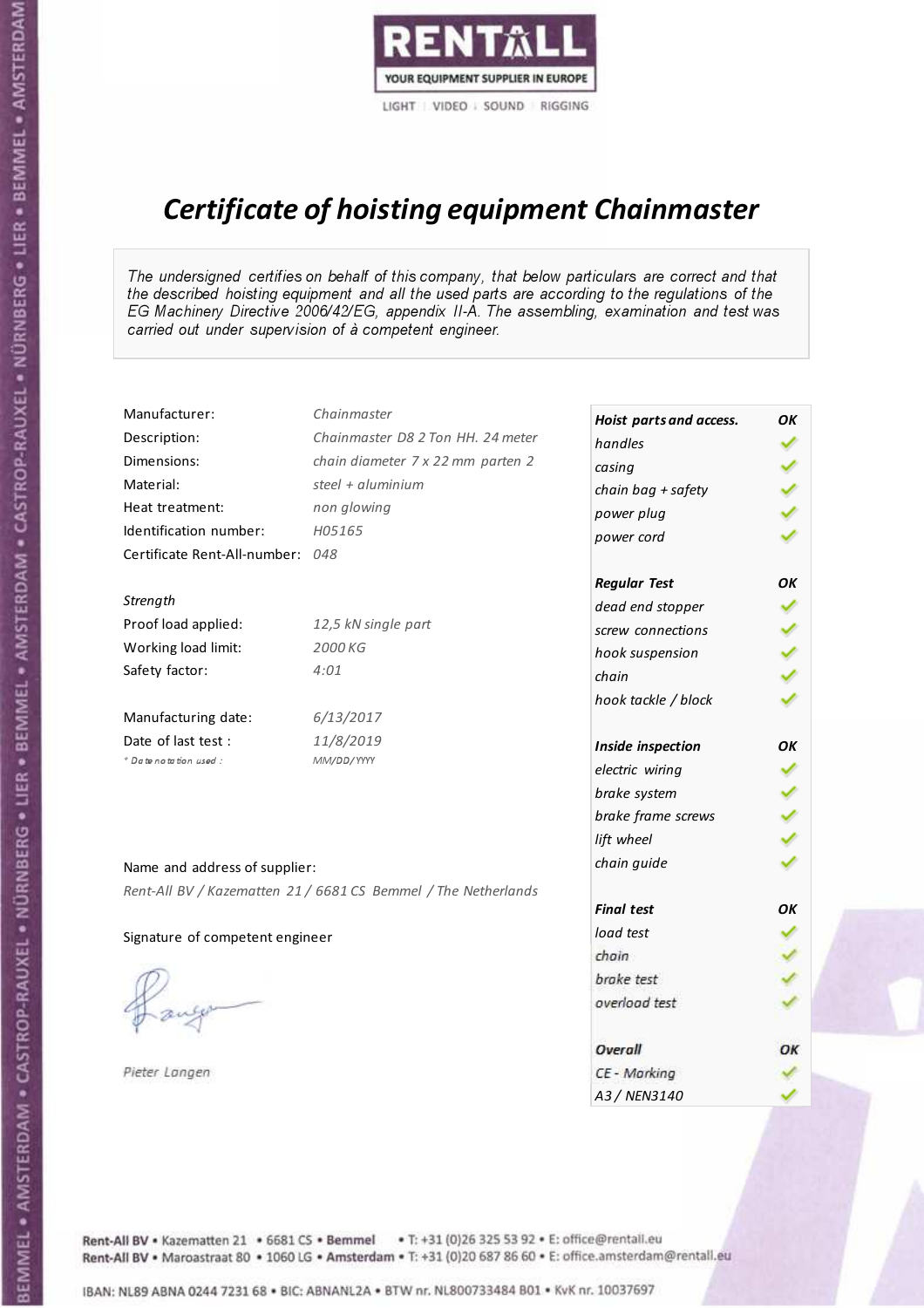

# Certificate of hoisting equipment Chainmaster

The undersigned certifies on behalf of this company, that below particulars are correct and that the described hoisting equipment and all the used parts are according to the regulations of the EG Machinery Directive 2006/42/EG, appendix II-A. The assembling, examination and test was carried out under supervision of à competent engineer.

| Manufacturer:                   | Chainmaster                                                    | Hoist parts and access. | OK |
|---------------------------------|----------------------------------------------------------------|-------------------------|----|
| Description:                    | Chainmaster D8 2 Ton HH. 24 meter                              | handles                 |    |
| Dimensions:                     | chain diameter 7 x 22 mm parten 2                              | casing                  |    |
| Material:                       | steel + aluminium                                              | chain bag + safety      |    |
| Heat treatment:                 | non glowing                                                    | power plug              |    |
| Identification number:          | H05165                                                         | power cord              |    |
| Certificate Rent-All-number:    | 048                                                            |                         |    |
|                                 |                                                                | <b>Regular Test</b>     | OK |
| Strength                        |                                                                | dead end stopper        |    |
| Proof load applied:             | 12,5 kN single part                                            | screw connections       |    |
| Working load limit:             | 2000 KG                                                        | hook suspension         |    |
| Safety factor:                  | 4:01                                                           | chain                   |    |
|                                 |                                                                | hook tackle / block     |    |
| Manufacturing date:             | 6/13/2017                                                      |                         |    |
| Date of last test :             | 11/8/2019                                                      | Inside inspection       | OK |
| * Date notation used :          | MM/DD/YYYY                                                     | electric wiring         |    |
|                                 |                                                                | brake system            |    |
|                                 |                                                                | brake frame screws      |    |
|                                 |                                                                | lift wheel              |    |
| Name and address of supplier:   |                                                                | chain guide             |    |
|                                 | Rent-All BV / Kazematten 21 / 6681 CS Bemmel / The Netherlands |                         |    |
|                                 |                                                                | <b>Final test</b>       | OK |
| Signature of competent engineer |                                                                | load test               |    |
|                                 |                                                                | chain                   |    |
|                                 |                                                                | brake test              |    |
|                                 |                                                                | overload test           |    |
|                                 |                                                                |                         |    |
|                                 |                                                                | Overall                 | OK |
| Pieter Langen                   |                                                                | CE - Marking            |    |
|                                 |                                                                | A3 / NEN3140            |    |

BEMMEL • AMSTERDAM • CASTROP-RAUXEL • NÜRNBERG • LIER • BEMMEL • AMSTERDAM • CASTROP-RAUXEL • NÜRNBERG • LIER • BEMMEL • AMSTERDAM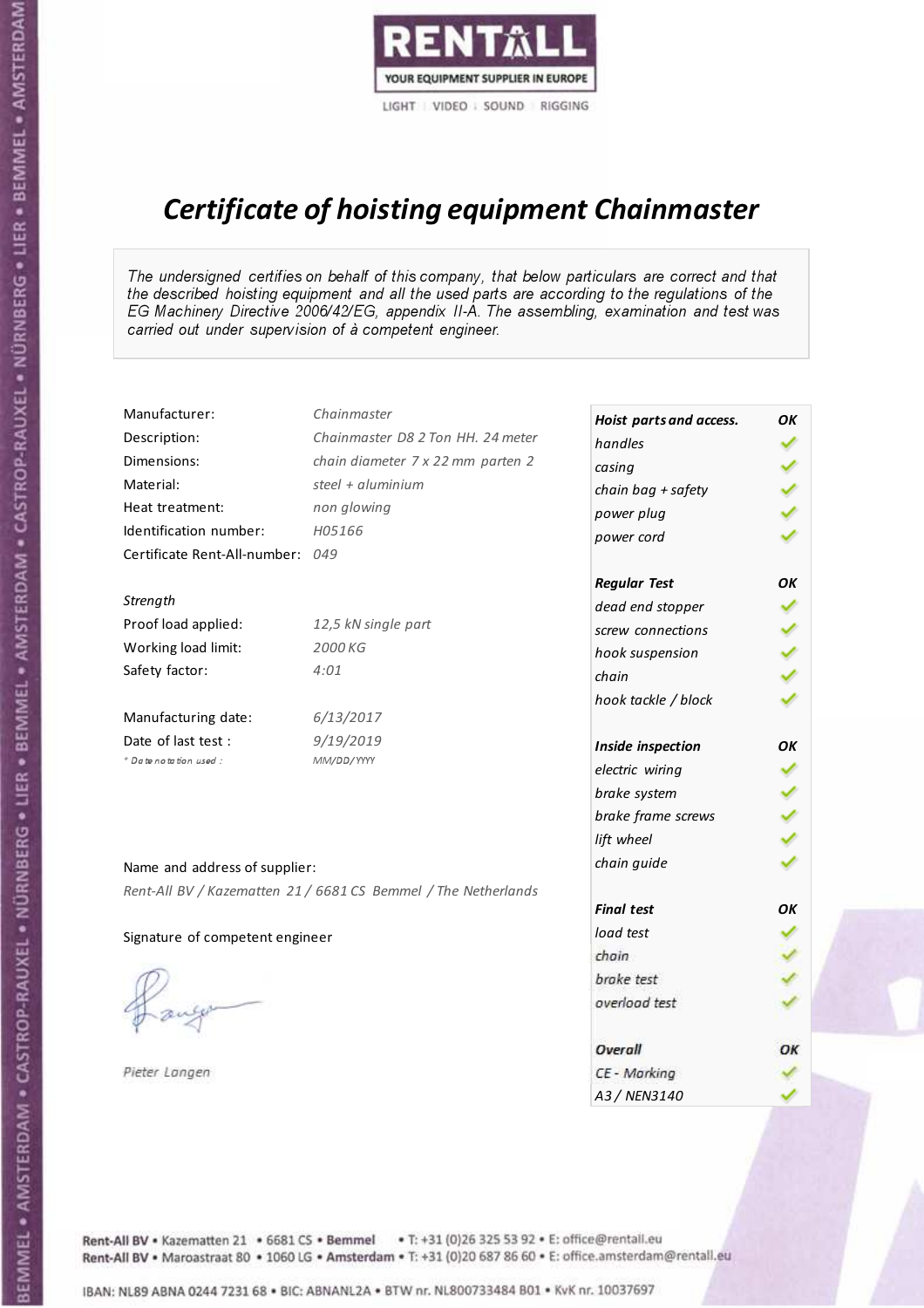

# Certificate of hoisting equipment Chainmaster

The undersigned certifies on behalf of this company, that below particulars are correct and that the described hoisting equipment and all the used parts are according to the regulations of the EG Machinery Directive 2006/42/EG, appendix II-A. The assembling, examination and test was carried out under supervision of à competent engineer.

| Manufacturer:                    | Chainmaster                                                    | Hoist parts and access. | OK |
|----------------------------------|----------------------------------------------------------------|-------------------------|----|
| Description:                     | Chainmaster D8 2 Ton HH. 24 meter                              | handles                 |    |
| Dimensions:                      | chain diameter 7 x 22 mm parten 2                              | casing                  |    |
| Material:                        | steel $+$ aluminium                                            | chain bag + safety      |    |
| Heat treatment:                  | non glowing                                                    | power plug              |    |
| Identification number:           | H05166                                                         | power cord              |    |
| Certificate Rent-All-number: 049 |                                                                |                         |    |
|                                  |                                                                | <b>Regular Test</b>     | OK |
| Strength                         |                                                                | dead end stopper        |    |
| Proof load applied:              | 12,5 kN single part                                            | screw connections       |    |
| Working load limit:              | 2000 KG                                                        | hook suspension         |    |
| Safety factor:                   | 4:01                                                           | chain                   |    |
|                                  |                                                                | hook tackle / block     |    |
| Manufacturing date:              | 6/13/2017                                                      |                         |    |
| Date of last test:               | 9/19/2019                                                      | Inside inspection       | OK |
| * Date notation used :           | MM/DD/YYYY                                                     | electric wiring         |    |
|                                  |                                                                | brake system            |    |
|                                  |                                                                | brake frame screws      |    |
|                                  |                                                                | lift wheel              |    |
| Name and address of supplier:    |                                                                | chain guide             |    |
|                                  | Rent-All BV / Kazematten 21 / 6681 CS Bemmel / The Netherlands |                         |    |
|                                  |                                                                | <b>Final test</b>       | OK |
| Signature of competent engineer  |                                                                | load test               |    |
|                                  |                                                                | chain                   |    |
|                                  |                                                                | brake test              |    |
|                                  |                                                                | overload test           |    |
|                                  |                                                                | Overall                 | OK |
| Pieter Langen                    |                                                                | CE - Marking            |    |
|                                  |                                                                | A3 / NEN3140            |    |

BEMMEL • AMSTERDAM • CASTROP-RAUXEL • NÜRNBERG • LIER • BEMMEL • AMSTERDAM • CASTROP-RAUXEL • NÜRNBERG • LIER • BEMMEL • AMSTERDAM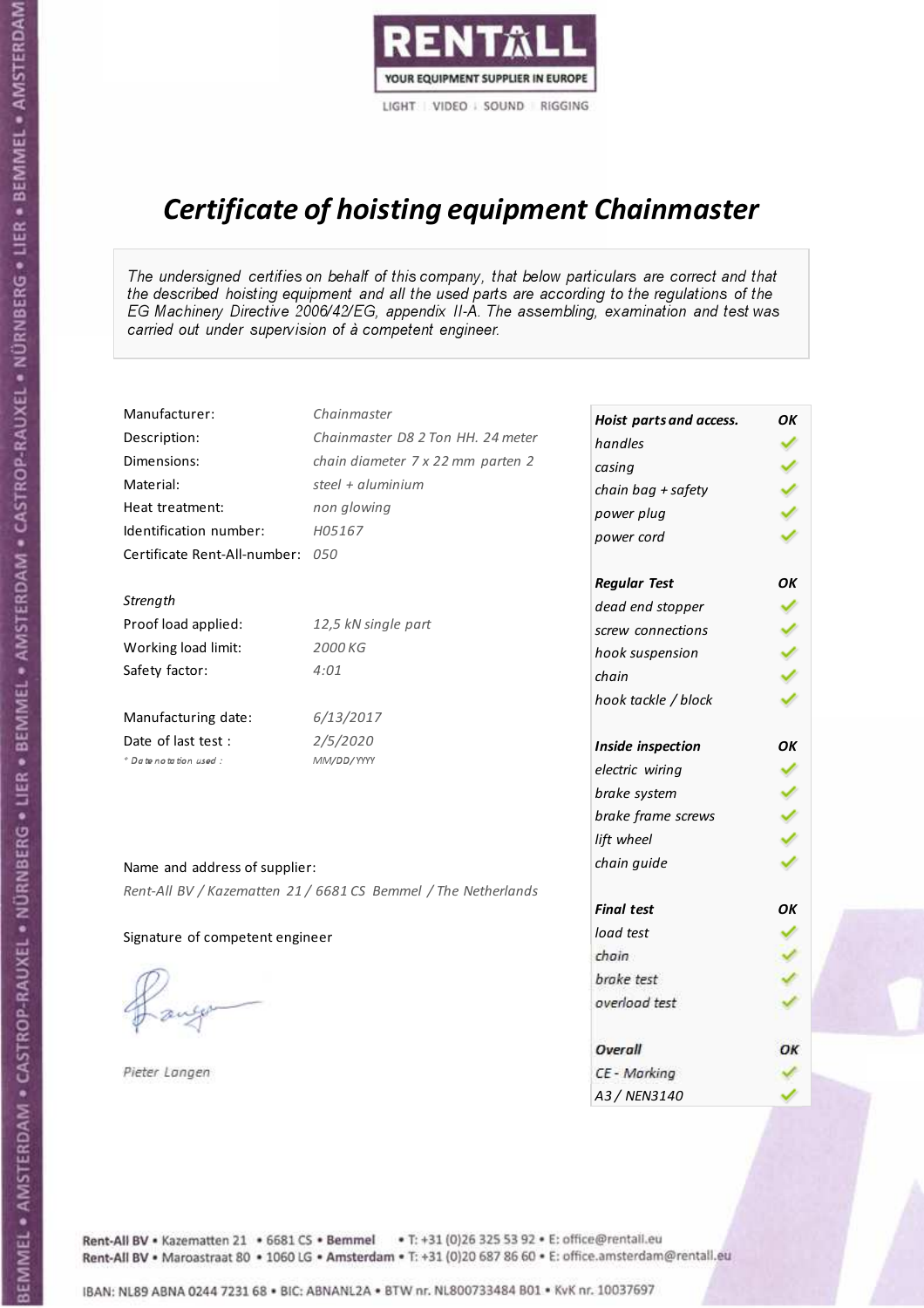

# Certificate of hoisting equipment Chainmaster

The undersigned certifies on behalf of this company, that below particulars are correct and that the described hoisting equipment and all the used parts are according to the regulations of the EG Machinery Directive 2006/42/EG, appendix II-A. The assembling, examination and test was carried out under supervision of à competent engineer.

| Manufacturer:                    | Chainmaster                                                    | Hoist parts and access. | OK |
|----------------------------------|----------------------------------------------------------------|-------------------------|----|
| Description:                     | Chainmaster D8 2 Ton HH. 24 meter                              | handles                 |    |
| Dimensions:                      | chain diameter 7 x 22 mm parten 2                              | casing                  |    |
| Material:                        | steel + $aluminim$                                             | chain bag + safety      |    |
| Heat treatment:                  | non glowing                                                    | power plug              |    |
| Identification number:           | H05167                                                         | power cord              |    |
| Certificate Rent-All-number: 050 |                                                                |                         |    |
|                                  |                                                                | <b>Regular Test</b>     | OK |
| Strength                         |                                                                | dead end stopper        |    |
| Proof load applied:              | 12,5 kN single part                                            | screw connections       |    |
| Working load limit:              | 2000 KG                                                        | hook suspension         |    |
| Safety factor:                   | 4:01                                                           | chain                   |    |
|                                  |                                                                | hook tackle / block     |    |
| Manufacturing date:              | 6/13/2017                                                      |                         |    |
| Date of last test :              | 2/5/2020                                                       | Inside inspection       | OK |
| * Date notation used :           | MM/DD/YYYY                                                     | electric wiring         |    |
|                                  |                                                                | brake system            |    |
|                                  |                                                                | brake frame screws      |    |
|                                  |                                                                | lift wheel              |    |
| Name and address of supplier:    |                                                                | chain guide             |    |
|                                  | Rent-All BV / Kazematten 21 / 6681 CS Bemmel / The Netherlands |                         |    |
|                                  |                                                                | <b>Final test</b>       | OK |
| Signature of competent engineer  |                                                                | load test               |    |
|                                  |                                                                | chain                   |    |
|                                  |                                                                | brake test              |    |
|                                  |                                                                | overload test           |    |
|                                  |                                                                |                         |    |
|                                  |                                                                | Overall                 | OK |
| Pieter Langen                    |                                                                | CE - Marking            |    |
|                                  |                                                                | A3 / NEN3140            |    |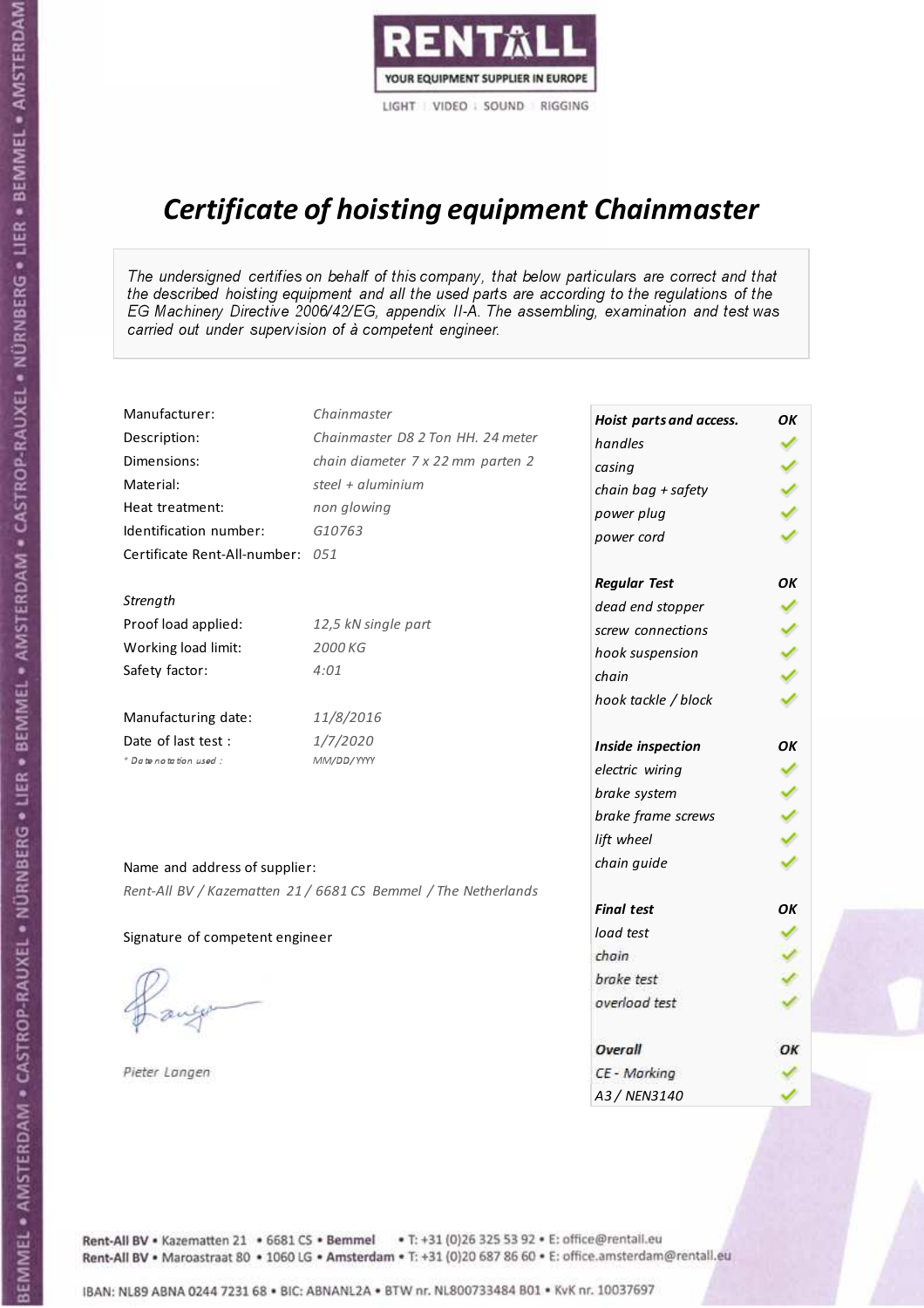

# Certificate of hoisting equipment Chainmaster

The undersigned certifies on behalf of this company, that below particulars are correct and that the described hoisting equipment and all the used parts are according to the regulations of the EG Machinery Directive 2006/42/EG, appendix II-A. The assembling, examination and test was carried out under supervision of à competent engineer.

| Chainmaster                       |                                                                                                                                                                        | OK                                                                                                                                                                                                                                                                                 |
|-----------------------------------|------------------------------------------------------------------------------------------------------------------------------------------------------------------------|------------------------------------------------------------------------------------------------------------------------------------------------------------------------------------------------------------------------------------------------------------------------------------|
| Chainmaster D8 2 Ton HH. 24 meter | handles                                                                                                                                                                |                                                                                                                                                                                                                                                                                    |
| chain diameter 7 x 22 mm parten 2 | casing                                                                                                                                                                 |                                                                                                                                                                                                                                                                                    |
| steel + aluminium                 |                                                                                                                                                                        |                                                                                                                                                                                                                                                                                    |
| non glowing                       |                                                                                                                                                                        |                                                                                                                                                                                                                                                                                    |
| G10763                            |                                                                                                                                                                        |                                                                                                                                                                                                                                                                                    |
|                                   |                                                                                                                                                                        |                                                                                                                                                                                                                                                                                    |
|                                   |                                                                                                                                                                        | OK                                                                                                                                                                                                                                                                                 |
|                                   |                                                                                                                                                                        |                                                                                                                                                                                                                                                                                    |
| 12,5 kN single part               | screw connections                                                                                                                                                      |                                                                                                                                                                                                                                                                                    |
| 2000 KG                           |                                                                                                                                                                        |                                                                                                                                                                                                                                                                                    |
| 4:01                              | chain                                                                                                                                                                  |                                                                                                                                                                                                                                                                                    |
|                                   |                                                                                                                                                                        |                                                                                                                                                                                                                                                                                    |
| 11/8/2016                         |                                                                                                                                                                        |                                                                                                                                                                                                                                                                                    |
| 1/7/2020                          |                                                                                                                                                                        | OK                                                                                                                                                                                                                                                                                 |
| MM/DD/YYYY                        |                                                                                                                                                                        |                                                                                                                                                                                                                                                                                    |
|                                   |                                                                                                                                                                        |                                                                                                                                                                                                                                                                                    |
|                                   |                                                                                                                                                                        |                                                                                                                                                                                                                                                                                    |
|                                   |                                                                                                                                                                        |                                                                                                                                                                                                                                                                                    |
|                                   |                                                                                                                                                                        |                                                                                                                                                                                                                                                                                    |
|                                   |                                                                                                                                                                        |                                                                                                                                                                                                                                                                                    |
|                                   | <b>Final test</b>                                                                                                                                                      | OK                                                                                                                                                                                                                                                                                 |
|                                   | load test                                                                                                                                                              |                                                                                                                                                                                                                                                                                    |
|                                   |                                                                                                                                                                        |                                                                                                                                                                                                                                                                                    |
|                                   | brake test                                                                                                                                                             |                                                                                                                                                                                                                                                                                    |
|                                   | overload test                                                                                                                                                          |                                                                                                                                                                                                                                                                                    |
|                                   | Overall                                                                                                                                                                | OK                                                                                                                                                                                                                                                                                 |
|                                   | CE - Marking                                                                                                                                                           |                                                                                                                                                                                                                                                                                    |
|                                   |                                                                                                                                                                        |                                                                                                                                                                                                                                                                                    |
|                                   | Certificate Rent-All-number: 051<br>Name and address of supplier:<br>Rent-All BV / Kazematten 21 / 6681 CS Bemmel / The Netherlands<br>Signature of competent engineer | Hoist parts and access.<br>chain bag + safety<br>power plug<br>power cord<br><b>Regular Test</b><br>dead end stopper<br>hook suspension<br>hook tackle / block<br>Inside inspection<br>electric wiring<br>brake system<br>brake frame screws<br>lift wheel<br>chain guide<br>chain |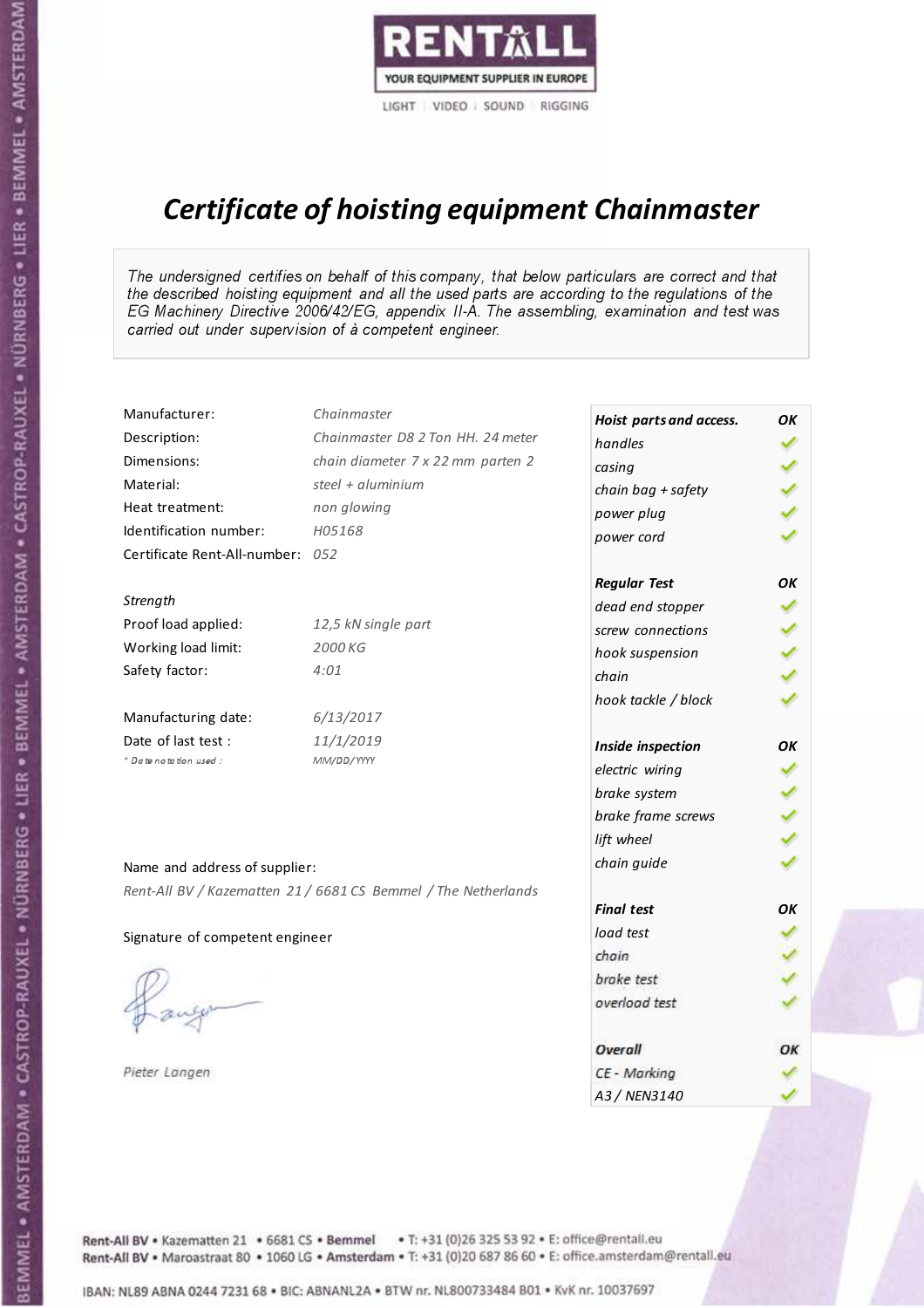

# Certificate of hoisting equipment Chainmaster

The undersigned certifies on behalf of this company, that below particulars are correct and that the described hoisting equipment and all the used parts are according to the regulations of the EG Machinery Directive 2006/42/EG, appendix II-A. The assembling, examination and test was carried out under supervision of à competent engineer.

| Manufacturer:                    | Chainmaster                                                    | Hoist parts and access. | OK |
|----------------------------------|----------------------------------------------------------------|-------------------------|----|
| Description:                     | Chainmaster D8 2 Ton HH. 24 meter                              | handles                 |    |
| Dimensions:                      | chain diameter 7 x 22 mm parten 2                              | casing                  |    |
| Material:                        | steel + aluminium                                              | chain bag + safety      |    |
| Heat treatment:                  | non glowing                                                    | power plug              |    |
| Identification number:           | H05168                                                         | power cord              |    |
| Certificate Rent-All-number: 052 |                                                                |                         |    |
|                                  |                                                                | <b>Regular Test</b>     | OK |
| Strength                         |                                                                | dead end stopper        |    |
| Proof load applied:              | 12,5 kN single part                                            | screw connections       |    |
| Working load limit:              | 2000 KG                                                        | hook suspension         |    |
| Safety factor:                   | 4:01                                                           | chain                   |    |
|                                  |                                                                | hook tackle / block     |    |
| Manufacturing date:              | 6/13/2017                                                      |                         |    |
| Date of last test :              | 11/1/2019                                                      | Inside inspection       | OK |
| * Date notation used :           | MM/DD/YYYY                                                     | electric wiring         |    |
|                                  |                                                                | brake system            |    |
|                                  |                                                                | brake frame screws      |    |
|                                  |                                                                | lift wheel              |    |
| Name and address of supplier:    |                                                                | chain guide             |    |
|                                  | Rent-All BV / Kazematten 21 / 6681 CS Bemmel / The Netherlands |                         |    |
|                                  |                                                                | <b>Final test</b>       | OK |
| Signature of competent engineer  |                                                                | load test               |    |
|                                  |                                                                | chain                   |    |
|                                  |                                                                | brake test              |    |
|                                  |                                                                | overload test           |    |
|                                  |                                                                |                         |    |
|                                  |                                                                | Overall                 | OK |
| Pieter Langen                    |                                                                | CE - Marking            |    |
|                                  |                                                                | A3 / NEN3140            |    |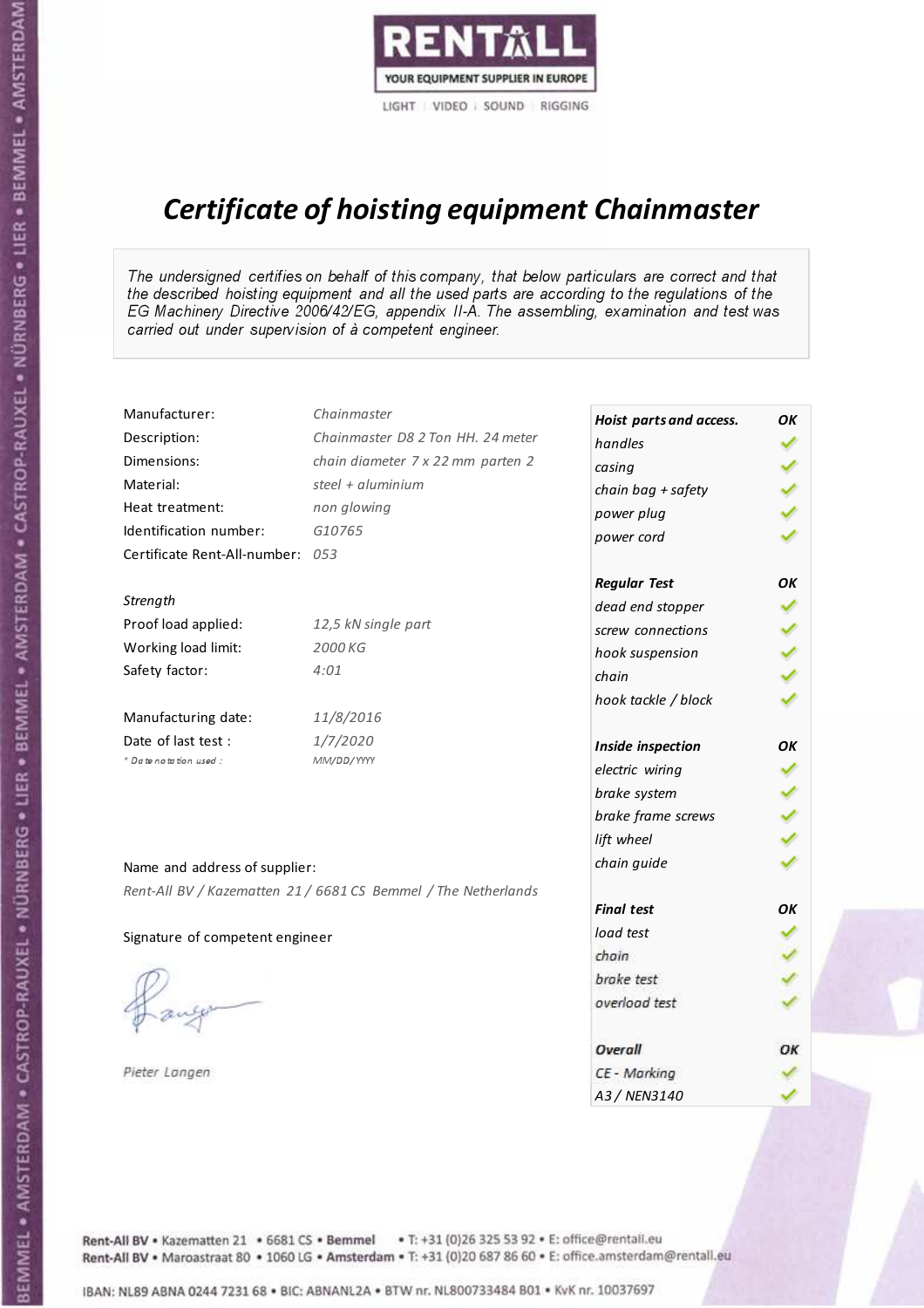

# Certificate of hoisting equipment Chainmaster

The undersigned certifies on behalf of this company, that below particulars are correct and that the described hoisting equipment and all the used parts are according to the regulations of the EG Machinery Directive 2006/42/EG, appendix II-A. The assembling, examination and test was carried out under supervision of à competent engineer.

| Manufacturer:                    | Chainmaster                                                    | Hoist parts and access. | OK |
|----------------------------------|----------------------------------------------------------------|-------------------------|----|
| Description:                     | Chainmaster D8 2 Ton HH. 24 meter                              | handles                 |    |
| Dimensions:                      | chain diameter 7 x 22 mm parten 2                              | casing                  |    |
| Material:                        | steel + aluminium                                              | chain bag + safety      |    |
| Heat treatment:                  | non glowing                                                    | power plug              |    |
| Identification number:           | G10765                                                         | power cord              |    |
| Certificate Rent-All-number: 053 |                                                                |                         |    |
|                                  |                                                                | <b>Regular Test</b>     | OK |
| Strength                         |                                                                | dead end stopper        |    |
| Proof load applied:              | 12,5 kN single part                                            | screw connections       |    |
| Working load limit:              | 2000 KG                                                        | hook suspension         |    |
| Safety factor:                   | 4:01                                                           | chain                   |    |
|                                  |                                                                | hook tackle / block     |    |
| Manufacturing date:              | 11/8/2016                                                      |                         |    |
| Date of last test :              | 1/7/2020                                                       | Inside inspection       | OK |
| + Date notation used :           | MM/DD/YYYY                                                     | electric wiring         |    |
|                                  |                                                                | brake system            |    |
|                                  |                                                                | brake frame screws      |    |
|                                  |                                                                | lift wheel              |    |
| Name and address of supplier:    |                                                                | chain guide             |    |
|                                  | Rent-All BV / Kazematten 21 / 6681 CS Bemmel / The Netherlands |                         |    |
|                                  |                                                                | <b>Final test</b>       | OK |
| Signature of competent engineer  |                                                                | load test               |    |
|                                  |                                                                | chain                   |    |
|                                  |                                                                | brake test              |    |
|                                  |                                                                | overload test           |    |
|                                  |                                                                | Overall                 | ОК |
| Pieter Langen                    |                                                                | CE - Marking            |    |
|                                  |                                                                | A3 / NEN3140            |    |

Rent-All BV . Kazematten 21 . 6681 CS . Bemmel . T: +31 (0)26 325 53 92 . E: office@rentall.eu Rent-All BV · Maroastraat 80 · 1060 LG · Amsterdam · T: +31 (0)20 687 86 60 · E: office.amsterdam@rentall.eu

IBAN: NL89 ABNA 0244 7231 68 . BIC: ABNANL2A . BTW nr. NL800733484 B01 . KyK nr. 10037697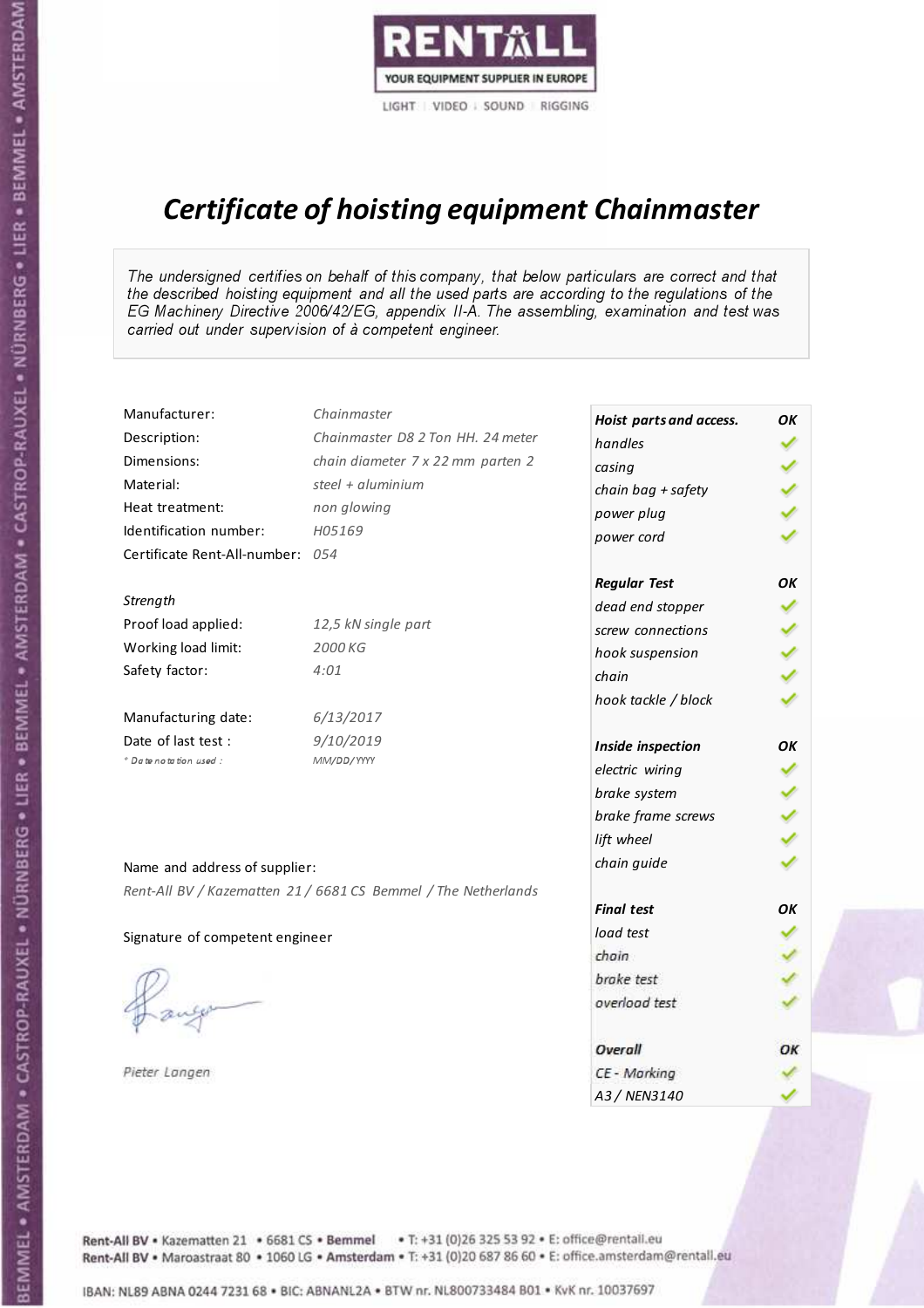

# Certificate of hoisting equipment Chainmaster

The undersigned certifies on behalf of this company, that below particulars are correct and that the described hoisting equipment and all the used parts are according to the regulations of the EG Machinery Directive 2006/42/EG, appendix II-A. The assembling, examination and test was carried out under supervision of à competent engineer.

| Manufacturer:                    | Chainmaster                                                    | Hoist parts and access. | OK |
|----------------------------------|----------------------------------------------------------------|-------------------------|----|
| Description:                     | Chainmaster D8 2 Ton HH. 24 meter                              | handles                 |    |
| Dimensions:                      | chain diameter 7 x 22 mm parten 2                              | casing                  |    |
| Material:                        | steel + $aluminim$                                             | chain bag + safety      |    |
| Heat treatment:                  | non glowing                                                    | power plug              |    |
| Identification number:           | H05169                                                         | power cord              |    |
| Certificate Rent-All-number: 054 |                                                                |                         |    |
|                                  |                                                                | <b>Regular Test</b>     | OK |
| Strength                         |                                                                | dead end stopper        |    |
| Proof load applied:              | 12,5 kN single part                                            | screw connections       |    |
| Working load limit:              | 2000 KG                                                        | hook suspension         |    |
| Safety factor:                   | 4:01                                                           | chain                   |    |
|                                  |                                                                | hook tackle / block     |    |
| Manufacturing date:              | 6/13/2017                                                      |                         |    |
| Date of last test:               | 9/10/2019                                                      | Inside inspection       | OK |
| + Date notation used :           | MM/DD/YYYY                                                     | electric wiring         |    |
|                                  |                                                                | brake system            |    |
|                                  |                                                                | brake frame screws      |    |
|                                  |                                                                | lift wheel              |    |
| Name and address of supplier:    |                                                                | chain guide             |    |
|                                  | Rent-All BV / Kazematten 21 / 6681 CS Bemmel / The Netherlands |                         |    |
|                                  |                                                                | <b>Final test</b>       | OK |
| Signature of competent engineer  |                                                                | load test               |    |
|                                  |                                                                | chain                   |    |
|                                  |                                                                | brake test              |    |
|                                  |                                                                | overload test           |    |
|                                  |                                                                |                         |    |
|                                  |                                                                | Overall                 | OK |
| Pieter Langen                    |                                                                | CE - Marking            |    |
|                                  |                                                                | A3 / NEN3140            |    |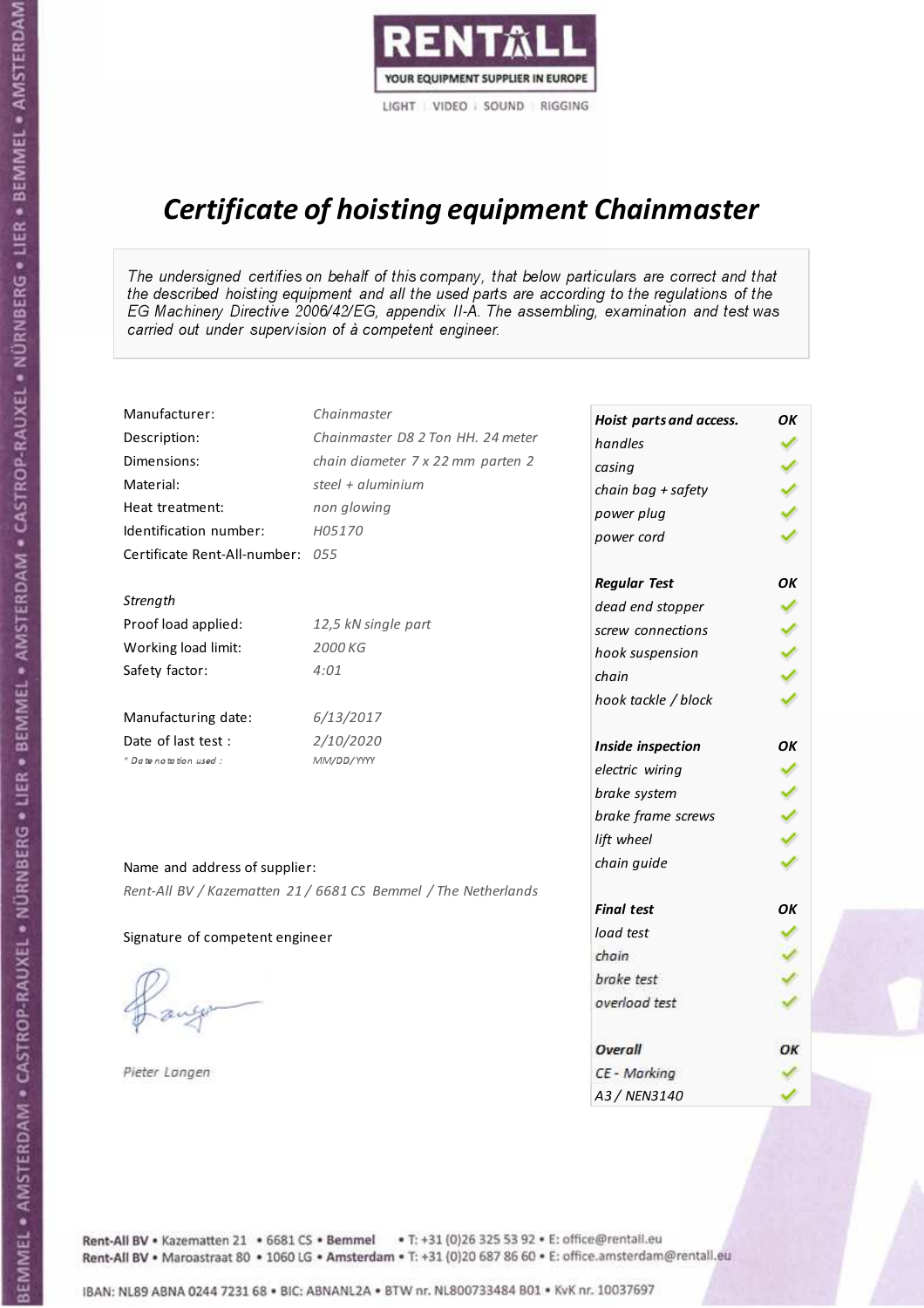

# Certificate of hoisting equipment Chainmaster

The undersigned certifies on behalf of this company, that below particulars are correct and that the described hoisting equipment and all the used parts are according to the regulations of the EG Machinery Directive 2006/42/EG, appendix II-A. The assembling, examination and test was carried out under supervision of à competent engineer.

| Manufacturer:                    | Chainmaster                                                    | Hoist parts and access. | OK |
|----------------------------------|----------------------------------------------------------------|-------------------------|----|
| Description:                     | Chainmaster D8 2 Ton HH. 24 meter                              | handles                 |    |
| Dimensions:                      | chain diameter 7 x 22 mm parten 2                              | casing                  |    |
| Material:                        | steel + $aluminim$                                             | chain bag + safety      |    |
| Heat treatment:                  | non glowing                                                    | power plug              |    |
| Identification number:           | H05170                                                         | power cord              |    |
| Certificate Rent-All-number: 055 |                                                                |                         |    |
|                                  |                                                                | <b>Regular Test</b>     | OK |
| Strength                         |                                                                | dead end stopper        |    |
| Proof load applied:              | 12,5 kN single part                                            | screw connections       |    |
| Working load limit:              | 2000 KG                                                        | hook suspension         |    |
| Safety factor:                   | 4:01                                                           | chain                   |    |
|                                  |                                                                | hook tackle / block     |    |
| Manufacturing date:              | 6/13/2017                                                      |                         |    |
| Date of last test :              | 2/10/2020                                                      | Inside inspection       | OK |
| + Date notation used :           | MM/DD/YYYY                                                     | electric wiring         |    |
|                                  |                                                                | brake system            |    |
|                                  |                                                                | brake frame screws      |    |
|                                  |                                                                | lift wheel              |    |
| Name and address of supplier:    |                                                                | chain guide             |    |
|                                  | Rent-All BV / Kazematten 21 / 6681 CS Bemmel / The Netherlands |                         |    |
|                                  |                                                                | <b>Final test</b>       | OK |
| Signature of competent engineer  |                                                                | load test               |    |
|                                  |                                                                | chain                   |    |
|                                  |                                                                | brake test              |    |
|                                  |                                                                | overload test           |    |
|                                  |                                                                | Overall                 | OK |
| Pieter Langen                    |                                                                | CE - Marking            |    |
|                                  |                                                                | A3 / NEN3140            |    |

BEMMEL • AMSTERDAM • CASTROP-RAUXEL • NÜRNBERG • LIER • BEMMEL • AMSTERDAM • CASTROP-RAUXEL • NÜRNBERG • LIER • BEMMEL • AMSTERDAM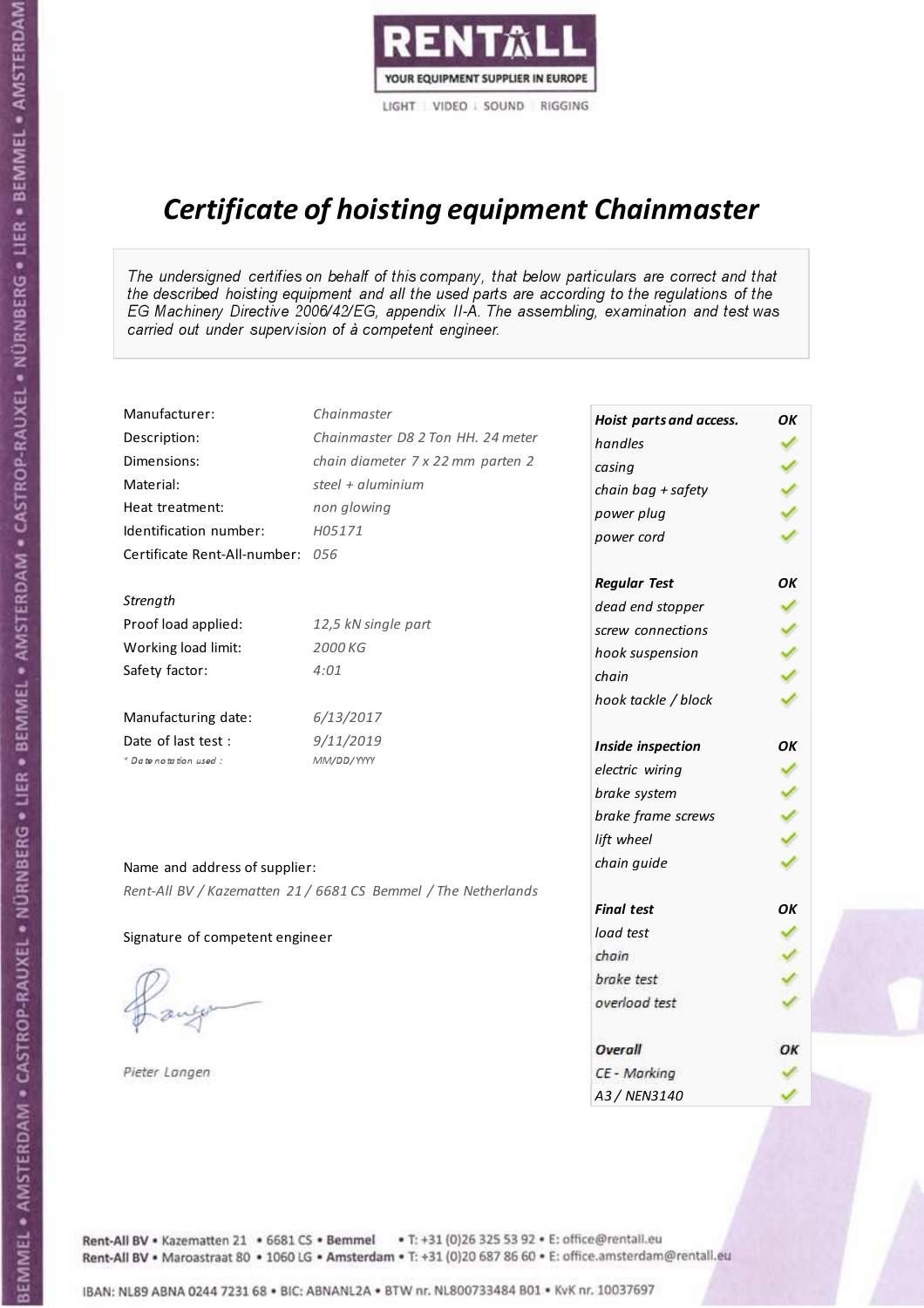

## Certificate of hoisting equipment Chainmaster

The undersigned certifies on behalf of this company, that below particulars are correct and that the described hoisting equipment and all the used parts are according to the regulations of the EG Machinery Directive 2006/42/EG, appendix II-A. The assembling, examination and test was carried out under supervision of à competent engineer.

| Manufacturer:                    | Chainmaster                                                    | Hoist parts and access. | OK |
|----------------------------------|----------------------------------------------------------------|-------------------------|----|
| Description:                     | Chainmaster D8 2 Ton HH. 24 meter                              | handles                 |    |
| Dimensions:                      | chain diameter 7 x 22 mm parten 2                              | casing                  |    |
| Material:                        | steel + $aluminim$                                             | chain bag + safety      |    |
| Heat treatment:                  | non glowing                                                    | power plug              |    |
| Identification number:           | H05171                                                         | power cord              |    |
| Certificate Rent-All-number: 056 |                                                                |                         |    |
|                                  |                                                                | <b>Regular Test</b>     | OK |
| Strength                         |                                                                | dead end stopper        |    |
| Proof load applied:              | 12,5 kN single part                                            | screw connections       |    |
| Working load limit:              | 2000 KG                                                        | hook suspension         |    |
| Safety factor:                   | 4:01                                                           | chain                   |    |
|                                  |                                                                | hook tackle / block     |    |
| Manufacturing date:              | 6/13/2017                                                      |                         |    |
| Date of last test :              | 9/11/2019                                                      | Inside inspection       | OK |
| + Date notation used :           | MM/DD/YYYY                                                     | electric wiring         |    |
|                                  |                                                                | brake system            |    |
|                                  |                                                                | brake frame screws      |    |
|                                  |                                                                | lift wheel              |    |
| Name and address of supplier:    |                                                                | chain guide             |    |
|                                  | Rent-All BV / Kazematten 21 / 6681 CS Bemmel / The Netherlands |                         |    |
|                                  |                                                                | <b>Final test</b>       | OK |
| Signature of competent engineer  |                                                                | load test               |    |
|                                  |                                                                | chain                   |    |
|                                  |                                                                | brake test              |    |
|                                  |                                                                | overload test           |    |
|                                  |                                                                |                         |    |
|                                  |                                                                | Overall                 | OK |
| Pieter Langen                    |                                                                | CE - Marking            |    |
|                                  |                                                                | A3 / NEN3140            |    |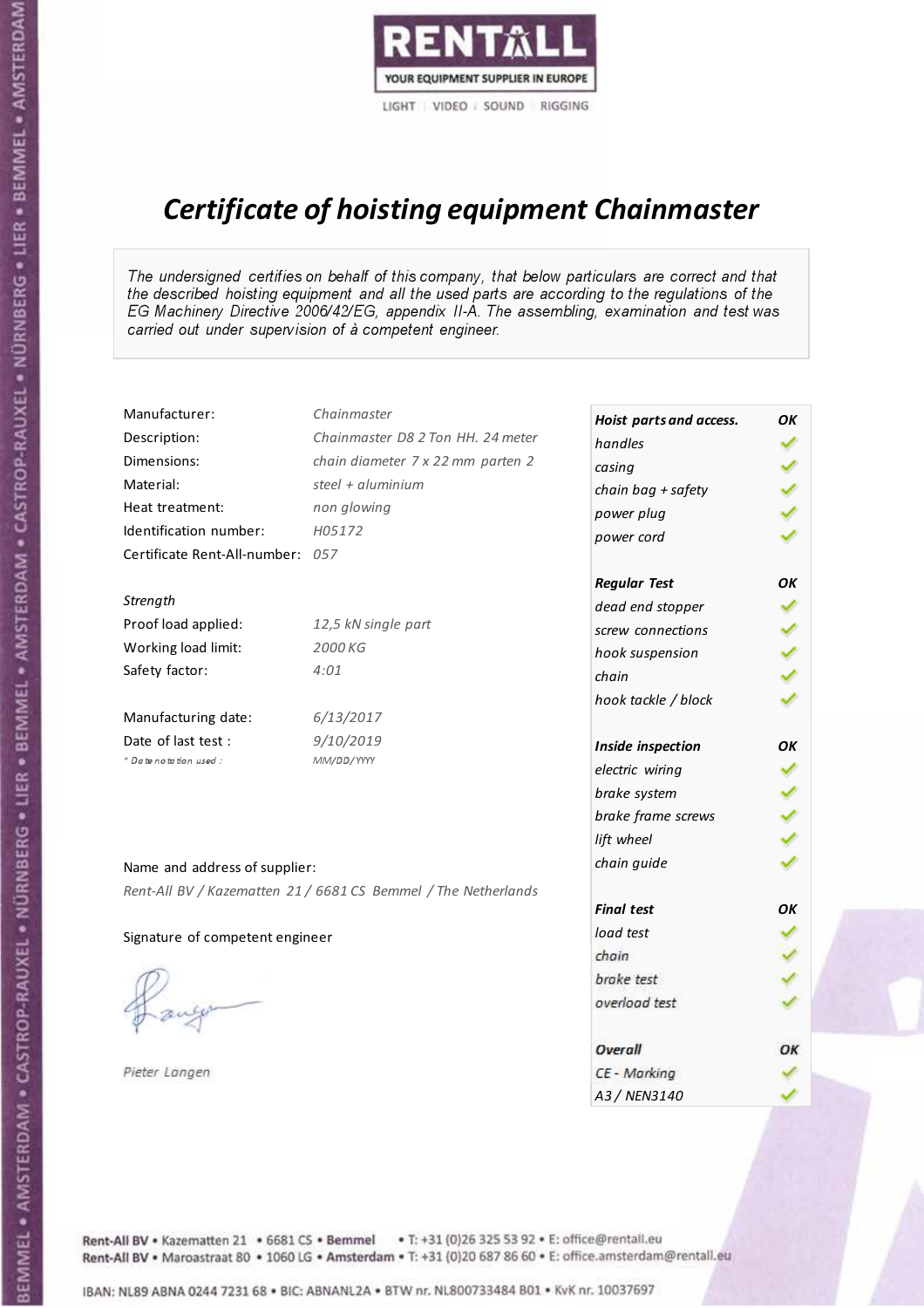

# Certificate of hoisting equipment Chainmaster

The undersigned certifies on behalf of this company, that below particulars are correct and that the described hoisting equipment and all the used parts are according to the regulations of the EG Machinery Directive 2006/42/EG, appendix II-A. The assembling, examination and test was carried out under supervision of à competent engineer.

| Manufacturer:                    | Chainmaster                                                    | Hoist parts and access. | OK |
|----------------------------------|----------------------------------------------------------------|-------------------------|----|
| Description:                     | Chainmaster D8 2 Ton HH. 24 meter                              | handles                 |    |
| Dimensions:                      | chain diameter 7 x 22 mm parten 2                              | casing                  |    |
| Material:                        | steel + aluminium                                              | chain bag + safety      |    |
| Heat treatment:                  | non glowing                                                    | power plug              |    |
| Identification number:           | H05172                                                         | power cord              |    |
| Certificate Rent-All-number: 057 |                                                                |                         |    |
|                                  |                                                                | <b>Regular Test</b>     | OK |
| Strength                         |                                                                | dead end stopper        |    |
| Proof load applied:              | 12,5 kN single part                                            | screw connections       |    |
| Working load limit:              | 2000 KG                                                        | hook suspension         |    |
| Safety factor:                   | 4:01                                                           | chain                   |    |
|                                  |                                                                | hook tackle / block     |    |
| Manufacturing date:              | 6/13/2017                                                      |                         |    |
| Date of last test :              | 9/10/2019                                                      | Inside inspection       | OK |
| * Date notation used :           | MM/DD/YYYY                                                     | electric wiring         | ✓  |
|                                  |                                                                | brake system            |    |
|                                  |                                                                | brake frame screws      |    |
|                                  |                                                                | lift wheel              |    |
| Name and address of supplier:    |                                                                | chain guide             |    |
|                                  | Rent-All BV / Kazematten 21 / 6681 CS Bemmel / The Netherlands |                         |    |
|                                  |                                                                | <b>Final test</b>       | OK |
| Signature of competent engineer  |                                                                | load test               |    |
|                                  |                                                                | chain                   |    |
|                                  |                                                                | brake test              |    |
|                                  |                                                                | overload test           |    |
|                                  |                                                                |                         |    |
|                                  |                                                                | Overall                 | ОК |
| Pieter Langen                    |                                                                | CE - Marking            |    |
|                                  |                                                                | A3 / NEN3140            |    |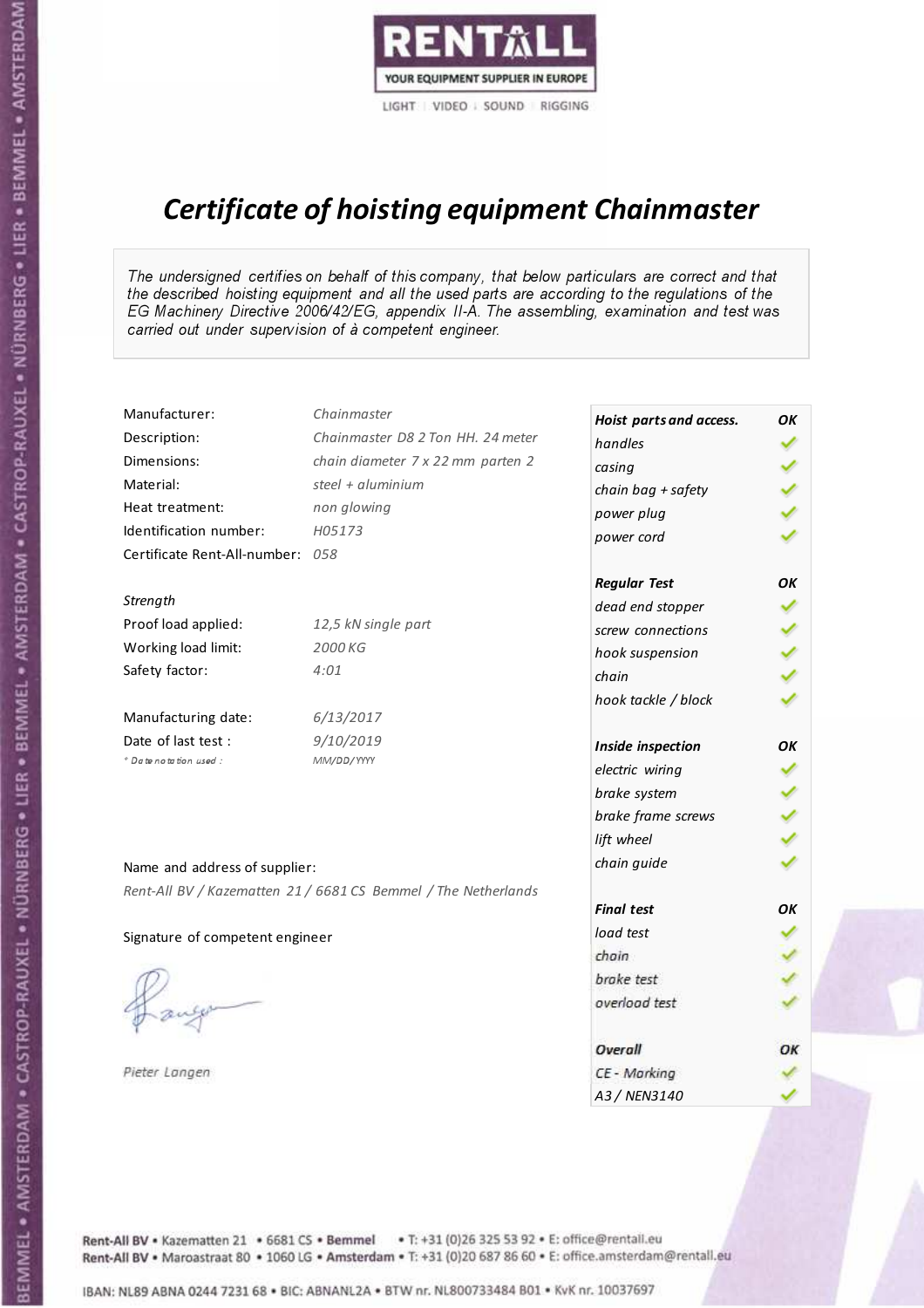

# Certificate of hoisting equipment Chainmaster

The undersigned certifies on behalf of this company, that below particulars are correct and that the described hoisting equipment and all the used parts are according to the regulations of the EG Machinery Directive 2006/42/EG, appendix II-A. The assembling, examination and test was carried out under supervision of à competent engineer.

| Manufacturer:                    | Chainmaster                                                    | Hoist parts and access. | OK |
|----------------------------------|----------------------------------------------------------------|-------------------------|----|
| Description:                     | Chainmaster D8 2 Ton HH. 24 meter                              | handles                 |    |
| Dimensions:                      | chain diameter 7 x 22 mm parten 2                              | casing                  |    |
| Material:                        | steel + $aluminim$                                             | chain bag + safety      |    |
| Heat treatment:                  | non glowing                                                    | power plug              |    |
| Identification number:           | H05173                                                         | power cord              |    |
| Certificate Rent-All-number: 058 |                                                                |                         |    |
|                                  |                                                                | <b>Regular Test</b>     | OK |
| Strength                         |                                                                | dead end stopper        |    |
| Proof load applied:              | 12,5 kN single part                                            | screw connections       |    |
| Working load limit:              | 2000 KG                                                        | hook suspension         |    |
| Safety factor:                   | 4:01                                                           | chain                   |    |
|                                  |                                                                | hook tackle / block     |    |
| Manufacturing date:              | 6/13/2017                                                      |                         |    |
| Date of last test:               | 9/10/2019                                                      | Inside inspection       | OK |
| + Date notation used :           | MM/DD/YYYY                                                     | electric wiring         |    |
|                                  |                                                                | brake system            |    |
|                                  |                                                                | brake frame screws      |    |
|                                  |                                                                | lift wheel              |    |
| Name and address of supplier:    |                                                                | chain guide             |    |
|                                  | Rent-All BV / Kazematten 21 / 6681 CS Bemmel / The Netherlands |                         |    |
|                                  |                                                                | <b>Final test</b>       | OK |
| Signature of competent engineer  |                                                                | load test               |    |
|                                  |                                                                | chain                   |    |
|                                  |                                                                | brake test              |    |
|                                  |                                                                | overload test           |    |
|                                  |                                                                |                         |    |
|                                  |                                                                | Overall                 | OK |
| Pieter Langen                    |                                                                | CE - Marking            |    |
|                                  |                                                                | A3 / NEN3140            |    |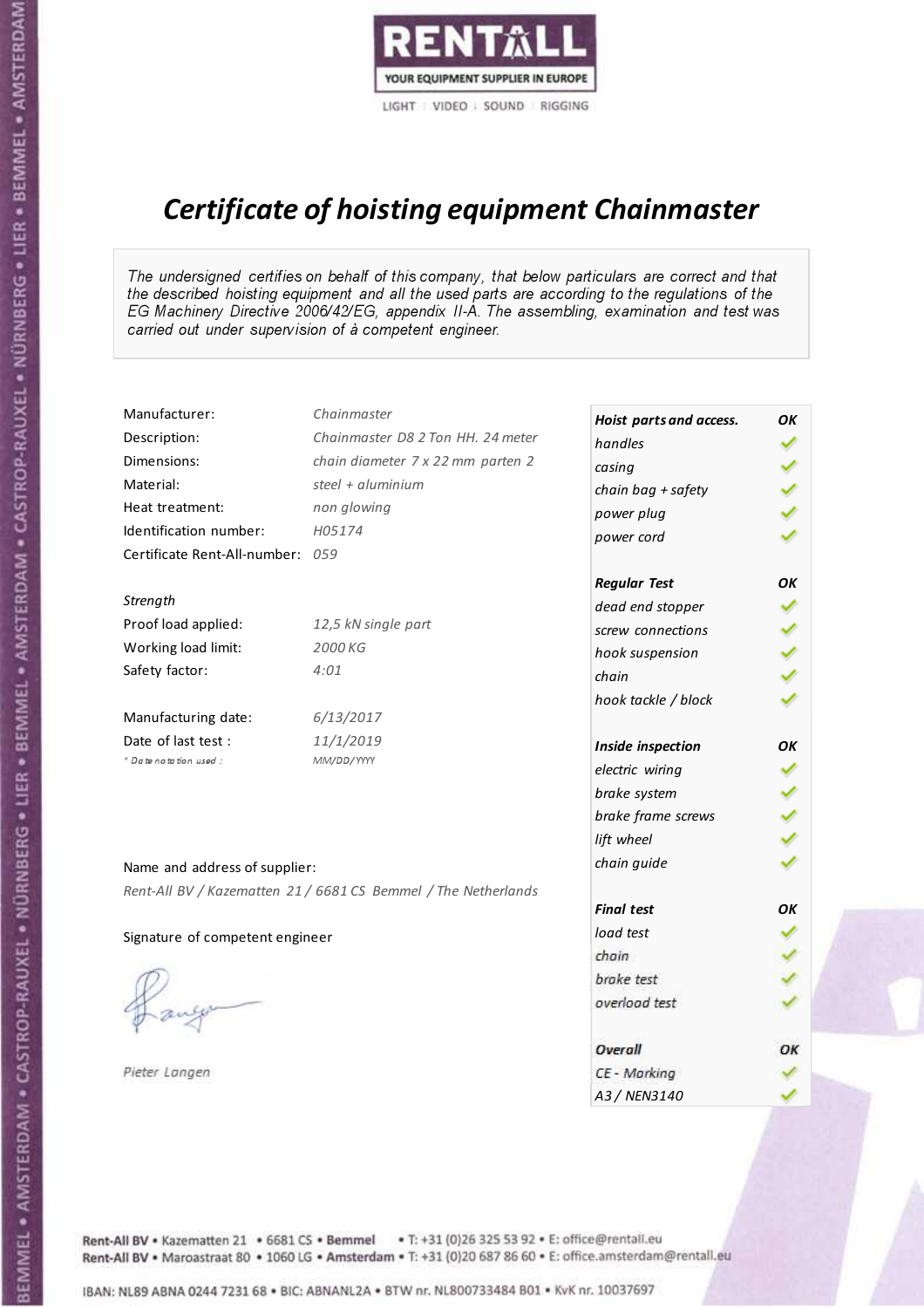

## Certificate of hoisting equipment Chainmaster

The undersigned certifies on behalf of this company, that below particulars are correct and that the described hoisting equipment and all the used parts are according to the regulations of the EG Machinery Directive 2006/42/EG, appendix II-A. The assembling, examination and test was carried out under supervision of à competent engineer.

| Manufacturer:                    | Chainmaster                                                    | Hoist parts and access. | OK |
|----------------------------------|----------------------------------------------------------------|-------------------------|----|
| Description:                     | Chainmaster D8 2 Ton HH. 24 meter                              | handles                 |    |
| Dimensions:                      | chain diameter 7 x 22 mm parten 2                              | casing                  |    |
| Material:                        | steel $+$ aluminium                                            | chain bag + safety      |    |
| Heat treatment:                  | non glowing                                                    | power plug              |    |
| Identification number:           | H05174                                                         | power cord              |    |
| Certificate Rent-All-number: 059 |                                                                |                         |    |
|                                  |                                                                | <b>Regular Test</b>     | OK |
| Strength                         |                                                                | dead end stopper        |    |
| Proof load applied:              | 12,5 kN single part                                            | screw connections       |    |
| Working load limit:              | 2000 KG                                                        | hook suspension         |    |
| Safety factor:                   | 4:01                                                           | chain                   |    |
|                                  |                                                                | hook tackle / block     |    |
| Manufacturing date:              | 6/13/2017                                                      |                         |    |
| Date of last test:               | 11/1/2019                                                      | Inside inspection       | OK |
| + Date notation used :           | MM/DD/YYYY                                                     | electric wiring         |    |
|                                  |                                                                | brake system            |    |
|                                  |                                                                | brake frame screws      |    |
|                                  |                                                                | lift wheel              |    |
| Name and address of supplier:    |                                                                | chain guide             |    |
|                                  | Rent-All BV / Kazematten 21 / 6681 CS Bemmel / The Netherlands |                         |    |
|                                  |                                                                | <b>Final test</b>       | OK |
| Signature of competent engineer  |                                                                | load test               |    |
|                                  |                                                                | chain                   |    |
|                                  |                                                                | brake test              |    |
|                                  |                                                                | overload test           |    |
|                                  |                                                                |                         |    |
|                                  |                                                                | Overall                 | OK |
| Pieter Langen                    |                                                                | CE - Marking            |    |
|                                  |                                                                | A3 / NEN3140            |    |

BEMMEL • AMSTERDAM • CASTROP-RAUXEL • NÜRNBERG • LIER • BEMMEL • AMSTERDAM • CASTROP-RAUXEL • NÜRNBERG • LIER • BEMMEL • AMSTERDAM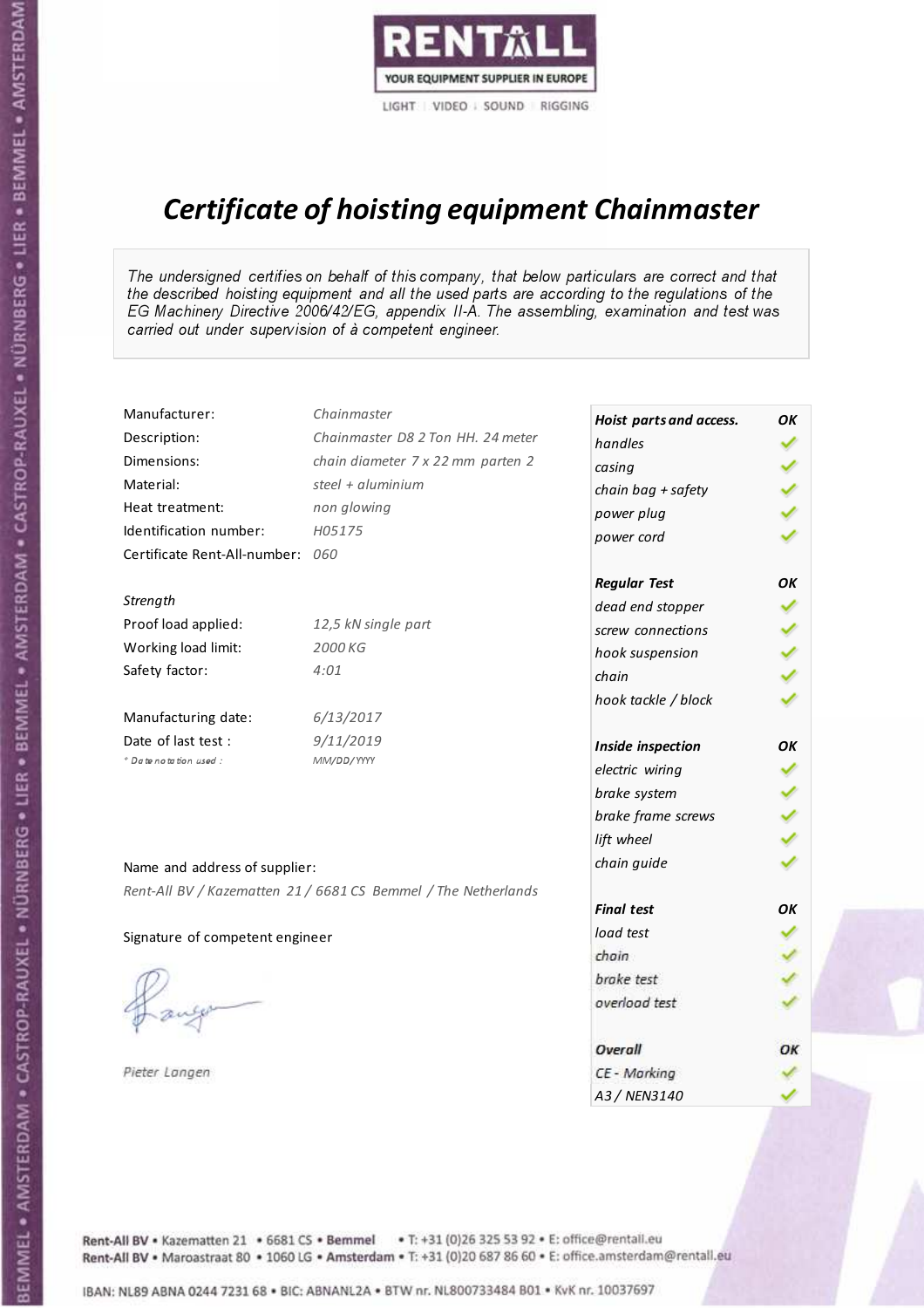

# Certificate of hoisting equipment Chainmaster

The undersigned certifies on behalf of this company, that below particulars are correct and that the described hoisting equipment and all the used parts are according to the regulations of the EG Machinery Directive 2006/42/EG, appendix II-A. The assembling, examination and test was carried out under supervision of à competent engineer.

| Manufacturer:                    | Chainmaster                                                    | Hoist parts and access. | OK |
|----------------------------------|----------------------------------------------------------------|-------------------------|----|
| Description:                     | Chainmaster D8 2 Ton HH. 24 meter                              | handles                 |    |
| Dimensions:                      | chain diameter 7 x 22 mm parten 2                              | casing                  |    |
| Material:                        | steel + $aluminim$                                             | chain bag + safety      |    |
| Heat treatment:                  | non glowing                                                    | power plug              |    |
| Identification number:           | H05175                                                         | power cord              |    |
| Certificate Rent-All-number: 060 |                                                                |                         |    |
|                                  |                                                                | <b>Regular Test</b>     | OK |
| Strength                         |                                                                | dead end stopper        |    |
| Proof load applied:              | 12,5 kN single part                                            | screw connections       |    |
| Working load limit:              | 2000 KG                                                        | hook suspension         |    |
| Safety factor:                   | 4:01                                                           | chain                   |    |
|                                  |                                                                | hook tackle / block     |    |
| Manufacturing date:              | 6/13/2017                                                      |                         |    |
| Date of last test :              | 9/11/2019                                                      | Inside inspection       | OK |
| + Date notation used :           | MM/DD/YYYY                                                     | electric wiring         |    |
|                                  |                                                                | brake system            |    |
|                                  |                                                                | brake frame screws      |    |
|                                  |                                                                | lift wheel              |    |
| Name and address of supplier:    |                                                                | chain guide             |    |
|                                  | Rent-All BV / Kazematten 21 / 6681 CS Bemmel / The Netherlands |                         |    |
|                                  |                                                                | <b>Final test</b>       | OK |
| Signature of competent engineer  |                                                                | load test               |    |
|                                  |                                                                | chain                   |    |
|                                  |                                                                | brake test              |    |
|                                  |                                                                | overload test           |    |
|                                  |                                                                | Overall                 | OK |
| Pieter Langen                    |                                                                | CE - Marking            |    |
|                                  |                                                                | A3 / NEN3140            |    |

BEMMEL • AMSTERDAM • CASTROP-RAUXEL • NÜRNBERG • LIER • BEMMEL • AMSTERDAM • CASTROP-RAUXEL • NÜRNBERG • LIER • BEMMEL • AMSTERDAM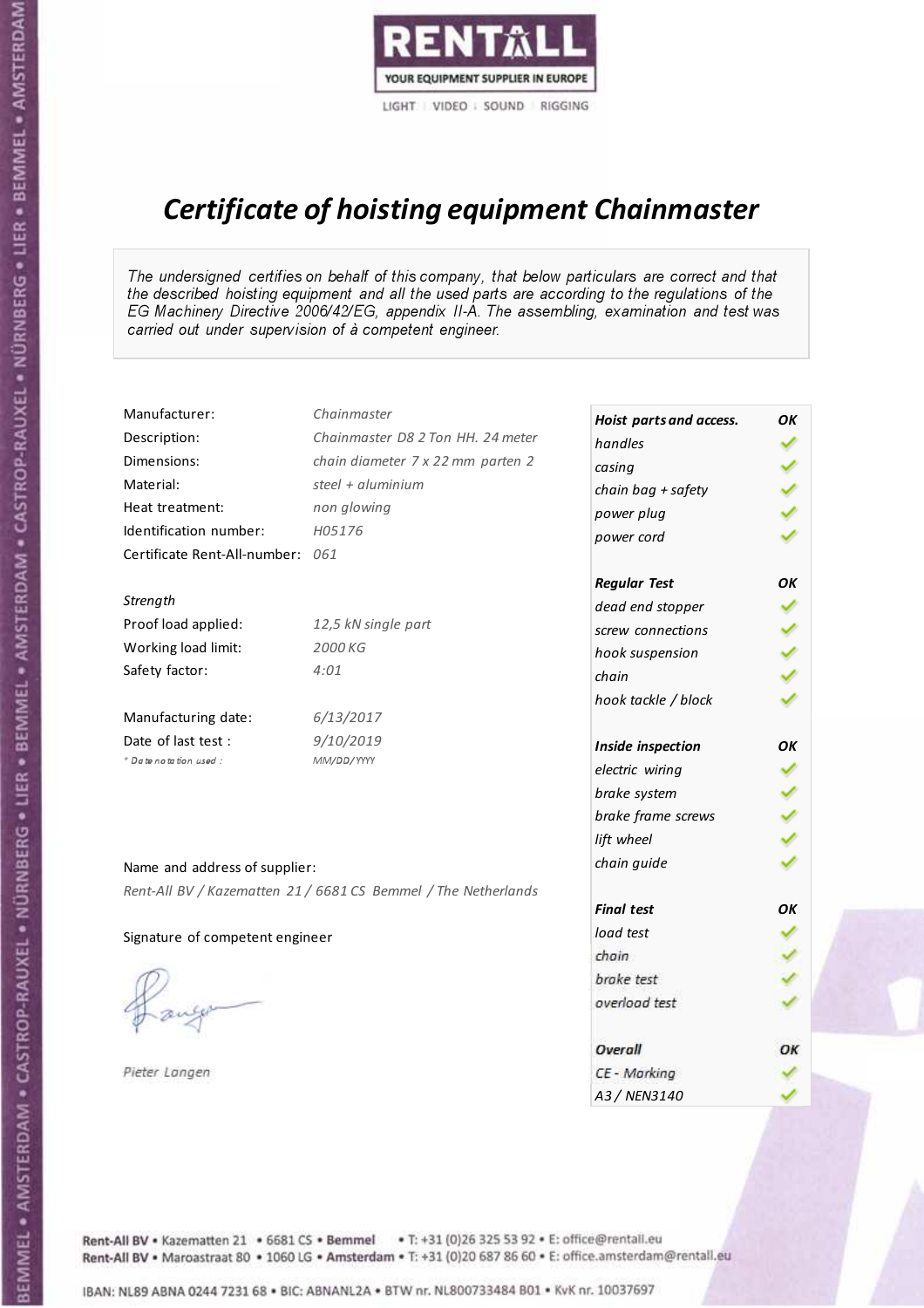

# Certificate of hoisting equipment Chainmaster

The undersigned certifies on behalf of this company, that below particulars are correct and that the described hoisting equipment and all the used parts are according to the regulations of the EG Machinery Directive 2006/42/EG, appendix II-A. The assembling, examination and test was carried out under supervision of à competent engineer.

| Manufacturer:                    | Chainmaster                                                    | Hoist parts and access. | OK |
|----------------------------------|----------------------------------------------------------------|-------------------------|----|
| Description:                     | Chainmaster D8 2 Ton HH. 24 meter                              | handles                 |    |
| Dimensions:                      | chain diameter 7 x 22 mm parten 2                              | casing                  |    |
| Material:                        | steel + $aluminim$                                             | chain bag + safety      |    |
| Heat treatment:                  | non glowing                                                    | power plug              |    |
| Identification number:           | H05176                                                         | power cord              |    |
| Certificate Rent-All-number: 061 |                                                                |                         |    |
|                                  |                                                                | <b>Regular Test</b>     | OK |
| Strength                         |                                                                | dead end stopper        |    |
| Proof load applied:              | 12,5 kN single part                                            | screw connections       |    |
| Working load limit:              | 2000 KG                                                        | hook suspension         |    |
| Safety factor:                   | 4:01                                                           | chain                   |    |
|                                  |                                                                | hook tackle / block     |    |
| Manufacturing date:              | 6/13/2017                                                      |                         |    |
| Date of last test:               | 9/10/2019                                                      | Inside inspection       | OK |
| + Date notation used :           | MM/DD/YYYY                                                     | electric wiring         |    |
|                                  |                                                                | brake system            |    |
|                                  |                                                                | brake frame screws      |    |
|                                  |                                                                | lift wheel              |    |
| Name and address of supplier:    |                                                                | chain guide             |    |
|                                  | Rent-All BV / Kazematten 21 / 6681 CS Bemmel / The Netherlands |                         |    |
|                                  |                                                                | <b>Final test</b>       | OK |
| Signature of competent engineer  |                                                                | load test               |    |
|                                  |                                                                | chain                   |    |
|                                  |                                                                | brake test              |    |
|                                  |                                                                | overload test           |    |
|                                  |                                                                | Overall                 | OK |
| Pieter Langen                    |                                                                | CE - Marking            |    |
|                                  |                                                                | A3 / NEN3140            |    |

BEMMEL • AMSTERDAM • CASTROP-RAUXEL • NÜRNBERG • LIER • BEMMEL • AMSTERDAM • CASTROP-RAUXEL • NÜRNBERG • LIER • BEMMEL • AMSTERDAM